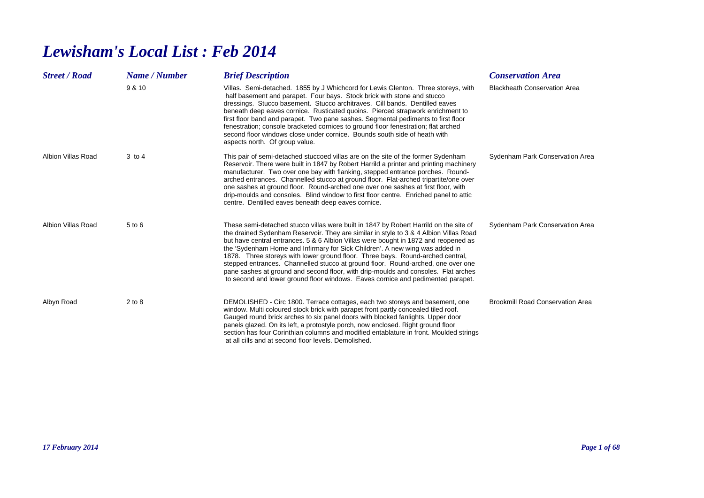# *Lewisham's Local List : Feb 2014*

| <b>Street / Road</b>      | Name / Number | <b>Brief Description</b>                                                                                                                                                                                                                                                                                                                                                                                                                                                                                                                                                                                                                                                                             | <b>Conservation Area</b>                |
|---------------------------|---------------|------------------------------------------------------------------------------------------------------------------------------------------------------------------------------------------------------------------------------------------------------------------------------------------------------------------------------------------------------------------------------------------------------------------------------------------------------------------------------------------------------------------------------------------------------------------------------------------------------------------------------------------------------------------------------------------------------|-----------------------------------------|
|                           | 9 & 10        | Villas. Semi-detached. 1855 by J Whichcord for Lewis Glenton. Three storeys, with<br>half basement and parapet. Four bays. Stock brick with stone and stucco<br>dressings. Stucco basement. Stucco architraves. Cill bands. Dentilled eaves<br>beneath deep eaves cornice. Rusticated quoins. Pierced strapwork enrichment to<br>first floor band and parapet. Two pane sashes. Segmental pediments to first floor<br>fenestration; console bracketed cornices to ground floor fenestration; flat arched<br>second floor windows close under cornice. Bounds south side of heath with<br>aspects north. Of group value.                                                                              | <b>Blackheath Conservation Area</b>     |
| <b>Albion Villas Road</b> | 3 to 4        | This pair of semi-detached stuccoed villas are on the site of the former Sydenham<br>Reservoir. There were built in 1847 by Robert Harrild a printer and printing machinery<br>manufacturer. Two over one bay with flanking, stepped entrance porches. Round-<br>arched entrances. Channelled stucco at ground floor. Flat-arched tripartite/one over<br>one sashes at ground floor. Round-arched one over one sashes at first floor, with<br>drip-moulds and consoles. Blind window to first floor centre. Enriched panel to attic<br>centre. Dentilled eaves beneath deep eaves cornice.                                                                                                           | Sydenham Park Conservation Area         |
| Albion Villas Road        | $5$ to $6$    | These semi-detached stucco villas were built in 1847 by Robert Harrild on the site of<br>the drained Sydenham Reservoir. They are similar in style to 3 & 4 Albion Villas Road<br>but have central entrances. 5 & 6 Albion Villas were bought in 1872 and reopened as<br>the 'Sydenham Home and Infirmary for Sick Children'. A new wing was added in<br>1878. Three storeys with lower ground floor. Three bays. Round-arched central,<br>stepped entrances. Channelled stucco at ground floor. Round-arched, one over one<br>pane sashes at ground and second floor, with drip-moulds and consoles. Flat arches<br>to second and lower ground floor windows. Eaves cornice and pedimented parapet. | Sydenham Park Conservation Area         |
| Albyn Road                | $2$ to $8$    | DEMOLISHED - Circ 1800. Terrace cottages, each two storeys and basement, one<br>window. Multi coloured stock brick with parapet front partly concealed tiled roof.<br>Gauged round brick arches to six panel doors with blocked fanlights. Upper door<br>panels glazed. On its left, a protostyle porch, now enclosed. Right ground floor<br>section has four Corinthian columns and modified entablature in front. Moulded strings<br>at all cills and at second floor levels. Demolished.                                                                                                                                                                                                          | <b>Brookmill Road Conservation Area</b> |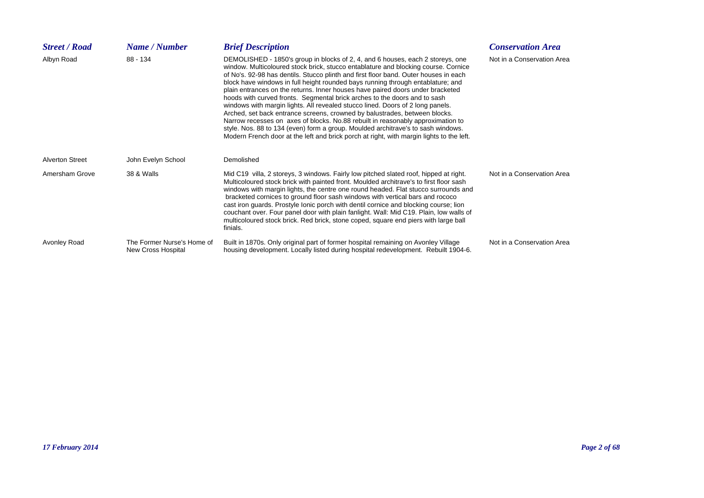| <b>Street / Road</b>   | Name / Number                                    | <b>Brief Description</b>                                                                                                                                                                                                                                                                                                                                                                                                                                                                                                                                                                                                                                                                                                                                                                                                                                                                                                                          | <b>Conservation Area</b>   |
|------------------------|--------------------------------------------------|---------------------------------------------------------------------------------------------------------------------------------------------------------------------------------------------------------------------------------------------------------------------------------------------------------------------------------------------------------------------------------------------------------------------------------------------------------------------------------------------------------------------------------------------------------------------------------------------------------------------------------------------------------------------------------------------------------------------------------------------------------------------------------------------------------------------------------------------------------------------------------------------------------------------------------------------------|----------------------------|
| Albyn Road             | $88 - 134$                                       | DEMOLISHED - 1850's group in blocks of 2, 4, and 6 houses, each 2 storeys, one<br>window. Multicoloured stock brick, stucco entablature and blocking course. Cornice<br>of No's. 92-98 has dentils. Stucco plinth and first floor band. Outer houses in each<br>block have windows in full height rounded bays running through entablature; and<br>plain entrances on the returns. Inner houses have paired doors under bracketed<br>hoods with curved fronts. Segmental brick arches to the doors and to sash<br>windows with margin lights. All revealed stucco lined. Doors of 2 long panels.<br>Arched, set back entrance screens, crowned by balustrades, between blocks.<br>Narrow recesses on axes of blocks. No.88 rebuilt in reasonably approximation to<br>style. Nos. 88 to 134 (even) form a group. Moulded architrave's to sash windows.<br>Modern French door at the left and brick porch at right, with margin lights to the left. | Not in a Conservation Area |
| <b>Alverton Street</b> | John Evelyn School                               | Demolished                                                                                                                                                                                                                                                                                                                                                                                                                                                                                                                                                                                                                                                                                                                                                                                                                                                                                                                                        |                            |
| Amersham Grove         | 38 & Walls                                       | Mid C19 villa, 2 storeys, 3 windows. Fairly low pitched slated roof, hipped at right.<br>Multicoloured stock brick with painted front. Moulded architrave's to first floor sash<br>windows with margin lights, the centre one round headed. Flat stucco surrounds and<br>bracketed cornices to ground floor sash windows with vertical bars and rococo<br>cast iron guards. Prostyle Ionic porch with dentil cornice and blocking course; lion<br>couchant over. Four panel door with plain fanlight. Wall: Mid C19. Plain, low walls of<br>multicoloured stock brick. Red brick, stone coped, square end piers with large ball<br>finials.                                                                                                                                                                                                                                                                                                       | Not in a Conservation Area |
| Avonley Road           | The Former Nurse's Home of<br>New Cross Hospital | Built in 1870s. Only original part of former hospital remaining on Avonley Village<br>housing development. Locally listed during hospital redevelopment. Rebuilt 1904-6.                                                                                                                                                                                                                                                                                                                                                                                                                                                                                                                                                                                                                                                                                                                                                                          | Not in a Conservation Area |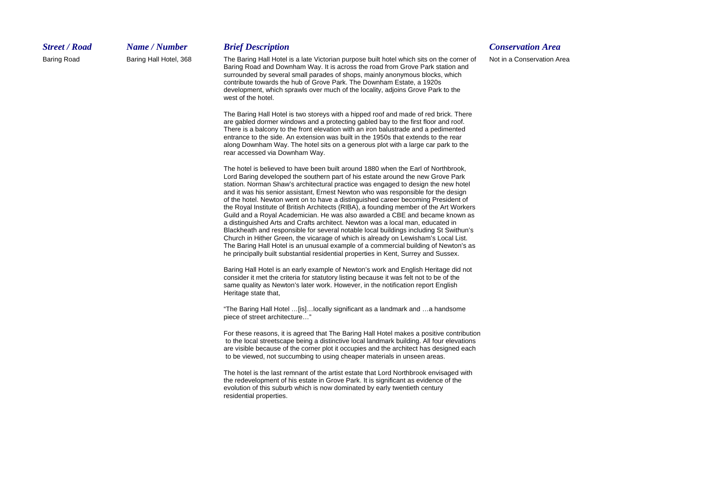### *Street / Road*

Baring Road Baring Hall Hotel, 368 The Baring Hall Hotel is a late Victorian purpose built hotel which sits on the corner of Not in a Conservation Area Baring Road and Downham Way. It is across the road from Grove Park station and surrounded by several small parades of shops, mainly anonymous blocks, which contribute towards the hub of Grove Park. The Downham Estate, a 1920s development, which sprawls over much of the locality, adjoins Grove Park to the west of the hotel.

> The Baring Hall Hotel is two storeys with a hipped roof and made of red brick. There are gabled dormer windows and a protecting gabled bay to the first floor and roof. There is a balcony to the front elevation with an iron balustrade and a pedimented entrance to the side. An extension was built in the 1950s that extends to the rear along Downham Way. The hotel sits on a generous plot with a large car park to the rear accessed via Downham Way.

> The hotel is believed to have been built around 1880 when the Earl of Northbrook, Lord Baring developed the southern part of his estate around the new Grove Park station. Norman Shaw's architectural practice was engaged to design the new hotel and it was his senior assistant, Ernest Newton who was responsible for the design of the hotel. Newton went on to have a distinguished career becoming President of the Royal Institute of British Architects (RIBA), a founding member of the Art Workers Guild and a Royal Academician. He was also awarded a CBE and became known as a distinguished Arts and Crafts architect. Newton was a local man, educated in Blackheath and responsible for several notable local buildings including St Swithun's Church in Hither Green, the vicarage of which is already on Lewisham's Local List. The Baring Hall Hotel is an unusual example of a commercial building of Newton's as he principally built substantial residential properties in Kent, Surrey and Sussex.

> Baring Hall Hotel is an early example of Newton's work and English Heritage did not consider it met the criteria for statutory listing because it was felt not to be of the same quality as Newton's later work. However, in the notification report English Heritage state that,

"The Baring Hall Hotel …[is]…locally significant as a landmark and …a handsome piece of street architecture…"

For these reasons, it is agreed that The Baring Hall Hotel makes a positive contribution to the local streetscape being a distinctive local landmark building. All four elevations are visible because of the corner plot it occupies and the architect has designed each to be viewed, not succumbing to using cheaper materials in unseen areas.

The hotel is the last remnant of the artist estate that Lord Northbrook envisaged with the redevelopment of his estate in Grove Park. It is significant as evidence of the evolution of this suburb which is now dominated by early twentieth century residential properties.

## *Name / Number Brief Description Conservation Area*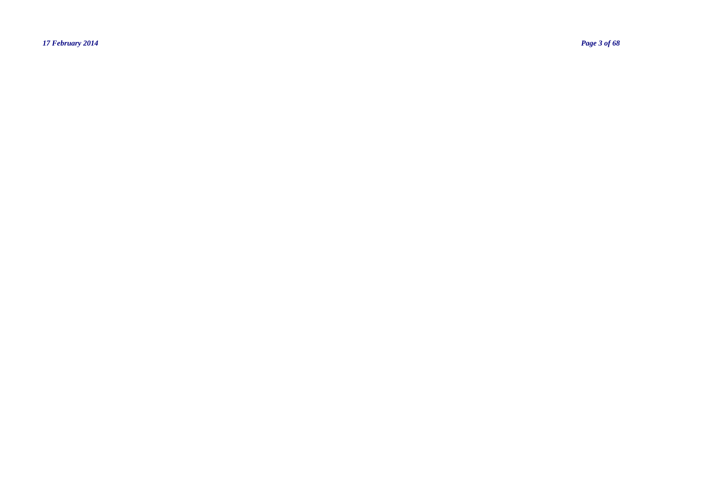*17 February 2014 Page 3 of 68*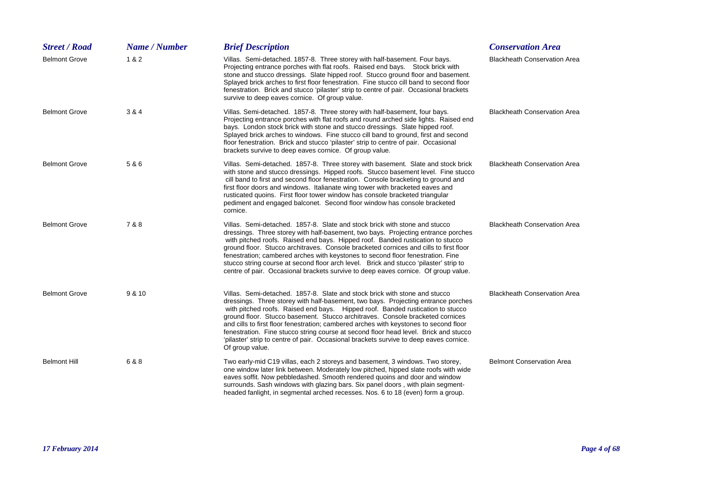| <b>Street / Road</b> | Name / Number | <b>Brief Description</b>                                                                                                                                                                                                                                                                                                                                                                                                                                                                                                                                                                                                         | <b>Conservation Area</b>            |
|----------------------|---------------|----------------------------------------------------------------------------------------------------------------------------------------------------------------------------------------------------------------------------------------------------------------------------------------------------------------------------------------------------------------------------------------------------------------------------------------------------------------------------------------------------------------------------------------------------------------------------------------------------------------------------------|-------------------------------------|
| <b>Belmont Grove</b> | 1&2           | Villas. Semi-detached. 1857-8. Three storey with half-basement. Four bays.<br>Projecting entrance porches with flat roofs. Raised end bays. Stock brick with<br>stone and stucco dressings. Slate hipped roof. Stucco ground floor and basement.<br>Splayed brick arches to first floor fenestration. Fine stucco cill band to second floor<br>fenestration. Brick and stucco 'pilaster' strip to centre of pair. Occasional brackets<br>survive to deep eaves cornice. Of group value.                                                                                                                                          | <b>Blackheath Conservation Area</b> |
| <b>Belmont Grove</b> | 3 & 4         | Villas. Semi-detached. 1857-8. Three storey with half-basement, four bays.<br>Projecting entrance porches with flat roofs and round arched side lights. Raised end<br>bays. London stock brick with stone and stucco dressings. Slate hipped roof.<br>Splayed brick arches to windows. Fine stucco cill band to ground, first and second<br>floor fenestration. Brick and stucco 'pilaster' strip to centre of pair. Occasional<br>brackets survive to deep eaves cornice. Of group value.                                                                                                                                       | <b>Blackheath Conservation Area</b> |
| <b>Belmont Grove</b> | 5 & 6         | Villas. Semi-detached. 1857-8. Three storey with basement. Slate and stock brick<br>with stone and stucco dressings. Hipped roofs. Stucco basement level. Fine stucco<br>cill band to first and second floor fenestration. Console bracketing to ground and<br>first floor doors and windows. Italianate wing tower with bracketed eaves and<br>rusticated quoins. First floor tower window has console bracketed triangular<br>pediment and engaged balconet. Second floor window has console bracketed<br>cornice.                                                                                                             | <b>Blackheath Conservation Area</b> |
| <b>Belmont Grove</b> | 7 & 8         | Villas. Semi-detached. 1857-8. Slate and stock brick with stone and stucco<br>dressings. Three storey with half-basement, two bays. Projecting entrance porches<br>with pitched roofs. Raised end bays. Hipped roof. Banded rustication to stucco<br>ground floor. Stucco architraves. Console bracketed cornices and cills to first floor<br>fenestration; cambered arches with keystones to second floor fenestration. Fine<br>stucco string course at second floor arch level. Brick and stucco 'pilaster' strip to<br>centre of pair. Occasional brackets survive to deep eaves cornice. Of group value.                     | <b>Blackheath Conservation Area</b> |
| <b>Belmont Grove</b> | 9 & 10        | Villas. Semi-detached. 1857-8. Slate and stock brick with stone and stucco<br>dressings. Three storey with half-basement, two bays. Projecting entrance porches<br>with pitched roofs. Raised end bays. Hipped roof. Banded rustication to stucco<br>ground floor. Stucco basement. Stucco architraves. Console bracketed cornices<br>and cills to first floor fenestration; cambered arches with keystones to second floor<br>fenestration. Fine stucco string course at second floor head level. Brick and stucco<br>'pilaster' strip to centre of pair. Occasional brackets survive to deep eaves cornice.<br>Of group value. | <b>Blackheath Conservation Area</b> |
| <b>Belmont Hill</b>  | 6 & 8         | Two early-mid C19 villas, each 2 storeys and basement, 3 windows. Two storey,<br>one window later link between. Moderately low pitched, hipped slate roofs with wide<br>eaves soffit. Now pebbledashed. Smooth rendered quoins and door and window<br>surrounds. Sash windows with glazing bars. Six panel doors, with plain segment-<br>headed fanlight, in segmental arched recesses. Nos. 6 to 18 (even) form a group.                                                                                                                                                                                                        | <b>Belmont Conservation Area</b>    |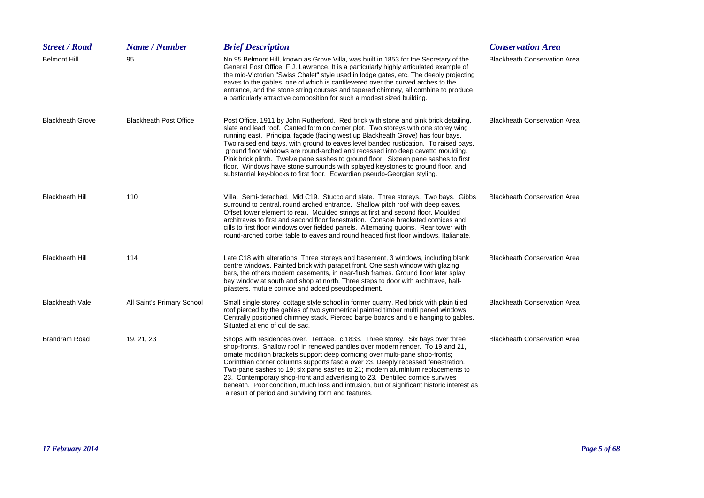| <b>Street / Road</b>    | Name / Number                 | <b>Brief Description</b>                                                                                                                                                                                                                                                                                                                                                                                                                                                                                                                                                                                                                                                                     | <b>Conservation Area</b>            |
|-------------------------|-------------------------------|----------------------------------------------------------------------------------------------------------------------------------------------------------------------------------------------------------------------------------------------------------------------------------------------------------------------------------------------------------------------------------------------------------------------------------------------------------------------------------------------------------------------------------------------------------------------------------------------------------------------------------------------------------------------------------------------|-------------------------------------|
| <b>Belmont Hill</b>     | 95                            | No.95 Belmont Hill, known as Grove Villa, was built in 1853 for the Secretary of the<br>General Post Office, F.J. Lawrence. It is a particularly highly articulated example of<br>the mid-Victorian "Swiss Chalet" style used in lodge gates, etc. The deeply projecting<br>eaves to the gables, one of which is cantilevered over the curved arches to the<br>entrance, and the stone string courses and tapered chimney, all combine to produce<br>a particularly attractive composition for such a modest sized building.                                                                                                                                                                 | <b>Blackheath Conservation Area</b> |
| <b>Blackheath Grove</b> | <b>Blackheath Post Office</b> | Post Office. 1911 by John Rutherford. Red brick with stone and pink brick detailing,<br>slate and lead roof. Canted form on corner plot. Two storeys with one storey wing<br>running east. Principal façade (facing west up Blackheath Grove) has four bays.<br>Two raised end bays, with ground to eaves level banded rustication. To raised bays,<br>ground floor windows are round-arched and recessed into deep cavetto moulding.<br>Pink brick plinth. Twelve pane sashes to ground floor. Sixteen pane sashes to first<br>floor. Windows have stone surrounds with splayed keystones to ground floor, and<br>substantial key-blocks to first floor. Edwardian pseudo-Georgian styling. | <b>Blackheath Conservation Area</b> |
| <b>Blackheath Hill</b>  | 110                           | Villa. Semi-detached. Mid C19. Stucco and slate. Three storeys. Two bays. Gibbs<br>surround to central, round arched entrance. Shallow pitch roof with deep eaves.<br>Offset tower element to rear. Moulded strings at first and second floor. Moulded<br>architraves to first and second floor fenestration. Console bracketed cornices and<br>cills to first floor windows over fielded panels. Alternating quoins. Rear tower with<br>round-arched corbel table to eaves and round headed first floor windows. Italianate.                                                                                                                                                                | <b>Blackheath Conservation Area</b> |
| <b>Blackheath Hill</b>  | 114                           | Late C18 with alterations. Three storeys and basement, 3 windows, including blank<br>centre windows. Painted brick with parapet front. One sash window with glazing<br>bars, the others modern casements, in near-flush frames. Ground floor later splay<br>bay window at south and shop at north. Three steps to door with architrave, half-<br>pilasters, mutule cornice and added pseudopediment.                                                                                                                                                                                                                                                                                         | <b>Blackheath Conservation Area</b> |
| <b>Blackheath Vale</b>  | All Saint's Primary School    | Small single storey cottage style school in former quarry. Red brick with plain tiled<br>roof pierced by the gables of two symmetrical painted timber multi paned windows.<br>Centrally positioned chimney stack. Pierced barge boards and tile hanging to gables.<br>Situated at end of cul de sac.                                                                                                                                                                                                                                                                                                                                                                                         | <b>Blackheath Conservation Area</b> |
| <b>Brandram Road</b>    | 19, 21, 23                    | Shops with residences over. Terrace. c.1833. Three storey. Six bays over three<br>shop-fronts. Shallow roof in renewed pantiles over modern render. To 19 and 21,<br>ornate modillion brackets support deep cornicing over multi-pane shop-fronts;<br>Corinthian corner columns supports fascia over 23. Deeply recessed fenestration.<br>Two-pane sashes to 19; six pane sashes to 21; modern aluminium replacements to<br>23. Contemporary shop-front and advertising to 23. Dentilled cornice survives<br>beneath. Poor condition, much loss and intrusion, but of significant historic interest as<br>a result of period and surviving form and features.                                | <b>Blackheath Conservation Area</b> |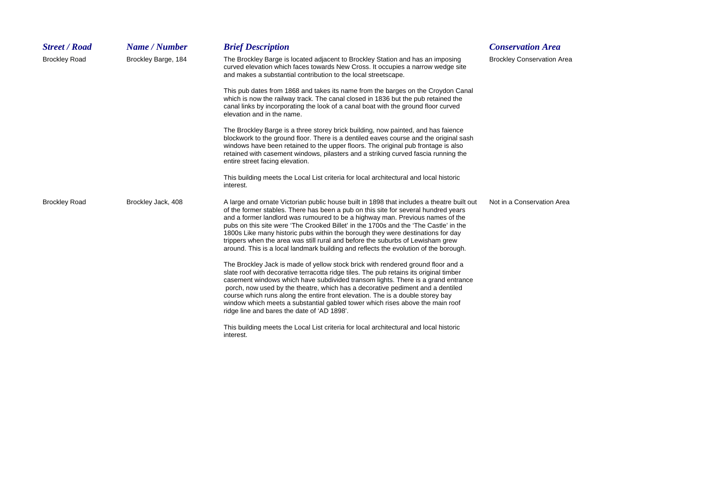| <b>Street / Road</b> | Name / Number       | <b>Brief Description</b>                                                                                                                                                                                                                                                                                                                                                                                                                                                                                                                                                                                              | <b>Conservation Area</b>          |
|----------------------|---------------------|-----------------------------------------------------------------------------------------------------------------------------------------------------------------------------------------------------------------------------------------------------------------------------------------------------------------------------------------------------------------------------------------------------------------------------------------------------------------------------------------------------------------------------------------------------------------------------------------------------------------------|-----------------------------------|
| <b>Brockley Road</b> | Brockley Barge, 184 | The Brockley Barge is located adjacent to Brockley Station and has an imposing<br>curved elevation which faces towards New Cross. It occupies a narrow wedge site<br>and makes a substantial contribution to the local streetscape.                                                                                                                                                                                                                                                                                                                                                                                   | <b>Brockley Conservation Area</b> |
|                      |                     | This pub dates from 1868 and takes its name from the barges on the Croydon Canal<br>which is now the railway track. The canal closed in 1836 but the pub retained the<br>canal links by incorporating the look of a canal boat with the ground floor curved<br>elevation and in the name.                                                                                                                                                                                                                                                                                                                             |                                   |
|                      |                     | The Brockley Barge is a three storey brick building, now painted, and has faience<br>blockwork to the ground floor. There is a dentiled eaves course and the original sash<br>windows have been retained to the upper floors. The original pub frontage is also<br>retained with casement windows, pilasters and a striking curved fascia running the<br>entire street facing elevation.                                                                                                                                                                                                                              |                                   |
|                      |                     | This building meets the Local List criteria for local architectural and local historic<br>interest.                                                                                                                                                                                                                                                                                                                                                                                                                                                                                                                   |                                   |
| <b>Brockley Road</b> | Brockley Jack, 408  | A large and ornate Victorian public house built in 1898 that includes a theatre built out<br>of the former stables. There has been a pub on this site for several hundred years<br>and a former landlord was rumoured to be a highway man. Previous names of the<br>pubs on this site were 'The Crooked Billet' in the 1700s and the 'The Castle' in the<br>1800s Like many historic pubs within the borough they were destinations for day<br>trippers when the area was still rural and before the suburbs of Lewisham grew<br>around. This is a local landmark building and reflects the evolution of the borough. | Not in a Conservation Area        |
|                      |                     | The Brockley Jack is made of yellow stock brick with rendered ground floor and a<br>slate roof with decorative terracotta ridge tiles. The pub retains its original timber<br>casement windows which have subdivided transom lights. There is a grand entrance<br>porch, now used by the theatre, which has a decorative pediment and a dentiled<br>course which runs along the entire front elevation. The is a double storey bay<br>window which meets a substantial gabled tower which rises above the main roof<br>ridge line and bares the date of 'AD 1898'.                                                    |                                   |
|                      |                     | This building meets the Local List criteria for local architectural and local historic<br>interest.                                                                                                                                                                                                                                                                                                                                                                                                                                                                                                                   |                                   |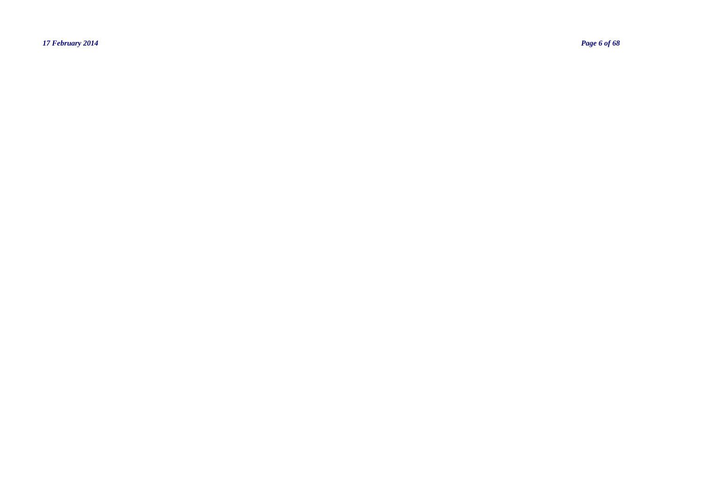*17 February 2014 Page 6 of 68*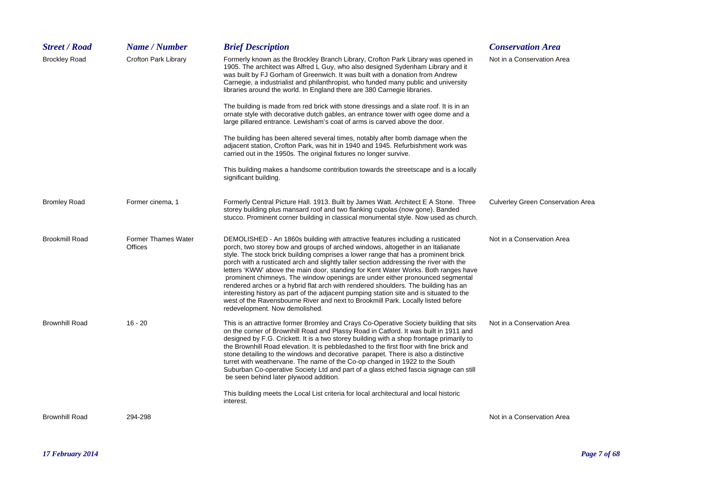| <b>Street / Road</b>  | Name / Number                         | <b>Brief Description</b>                                                                                                                                                                                                                                                                                                                                                                                                                                                                                                                                                                                                                                                                                                                                                                                                        | <b>Conservation Area</b>                 |
|-----------------------|---------------------------------------|---------------------------------------------------------------------------------------------------------------------------------------------------------------------------------------------------------------------------------------------------------------------------------------------------------------------------------------------------------------------------------------------------------------------------------------------------------------------------------------------------------------------------------------------------------------------------------------------------------------------------------------------------------------------------------------------------------------------------------------------------------------------------------------------------------------------------------|------------------------------------------|
| <b>Brockley Road</b>  | Crofton Park Library                  | Formerly known as the Brockley Branch Library, Crofton Park Library was opened in<br>1905. The architect was Alfred L Guy, who also designed Sydenham Library and it<br>was built by FJ Gorham of Greenwich. It was built with a donation from Andrew<br>Carnegie, a industrialist and philanthropist, who funded many public and university<br>libraries around the world. In England there are 380 Carnegie libraries.                                                                                                                                                                                                                                                                                                                                                                                                        | Not in a Conservation Area               |
|                       |                                       | The building is made from red brick with stone dressings and a slate roof. It is in an<br>ornate style with decorative dutch gables, an entrance tower with ogee dome and a<br>large pillared entrance. Lewisham's coat of arms is carved above the door.                                                                                                                                                                                                                                                                                                                                                                                                                                                                                                                                                                       |                                          |
|                       |                                       | The building has been altered several times, notably after bomb damage when the<br>adjacent station, Crofton Park, was hit in 1940 and 1945. Refurbishment work was<br>carried out in the 1950s. The original fixtures no longer survive.                                                                                                                                                                                                                                                                                                                                                                                                                                                                                                                                                                                       |                                          |
|                       |                                       | This building makes a handsome contribution towards the streetscape and is a locally<br>significant building.                                                                                                                                                                                                                                                                                                                                                                                                                                                                                                                                                                                                                                                                                                                   |                                          |
| <b>Bromley Road</b>   | Former cinema, 1                      | Formerly Central Picture Hall. 1913. Built by James Watt. Architect E A Stone. Three<br>storey building plus mansard roof and two flanking cupolas (now gone). Banded<br>stucco. Prominent corner building in classical monumental style. Now used as church.                                                                                                                                                                                                                                                                                                                                                                                                                                                                                                                                                                   | <b>Culverley Green Conservation Area</b> |
| <b>Brookmill Road</b> | <b>Former Thames Water</b><br>Offices | DEMOLISHED - An 1860s building with attractive features including a rusticated<br>porch, two storey bow and groups of arched windows, altogether in an Italianate<br>style. The stock brick building comprises a lower range that has a prominent brick<br>porch with a rusticated arch and slightly taller section addressing the river with the<br>letters 'KWW' above the main door, standing for Kent Water Works. Both ranges have<br>prominent chimneys. The window openings are under either pronounced segmental<br>rendered arches or a hybrid flat arch with rendered shoulders. The building has an<br>interesting history as part of the adjacent pumping station site and is situated to the<br>west of the Ravensbourne River and next to Brookmill Park. Locally listed before<br>redevelopment. Now demolished. | Not in a Conservation Area               |
| <b>Brownhill Road</b> | $16 - 20$                             | This is an attractive former Bromley and Crays Co-Operative Society building that sits<br>on the corner of Brownhill Road and Plassy Road in Catford. It was built in 1911 and<br>designed by F.G. Crickett. It is a two storey building with a shop frontage primarily to<br>the Brownhill Road elevation. It is pebbledashed to the first floor with fine brick and<br>stone detailing to the windows and decorative parapet. There is also a distinctive<br>turret with weathervane. The name of the Co-op changed in 1922 to the South<br>Suburban Co-operative Society Ltd and part of a glass etched fascia signage can still<br>be seen behind later plywood addition.                                                                                                                                                   | Not in a Conservation Area               |
|                       |                                       | This building meets the Local List criteria for local architectural and local historic<br>interest.                                                                                                                                                                                                                                                                                                                                                                                                                                                                                                                                                                                                                                                                                                                             |                                          |
| <b>Brownhill Road</b> | 294-298                               |                                                                                                                                                                                                                                                                                                                                                                                                                                                                                                                                                                                                                                                                                                                                                                                                                                 | Not in a Conservation Area               |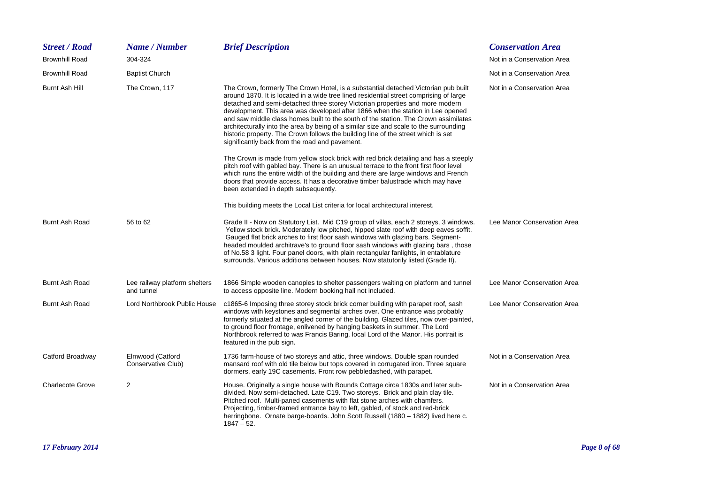| <b>Street / Road</b>    | Name / Number                               | <b>Brief Description</b>                                                                                                                                                                                                                                                                                                                                                                                                                                                                                                                                                                                                                                              | <b>Conservation Area</b>    |
|-------------------------|---------------------------------------------|-----------------------------------------------------------------------------------------------------------------------------------------------------------------------------------------------------------------------------------------------------------------------------------------------------------------------------------------------------------------------------------------------------------------------------------------------------------------------------------------------------------------------------------------------------------------------------------------------------------------------------------------------------------------------|-----------------------------|
| <b>Brownhill Road</b>   | 304-324                                     |                                                                                                                                                                                                                                                                                                                                                                                                                                                                                                                                                                                                                                                                       | Not in a Conservation Area  |
| <b>Brownhill Road</b>   | <b>Baptist Church</b>                       |                                                                                                                                                                                                                                                                                                                                                                                                                                                                                                                                                                                                                                                                       | Not in a Conservation Area  |
| Burnt Ash Hill          | The Crown, 117                              | The Crown, formerly The Crown Hotel, is a substantial detached Victorian pub built<br>around 1870. It is located in a wide tree lined residential street comprising of large<br>detached and semi-detached three storey Victorian properties and more modern<br>development. This area was developed after 1866 when the station in Lee opened<br>and saw middle class homes built to the south of the station. The Crown assimilates<br>architecturally into the area by being of a similar size and scale to the surrounding<br>historic property. The Crown follows the building line of the street which is set<br>significantly back from the road and pavement. | Not in a Conservation Area  |
|                         |                                             | The Crown is made from yellow stock brick with red brick detailing and has a steeply<br>pitch roof with gabled bay. There is an unusual terrace to the front first floor level<br>which runs the entire width of the building and there are large windows and French<br>doors that provide access. It has a decorative timber balustrade which may have<br>been extended in depth subsequently.                                                                                                                                                                                                                                                                       |                             |
|                         |                                             | This building meets the Local List criteria for local architectural interest.                                                                                                                                                                                                                                                                                                                                                                                                                                                                                                                                                                                         |                             |
| <b>Burnt Ash Road</b>   | 56 to 62                                    | Grade II - Now on Statutory List. Mid C19 group of villas, each 2 storeys, 3 windows.<br>Yellow stock brick. Moderately low pitched, hipped slate roof with deep eaves soffit.<br>Gauged flat brick arches to first floor sash windows with glazing bars. Segment-<br>headed moulded architrave's to ground floor sash windows with glazing bars, those<br>of No.58 3 light. Four panel doors, with plain rectangular fanlights, in entablature<br>surrounds. Various additions between houses. Now statutorily listed (Grade II).                                                                                                                                    | Lee Manor Conservation Area |
| <b>Burnt Ash Road</b>   | Lee railway platform shelters<br>and tunnel | 1866 Simple wooden canopies to shelter passengers waiting on platform and tunnel<br>to access opposite line. Modern booking hall not included.                                                                                                                                                                                                                                                                                                                                                                                                                                                                                                                        | Lee Manor Conservation Area |
| Burnt Ash Road          | Lord Northbrook Public House                | c1865-6 Imposing three storey stock brick corner building with parapet roof, sash<br>windows with keystones and segmental arches over. One entrance was probably<br>formerly situated at the angled corner of the building. Glazed tiles, now over-painted,<br>to ground floor frontage, enlivened by hanging baskets in summer. The Lord<br>Northbrook referred to was Francis Baring, local Lord of the Manor. His portrait is<br>featured in the pub sign.                                                                                                                                                                                                         | Lee Manor Conservation Area |
| Catford Broadway        | Elmwood (Catford<br>Conservative Club)      | 1736 farm-house of two storeys and attic, three windows. Double span rounded<br>mansard roof with old tile below but tops covered in corrugated iron. Three square<br>dormers, early 19C casements. Front row pebbledashed, with parapet.                                                                                                                                                                                                                                                                                                                                                                                                                             | Not in a Conservation Area  |
| <b>Charlecote Grove</b> | 2                                           | House. Originally a single house with Bounds Cottage circa 1830s and later sub-<br>divided. Now semi-detached. Late C19. Two storeys. Brick and plain clay tile.<br>Pitched roof. Multi-paned casements with flat stone arches with chamfers.<br>Projecting, timber-framed entrance bay to left, gabled, of stock and red-brick<br>herringbone. Ornate barge-boards. John Scott Russell (1880 - 1882) lived here c.<br>$1847 - 52.$                                                                                                                                                                                                                                   | Not in a Conservation Area  |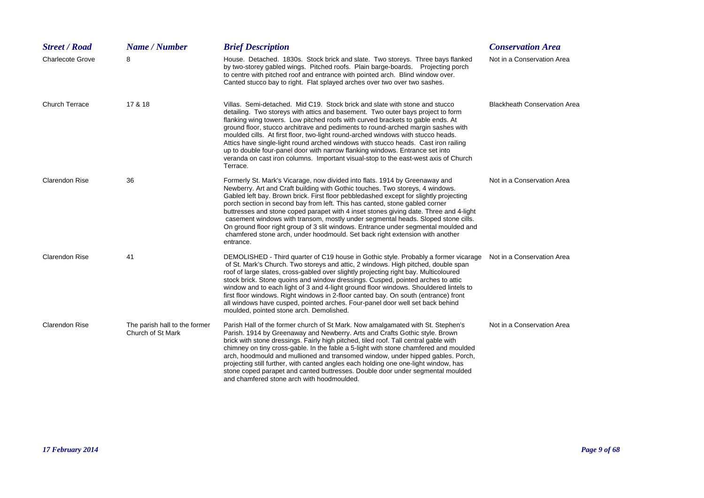| <b>Street / Road</b>    | Name / Number                                      | <b>Brief Description</b>                                                                                                                                                                                                                                                                                                                                                                                                                                                                                                                                                                                                                                                                              | <b>Conservation Area</b>            |
|-------------------------|----------------------------------------------------|-------------------------------------------------------------------------------------------------------------------------------------------------------------------------------------------------------------------------------------------------------------------------------------------------------------------------------------------------------------------------------------------------------------------------------------------------------------------------------------------------------------------------------------------------------------------------------------------------------------------------------------------------------------------------------------------------------|-------------------------------------|
| <b>Charlecote Grove</b> | 8                                                  | House. Detached. 1830s. Stock brick and slate. Two storeys. Three bays flanked<br>by two-storey gabled wings. Pitched roofs. Plain barge-boards. Projecting porch<br>to centre with pitched roof and entrance with pointed arch. Blind window over.<br>Canted stucco bay to right. Flat splayed arches over two over two sashes.                                                                                                                                                                                                                                                                                                                                                                      | Not in a Conservation Area          |
| <b>Church Terrace</b>   | 17 & 18                                            | Villas. Semi-detached. Mid C19. Stock brick and slate with stone and stucco<br>detailing. Two storeys with attics and basement. Two outer bays project to form<br>flanking wing towers. Low pitched roofs with curved brackets to gable ends. At<br>ground floor, stucco architrave and pediments to round-arched margin sashes with<br>moulded cills. At first floor, two-light round-arched windows with stucco heads.<br>Attics have single-light round arched windows with stucco heads. Cast iron railing<br>up to double four-panel door with narrow flanking windows. Entrance set into<br>veranda on cast iron columns. Important visual-stop to the east-west axis of Church<br>Terrace.     | <b>Blackheath Conservation Area</b> |
| <b>Clarendon Rise</b>   | 36                                                 | Formerly St. Mark's Vicarage, now divided into flats. 1914 by Greenaway and<br>Newberry. Art and Craft building with Gothic touches. Two storeys, 4 windows.<br>Gabled left bay. Brown brick. First floor pebbledashed except for slightly projecting<br>porch section in second bay from left. This has canted, stone gabled corner<br>buttresses and stone coped parapet with 4 inset stones giving date. Three and 4-light<br>casement windows with transom, mostly under segmental heads. Sloped stone cills.<br>On ground floor right group of 3 slit windows. Entrance under segmental moulded and<br>chamfered stone arch, under hoodmould. Set back right extension with another<br>entrance. | Not in a Conservation Area          |
| <b>Clarendon Rise</b>   | 41                                                 | DEMOLISHED - Third quarter of C19 house in Gothic style. Probably a former vicarage<br>of St. Mark's Church. Two storeys and attic, 2 windows. High pitched, double span<br>roof of large slates, cross-gabled over slightly projecting right bay. Multicoloured<br>stock brick. Stone quoins and window dressings. Cusped, pointed arches to attic<br>window and to each light of 3 and 4-light ground floor windows. Shouldered lintels to<br>first floor windows. Right windows in 2-floor canted bay. On south (entrance) front<br>all windows have cusped, pointed arches. Four-panel door well set back behind<br>moulded, pointed stone arch. Demolished.                                      | Not in a Conservation Area          |
| <b>Clarendon Rise</b>   | The parish hall to the former<br>Church of St Mark | Parish Hall of the former church of St Mark. Now amalgamated with St. Stephen's<br>Parish. 1914 by Greenaway and Newberry. Arts and Crafts Gothic style. Brown<br>brick with stone dressings. Fairly high pitched, tiled roof. Tall central gable with<br>chimney on tiny cross-gable. In the fable a 5-light with stone chamfered and moulded<br>arch, hoodmould and mullioned and transomed window, under hipped gables. Porch,<br>projecting still further, with canted angles each holding one one-light window, has<br>stone coped parapet and canted buttresses. Double door under segmental moulded<br>and chamfered stone arch with hoodmoulded.                                              | Not in a Conservation Area          |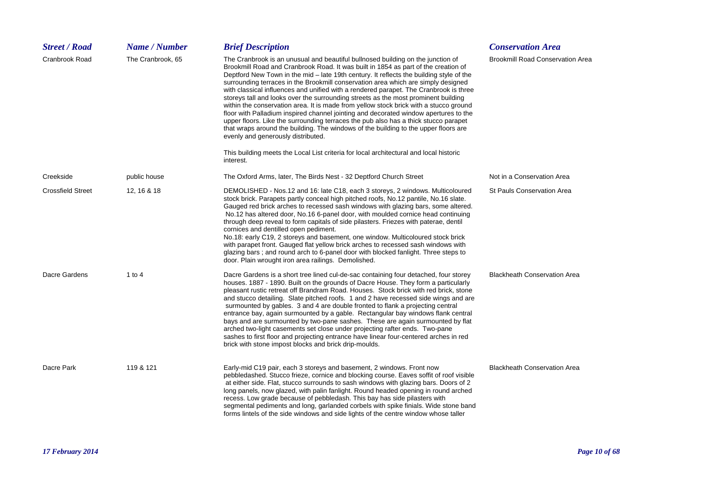| <b>Street / Road</b>     | Name / Number     | <b>Brief Description</b>                                                                                                                                                                                                                                                                                                                                                                                                                                                                                                                                                                                                                                                                                                                                                                                                                                                                                                                  | <b>Conservation Area</b>                |
|--------------------------|-------------------|-------------------------------------------------------------------------------------------------------------------------------------------------------------------------------------------------------------------------------------------------------------------------------------------------------------------------------------------------------------------------------------------------------------------------------------------------------------------------------------------------------------------------------------------------------------------------------------------------------------------------------------------------------------------------------------------------------------------------------------------------------------------------------------------------------------------------------------------------------------------------------------------------------------------------------------------|-----------------------------------------|
| Cranbrook Road           | The Cranbrook, 65 | The Cranbrook is an unusual and beautiful bullnosed building on the junction of<br>Brookmill Road and Cranbrook Road. It was built in 1854 as part of the creation of<br>Deptford New Town in the mid - late 19th century. It reflects the building style of the<br>surrounding terraces in the Brookmill conservation area which are simply designed<br>with classical influences and unified with a rendered parapet. The Cranbrook is three<br>storeys tall and looks over the surrounding streets as the most prominent building<br>within the conservation area. It is made from yellow stock brick with a stucco ground<br>floor with Palladium inspired channel jointing and decorated window apertures to the<br>upper floors. Like the surrounding terraces the pub also has a thick stucco parapet<br>that wraps around the building. The windows of the building to the upper floors are<br>evenly and generously distributed. | <b>Brookmill Road Conservation Area</b> |
|                          |                   | This building meets the Local List criteria for local architectural and local historic<br>interest.                                                                                                                                                                                                                                                                                                                                                                                                                                                                                                                                                                                                                                                                                                                                                                                                                                       |                                         |
| Creekside                | public house      | The Oxford Arms, later, The Birds Nest - 32 Deptford Church Street                                                                                                                                                                                                                                                                                                                                                                                                                                                                                                                                                                                                                                                                                                                                                                                                                                                                        | Not in a Conservation Area              |
| <b>Crossfield Street</b> | 12, 16 & 18       | DEMOLISHED - Nos.12 and 16: late C18, each 3 storeys, 2 windows. Multicoloured<br>stock brick. Parapets partly conceal high pitched roofs, No.12 pantile, No.16 slate.<br>Gauged red brick arches to recessed sash windows with glazing bars, some altered.<br>No.12 has altered door, No.16 6-panel door, with moulded cornice head continuing<br>through deep reveal to form capitals of side pilasters. Friezes with paterae, dentil<br>cornices and dentilled open pediment.<br>No.18: early C19, 2 storeys and basement, one window. Multicoloured stock brick<br>with parapet front. Gauged flat yellow brick arches to recessed sash windows with<br>glazing bars; and round arch to 6-panel door with blocked fanlight. Three steps to<br>door. Plain wrought iron area railings. Demolished.                                                                                                                                     | <b>St Pauls Conservation Area</b>       |
| Dacre Gardens            | 1 to $4$          | Dacre Gardens is a short tree lined cul-de-sac containing four detached, four storey<br>houses. 1887 - 1890. Built on the grounds of Dacre House. They form a particularly<br>pleasant rustic retreat off Brandram Road. Houses. Stock brick with red brick, stone<br>and stucco detailing. Slate pitched roofs. 1 and 2 have recessed side wings and are<br>surmounted by gables. 3 and 4 are double fronted to flank a projecting central<br>entrance bay, again surmounted by a gable. Rectangular bay windows flank central<br>bays and are surmounted by two-pane sashes. These are again surmounted by flat<br>arched two-light casements set close under projecting rafter ends. Two-pane<br>sashes to first floor and projecting entrance have linear four-centered arches in red<br>brick with stone impost blocks and brick drip-moulds.                                                                                        | <b>Blackheath Conservation Area</b>     |
| Dacre Park               | 119 & 121         | Early-mid C19 pair, each 3 storeys and basement, 2 windows. Front now<br>pebbledashed. Stucco frieze, cornice and blocking course. Eaves soffit of roof visible<br>at either side. Flat, stucco surrounds to sash windows with glazing bars. Doors of 2<br>long panels, now glazed, with palin fanlight. Round headed opening in round arched<br>recess. Low grade because of pebbledash. This bay has side pilasters with<br>segmental pediments and long, garlanded corbels with spike finials. Wide stone band<br>forms lintels of the side windows and side lights of the centre window whose taller                                                                                                                                                                                                                                                                                                                                  | <b>Blackheath Conservation Area</b>     |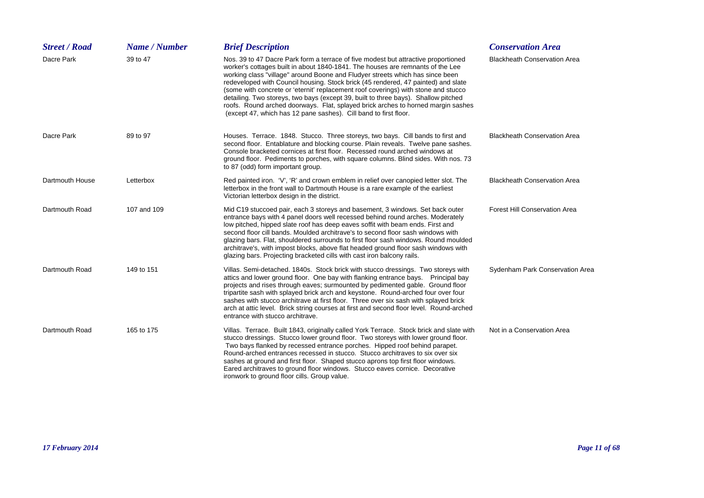| <b>Street / Road</b> | Name / Number | <b>Brief Description</b>                                                                                                                                                                                                                                                                                                                                                                                                                                                                                                                                                                                                                                                       | <b>Conservation Area</b>             |
|----------------------|---------------|--------------------------------------------------------------------------------------------------------------------------------------------------------------------------------------------------------------------------------------------------------------------------------------------------------------------------------------------------------------------------------------------------------------------------------------------------------------------------------------------------------------------------------------------------------------------------------------------------------------------------------------------------------------------------------|--------------------------------------|
| Dacre Park           | 39 to 47      | Nos. 39 to 47 Dacre Park form a terrace of five modest but attractive proportioned<br>worker's cottages built in about 1840-1841. The houses are remnants of the Lee<br>working class "village" around Boone and Fludyer streets which has since been<br>redeveloped with Council housing. Stock brick (45 rendered, 47 painted) and slate<br>(some with concrete or 'eternit' replacement roof coverings) with stone and stucco<br>detailing. Two storeys, two bays (except 39, built to three bays). Shallow pitched<br>roofs. Round arched doorways. Flat, splayed brick arches to horned margin sashes<br>(except 47, which has 12 pane sashes). Cill band to first floor. | <b>Blackheath Conservation Area</b>  |
| Dacre Park           | 89 to 97      | Houses. Terrace. 1848. Stucco. Three storeys, two bays. Cill bands to first and<br>second floor. Entablature and blocking course. Plain reveals. Twelve pane sashes.<br>Console bracketed cornices at first floor. Recessed round arched windows at<br>ground floor. Pediments to porches, with square columns. Blind sides. With nos. 73<br>to 87 (odd) form important group.                                                                                                                                                                                                                                                                                                 | <b>Blackheath Conservation Area</b>  |
| Dartmouth House      | Letterbox     | Red painted iron. 'V', 'R' and crown emblem in relief over canopied letter slot. The<br>letterbox in the front wall to Dartmouth House is a rare example of the earliest<br>Victorian letterbox design in the district.                                                                                                                                                                                                                                                                                                                                                                                                                                                        | <b>Blackheath Conservation Area</b>  |
| Dartmouth Road       | 107 and 109   | Mid C19 stuccoed pair, each 3 storeys and basement, 3 windows. Set back outer<br>entrance bays with 4 panel doors well recessed behind round arches. Moderately<br>low pitched, hipped slate roof has deep eaves soffit with beam ends. First and<br>second floor cill bands. Moulded architrave's to second floor sash windows with<br>glazing bars. Flat, shouldered surrounds to first floor sash windows. Round moulded<br>architrave's, with impost blocks, above flat headed ground floor sash windows with<br>glazing bars. Projecting bracketed cills with cast iron balcony rails.                                                                                    | <b>Forest Hill Conservation Area</b> |
| Dartmouth Road       | 149 to 151    | Villas. Semi-detached. 1840s. Stock brick with stucco dressings. Two storeys with<br>attics and lower ground floor. One bay with flanking entrance bays. Principal bay<br>projects and rises through eaves; surmounted by pedimented gable. Ground floor<br>tripartite sash with splayed brick arch and keystone. Round-arched four over four<br>sashes with stucco architrave at first floor. Three over six sash with splayed brick<br>arch at attic level. Brick string courses at first and second floor level. Round-arched<br>entrance with stucco architrave.                                                                                                           | Sydenham Park Conservation Area      |
| Dartmouth Road       | 165 to 175    | Villas. Terrace. Built 1843, originally called York Terrace. Stock brick and slate with<br>stucco dressings. Stucco lower ground floor. Two storeys with lower ground floor.<br>Two bays flanked by recessed entrance porches. Hipped roof behind parapet.<br>Round-arched entrances recessed in stucco. Stucco architraves to six over six<br>sashes at ground and first floor. Shaped stucco aprons top first floor windows.<br>Eared architraves to ground floor windows. Stucco eaves cornice. Decorative<br>ironwork to ground floor cills. Group value.                                                                                                                  | Not in a Conservation Area           |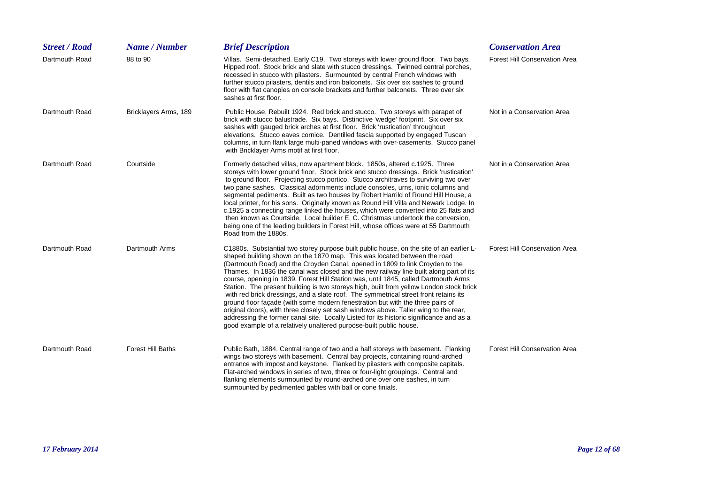| <b>Street / Road</b> | Name / Number            | <b>Brief Description</b>                                                                                                                                                                                                                                                                                                                                                                                                                                                                                                                                                                                                                                                                                                                                                                                                                                                                                                                                           | <b>Conservation Area</b>             |
|----------------------|--------------------------|--------------------------------------------------------------------------------------------------------------------------------------------------------------------------------------------------------------------------------------------------------------------------------------------------------------------------------------------------------------------------------------------------------------------------------------------------------------------------------------------------------------------------------------------------------------------------------------------------------------------------------------------------------------------------------------------------------------------------------------------------------------------------------------------------------------------------------------------------------------------------------------------------------------------------------------------------------------------|--------------------------------------|
| Dartmouth Road       | 88 to 90                 | Villas. Semi-detached. Early C19. Two storeys with lower ground floor. Two bays.<br>Hipped roof. Stock brick and slate with stucco dressings. Twinned central porches,<br>recessed in stucco with pilasters. Surmounted by central French windows with<br>further stucco pilasters, dentils and iron balconets. Six over six sashes to ground<br>floor with flat canopies on console brackets and further balconets. Three over six<br>sashes at first floor.                                                                                                                                                                                                                                                                                                                                                                                                                                                                                                      | <b>Forest Hill Conservation Area</b> |
| Dartmouth Road       | Bricklayers Arms, 189    | Public House. Rebuilt 1924. Red brick and stucco. Two storeys with parapet of<br>brick with stucco balustrade. Six bays. Distinctive 'wedge' footprint. Six over six<br>sashes with gauged brick arches at first floor. Brick 'rustication' throughout<br>elevations. Stucco eaves cornice. Dentilled fascia supported by engaged Tuscan<br>columns, in turn flank large multi-paned windows with over-casements. Stucco panel<br>with Bricklayer Arms motif at first floor.                                                                                                                                                                                                                                                                                                                                                                                                                                                                                       | Not in a Conservation Area           |
| Dartmouth Road       | Courtside                | Formerly detached villas, now apartment block. 1850s, altered c.1925. Three<br>storeys with lower ground floor. Stock brick and stucco dressings. Brick 'rustication'<br>to ground floor. Projecting stucco portico. Stucco architraves to surviving two over<br>two pane sashes. Classical adornments include consoles, urns, ionic columns and<br>segmental pediments. Built as two houses by Robert Harrild of Round Hill House, a<br>local printer, for his sons. Originally known as Round Hill Villa and Newark Lodge. In<br>c.1925 a connecting range linked the houses, which were converted into 25 flats and<br>then known as Courtside. Local builder E. C. Christmas undertook the conversion,<br>being one of the leading builders in Forest Hill, whose offices were at 55 Dartmouth<br>Road from the 1880s.                                                                                                                                         | Not in a Conservation Area           |
| Dartmouth Road       | Dartmouth Arms           | C1880s. Substantial two storey purpose built public house, on the site of an earlier L-<br>shaped building shown on the 1870 map. This was located between the road<br>(Dartmouth Road) and the Croyden Canal, opened in 1809 to link Croyden to the<br>Thames. In 1836 the canal was closed and the new railway line built along part of its<br>course, opening in 1839. Forest Hill Station was, until 1845, called Dartmouth Arms<br>Station. The present building is two storeys high, built from yellow London stock brick<br>with red brick dressings, and a slate roof. The symmetrical street front retains its<br>ground floor façade (with some modern fenestration but with the three pairs of<br>original doors), with three closely set sash windows above. Taller wing to the rear,<br>addressing the former canal site. Locally Listed for its historic significance and as a<br>good example of a relatively unaltered purpose-built public house. | <b>Forest Hill Conservation Area</b> |
| Dartmouth Road       | <b>Forest Hill Baths</b> | Public Bath, 1884. Central range of two and a half storeys with basement. Flanking<br>wings two storeys with basement. Central bay projects, containing round-arched<br>entrance with impost and keystone. Flanked by pilasters with composite capitals.<br>Flat-arched windows in series of two, three or four-light groupings. Central and<br>flanking elements surmounted by round-arched one over one sashes, in turn<br>surmounted by pedimented gables with ball or cone finials.                                                                                                                                                                                                                                                                                                                                                                                                                                                                            | <b>Forest Hill Conservation Area</b> |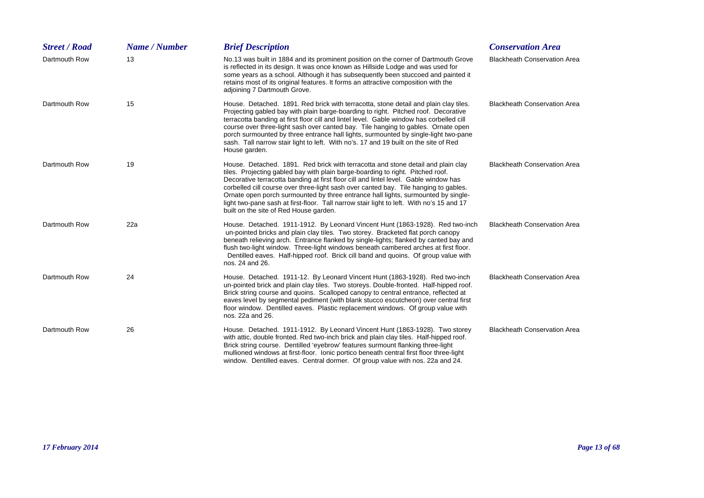| <b>Street / Road</b> | Name / Number | <b>Brief Description</b>                                                                                                                                                                                                                                                                                                                                                                                                                                                                                                                                                      | <b>Conservation Area</b>            |
|----------------------|---------------|-------------------------------------------------------------------------------------------------------------------------------------------------------------------------------------------------------------------------------------------------------------------------------------------------------------------------------------------------------------------------------------------------------------------------------------------------------------------------------------------------------------------------------------------------------------------------------|-------------------------------------|
| Dartmouth Row        | 13            | No.13 was built in 1884 and its prominent position on the corner of Dartmouth Grove<br>is reflected in its design. It was once known as Hillside Lodge and was used for<br>some years as a school. Although it has subsequently been stuccoed and painted it<br>retains most of its original features. It forms an attractive composition with the<br>adjoining 7 Dartmouth Grove.                                                                                                                                                                                            | <b>Blackheath Conservation Area</b> |
| Dartmouth Row        | 15            | House. Detached. 1891. Red brick with terracotta, stone detail and plain clay tiles.<br>Projecting gabled bay with plain barge-boarding to right. Pitched roof. Decorative<br>terracotta banding at first floor cill and lintel level. Gable window has corbelled cill<br>course over three-light sash over canted bay. Tile hanging to gables. Ornate open<br>porch surmounted by three entrance hall lights, surmounted by single-light two-pane<br>sash. Tall narrow stair light to left. With no's. 17 and 19 built on the site of Red<br>House garden.                   | <b>Blackheath Conservation Area</b> |
| Dartmouth Row        | 19            | House. Detached. 1891. Red brick with terracotta and stone detail and plain clay<br>tiles. Projecting gabled bay with plain barge-boarding to right. Pitched roof.<br>Decorative terracotta banding at first floor cill and lintel level. Gable window has<br>corbelled cill course over three-light sash over canted bay. Tile hanging to gables.<br>Ornate open porch surmounted by three entrance hall lights, surmounted by single-<br>light two-pane sash at first-floor. Tall narrow stair light to left. With no's 15 and 17<br>built on the site of Red House garden. | <b>Blackheath Conservation Area</b> |
| Dartmouth Row        | 22a           | House. Detached. 1911-1912. By Leonard Vincent Hunt (1863-1928). Red two-inch<br>un-pointed bricks and plain clay tiles. Two storey. Bracketed flat porch canopy<br>beneath relieving arch. Entrance flanked by single-lights; flanked by canted bay and<br>flush two-light window. Three-light windows beneath cambered arches at first floor.<br>Dentilled eaves. Half-hipped roof. Brick cill band and quoins. Of group value with<br>nos. 24 and 26.                                                                                                                      | <b>Blackheath Conservation Area</b> |
| Dartmouth Row        | 24            | House. Detached. 1911-12. By Leonard Vincent Hunt (1863-1928). Red two-inch<br>un-pointed brick and plain clay tiles. Two storeys. Double-fronted. Half-hipped roof.<br>Brick string course and quoins. Scalloped canopy to central entrance, reflected at<br>eaves level by segmental pediment (with blank stucco escutcheon) over central first<br>floor window. Dentilled eaves. Plastic replacement windows. Of group value with<br>nos. 22a and 26.                                                                                                                      | <b>Blackheath Conservation Area</b> |
| Dartmouth Row        | 26            | House. Detached. 1911-1912. By Leonard Vincent Hunt (1863-1928). Two storey<br>with attic, double fronted. Red two-inch brick and plain clay tiles. Half-hipped roof.<br>Brick string course. Dentilled 'eyebrow' features surmount flanking three-light<br>mullioned windows at first-floor. Ionic portico beneath central first floor three-light<br>window. Dentilled eaves. Central dormer. Of group value with nos. 22a and 24.                                                                                                                                          | <b>Blackheath Conservation Area</b> |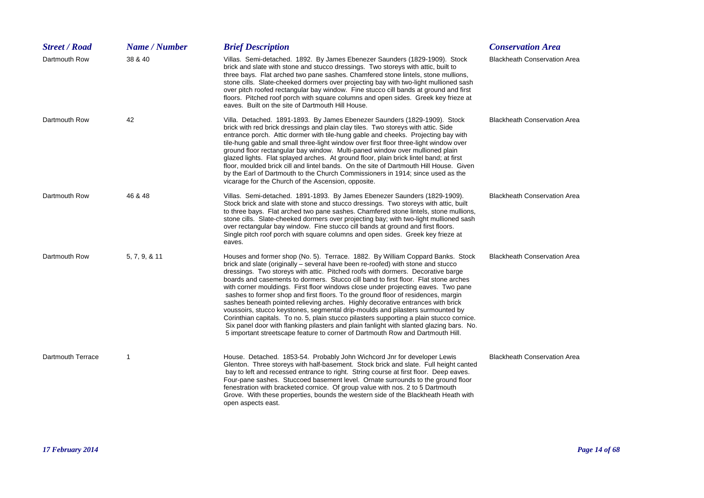| <b>Street / Road</b>     | Name / Number | <b>Brief Description</b>                                                                                                                                                                                                                                                                                                                                                                                                                                                                                                                                                                                                                                                                                                                                                                                                                                                                                                                                              | <b>Conservation Area</b>            |
|--------------------------|---------------|-----------------------------------------------------------------------------------------------------------------------------------------------------------------------------------------------------------------------------------------------------------------------------------------------------------------------------------------------------------------------------------------------------------------------------------------------------------------------------------------------------------------------------------------------------------------------------------------------------------------------------------------------------------------------------------------------------------------------------------------------------------------------------------------------------------------------------------------------------------------------------------------------------------------------------------------------------------------------|-------------------------------------|
| Dartmouth Row            | 38 & 40       | Villas. Semi-detached. 1892. By James Ebenezer Saunders (1829-1909). Stock<br>brick and slate with stone and stucco dressings. Two storeys with attic, built to<br>three bays. Flat arched two pane sashes. Chamfered stone lintels, stone mullions,<br>stone cills. Slate-cheeked dormers over projecting bay with two-light mullioned sash<br>over pitch roofed rectangular bay window. Fine stucco cill bands at ground and first<br>floors. Pitched roof porch with square columns and open sides. Greek key frieze at<br>eaves. Built on the site of Dartmouth Hill House.                                                                                                                                                                                                                                                                                                                                                                                       | <b>Blackheath Conservation Area</b> |
| Dartmouth Row            | 42            | Villa. Detached. 1891-1893. By James Ebenezer Saunders (1829-1909). Stock<br>brick with red brick dressings and plain clay tiles. Two storeys with attic. Side<br>entrance porch. Attic dormer with tile-hung gable and cheeks. Projecting bay with<br>tile-hung gable and small three-light window over first floor three-light window over<br>ground floor rectangular bay window. Multi-paned window over mullioned plain<br>glazed lights. Flat splayed arches. At ground floor, plain brick lintel band; at first<br>floor, moulded brick cill and lintel bands. On the site of Dartmouth Hill House. Given<br>by the Earl of Dartmouth to the Church Commissioners in 1914; since used as the<br>vicarage for the Church of the Ascension, opposite.                                                                                                                                                                                                            | <b>Blackheath Conservation Area</b> |
| Dartmouth Row            | 46 & 48       | Villas. Semi-detached. 1891-1893. By James Ebenezer Saunders (1829-1909).<br>Stock brick and slate with stone and stucco dressings. Two storeys with attic, built<br>to three bays. Flat arched two pane sashes. Chamfered stone lintels, stone mullions,<br>stone cills. Slate-cheeked dormers over projecting bay; with two-light mullioned sash<br>over rectangular bay window. Fine stucco cill bands at ground and first floors.<br>Single pitch roof porch with square columns and open sides. Greek key frieze at<br>eaves.                                                                                                                                                                                                                                                                                                                                                                                                                                    | <b>Blackheath Conservation Area</b> |
| Dartmouth Row            | 5, 7, 9, & 11 | Houses and former shop (No. 5). Terrace. 1882. By William Coppard Banks. Stock<br>brick and slate (originally - several have been re-roofed) with stone and stucco<br>dressings. Two storeys with attic. Pitched roofs with dormers. Decorative barge<br>boards and casements to dormers. Stucco cill band to first floor. Flat stone arches<br>with corner mouldings. First floor windows close under projecting eaves. Two pane<br>sashes to former shop and first floors. To the ground floor of residences, margin<br>sashes beneath pointed relieving arches. Highly decorative entrances with brick<br>voussoirs, stucco keystones, segmental drip-moulds and pilasters surmounted by<br>Corinthian capitals. To no. 5, plain stucco pilasters supporting a plain stucco cornice.<br>Six panel door with flanking pilasters and plain fanlight with slanted glazing bars. No.<br>5 important streetscape feature to corner of Dartmouth Row and Dartmouth Hill. | <b>Blackheath Conservation Area</b> |
| <b>Dartmouth Terrace</b> | -1            | House. Detached. 1853-54. Probably John Wichcord Jnr for developer Lewis<br>Glenton. Three storeys with half-basement. Stock brick and slate. Full height canted<br>bay to left and recessed entrance to right. String course at first floor. Deep eaves.<br>Four-pane sashes. Stuccoed basement level. Ornate surrounds to the ground floor<br>fenestration with bracketed cornice. Of group value with nos. 2 to 5 Dartmouth<br>Grove. With these properties, bounds the western side of the Blackheath Heath with<br>open aspects east.                                                                                                                                                                                                                                                                                                                                                                                                                            | <b>Blackheath Conservation Area</b> |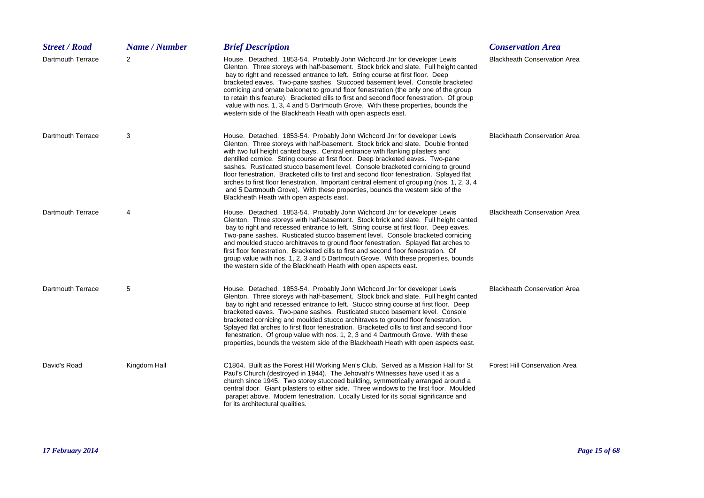| <b>Street / Road</b> | Name / Number | <b>Brief Description</b>                                                                                                                                                                                                                                                                                                                                                                                                                                                                                                                                                                                                                                                                                                                    | <b>Conservation Area</b>             |
|----------------------|---------------|---------------------------------------------------------------------------------------------------------------------------------------------------------------------------------------------------------------------------------------------------------------------------------------------------------------------------------------------------------------------------------------------------------------------------------------------------------------------------------------------------------------------------------------------------------------------------------------------------------------------------------------------------------------------------------------------------------------------------------------------|--------------------------------------|
| Dartmouth Terrace    | 2             | House. Detached. 1853-54. Probably John Wichcord Jnr for developer Lewis<br>Glenton. Three storeys with half-basement. Stock brick and slate. Full height canted<br>bay to right and recessed entrance to left. String course at first floor. Deep<br>bracketed eaves. Two-pane sashes. Stuccoed basement level. Console bracketed<br>cornicing and ornate balconet to ground floor fenestration (the only one of the group<br>to retain this feature). Bracketed cills to first and second floor fenestration. Of group<br>value with nos. 1, 3, 4 and 5 Dartmouth Grove. With these properties, bounds the<br>western side of the Blackheath Heath with open aspects east.                                                                | <b>Blackheath Conservation Area</b>  |
| Dartmouth Terrace    | 3             | House. Detached. 1853-54. Probably John Wichcord Jnr for developer Lewis<br>Glenton. Three storeys with half-basement. Stock brick and slate. Double fronted<br>with two full height canted bays. Central entrance with flanking pilasters and<br>dentilled cornice. String course at first floor. Deep bracketed eaves. Two-pane<br>sashes. Rusticated stucco basement level. Console bracketed cornicing to ground<br>floor fenestration. Bracketed cills to first and second floor fenestration. Splayed flat<br>arches to first floor fenestration. Important central element of grouping (nos. 1, 2, 3, 4<br>and 5 Dartmouth Grove). With these properties, bounds the western side of the<br>Blackheath Heath with open aspects east. | <b>Blackheath Conservation Area</b>  |
| Dartmouth Terrace    | 4             | House. Detached. 1853-54. Probably John Wichcord Jnr for developer Lewis<br>Glenton. Three storeys with half-basement. Stock brick and slate. Full height canted<br>bay to right and recessed entrance to left. String course at first floor. Deep eaves.<br>Two-pane sashes. Rusticated stucco basement level. Console bracketed cornicing<br>and moulded stucco architraves to ground floor fenestration. Splayed flat arches to<br>first floor fenestration. Bracketed cills to first and second floor fenestration. Of<br>group value with nos. 1, 2, 3 and 5 Dartmouth Grove. With these properties, bounds<br>the western side of the Blackheath Heath with open aspects east.                                                        | <b>Blackheath Conservation Area</b>  |
| Dartmouth Terrace    | 5             | House. Detached. 1853-54. Probably John Wichcord Jnr for developer Lewis<br>Glenton. Three storeys with half-basement. Stock brick and slate. Full height canted<br>bay to right and recessed entrance to left. Stucco string course at first floor. Deep<br>bracketed eaves. Two-pane sashes. Rusticated stucco basement level. Console<br>bracketed cornicing and moulded stucco architraves to ground floor fenestration.<br>Splayed flat arches to first floor fenestration. Bracketed cills to first and second floor<br>fenestration. Of group value with nos. 1, 2, 3 and 4 Dartmouth Grove. With these<br>properties, bounds the western side of the Blackheath Heath with open aspects east.                                       | <b>Blackheath Conservation Area</b>  |
| David's Road         | Kingdom Hall  | C1864. Built as the Forest Hill Working Men's Club. Served as a Mission Hall for St<br>Paul's Church (destroyed in 1944). The Jehovah's Witnesses have used it as a<br>church since 1945. Two storey stuccoed building, symmetrically arranged around a<br>central door. Giant pilasters to either side. Three windows to the first floor. Moulded<br>parapet above. Modern fenestration. Locally Listed for its social significance and<br>for its architectural qualities.                                                                                                                                                                                                                                                                | <b>Forest Hill Conservation Area</b> |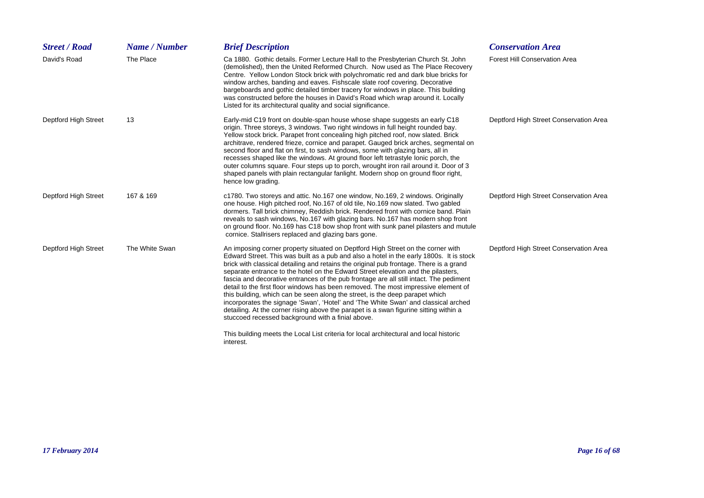| <b>Street / Road</b> | Name / Number  | <b>Brief Description</b>                                                                                                                                                                                                                                                                                                                                                                                                                                                                                                                                                                                                                                                                                                                                                                                                                                     | <b>Conservation Area</b>               |
|----------------------|----------------|--------------------------------------------------------------------------------------------------------------------------------------------------------------------------------------------------------------------------------------------------------------------------------------------------------------------------------------------------------------------------------------------------------------------------------------------------------------------------------------------------------------------------------------------------------------------------------------------------------------------------------------------------------------------------------------------------------------------------------------------------------------------------------------------------------------------------------------------------------------|----------------------------------------|
| David's Road         | The Place      | Ca 1880. Gothic details. Former Lecture Hall to the Presbyterian Church St. John<br>(demolished), then the United Reformed Church. Now used as The Place Recovery<br>Centre. Yellow London Stock brick with polychromatic red and dark blue bricks for<br>window arches, banding and eaves. Fishscale slate roof covering. Decorative<br>bargeboards and gothic detailed timber tracery for windows in place. This building<br>was constructed before the houses in David's Road which wrap around it. Locally<br>Listed for its architectural quality and social significance.                                                                                                                                                                                                                                                                              | <b>Forest Hill Conservation Area</b>   |
| Deptford High Street | 13             | Early-mid C19 front on double-span house whose shape suggests an early C18<br>origin. Three storeys, 3 windows. Two right windows in full height rounded bay.<br>Yellow stock brick. Parapet front concealing high pitched roof, now slated. Brick<br>architrave, rendered frieze, cornice and parapet. Gauged brick arches, segmental on<br>second floor and flat on first, to sash windows, some with glazing bars, all in<br>recesses shaped like the windows. At ground floor left tetrastyle lonic porch, the<br>outer columns square. Four steps up to porch, wrought iron rail around it. Door of 3<br>shaped panels with plain rectangular fanlight. Modern shop on ground floor right,<br>hence low grading.                                                                                                                                        | Deptford High Street Conservation Area |
| Deptford High Street | 167 & 169      | c1780. Two storeys and attic. No.167 one window, No.169, 2 windows. Originally<br>one house. High pitched roof, No.167 of old tile, No.169 now slated. Two gabled<br>dormers. Tall brick chimney, Reddish brick. Rendered front with cornice band. Plain<br>reveals to sash windows, No.167 with glazing bars. No.167 has modern shop front<br>on ground floor. No.169 has C18 bow shop front with sunk panel pilasters and mutule<br>cornice. Stallrisers replaced and glazing bars gone.                                                                                                                                                                                                                                                                                                                                                                   | Deptford High Street Conservation Area |
| Deptford High Street | The White Swan | An imposing corner property situated on Deptford High Street on the corner with<br>Edward Street. This was built as a pub and also a hotel in the early 1800s. It is stock<br>brick with classical detailing and retains the original pub frontage. There is a grand<br>separate entrance to the hotel on the Edward Street elevation and the pilasters,<br>fascia and decorative entrances of the pub frontage are all still intact. The pediment<br>detail to the first floor windows has been removed. The most impressive element of<br>this building, which can be seen along the street, is the deep parapet which<br>incorporates the signage 'Swan', 'Hotel' and 'The White Swan' and classical arched<br>detailing. At the corner rising above the parapet is a swan figurine sitting within a<br>stuccoed recessed background with a finial above. | Deptford High Street Conservation Area |
|                      |                | This building meets the Local List criteria for local architectural and local historic<br>interest.                                                                                                                                                                                                                                                                                                                                                                                                                                                                                                                                                                                                                                                                                                                                                          |                                        |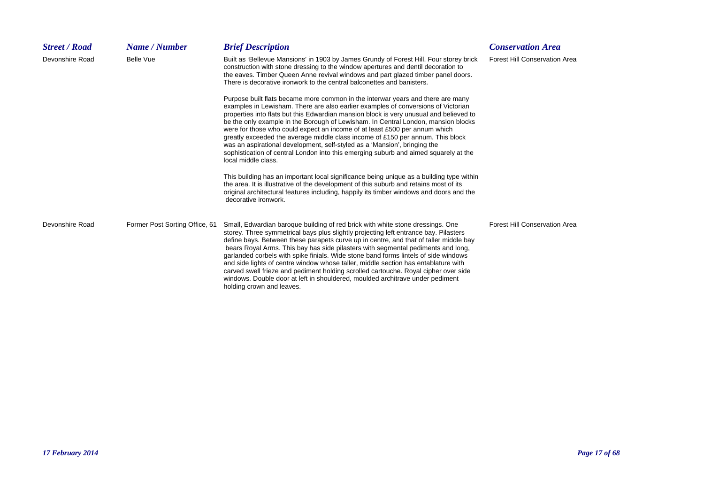| <b>Street / Road</b> | Name / Number                  | <b>Brief Description</b>                                                                                                                                                                                                                                                                                                                                                                                                                                                                                                                                                                                                                                                                                                              | <b>Conservation Area</b>             |
|----------------------|--------------------------------|---------------------------------------------------------------------------------------------------------------------------------------------------------------------------------------------------------------------------------------------------------------------------------------------------------------------------------------------------------------------------------------------------------------------------------------------------------------------------------------------------------------------------------------------------------------------------------------------------------------------------------------------------------------------------------------------------------------------------------------|--------------------------------------|
| Devonshire Road      | <b>Belle Vue</b>               | Built as 'Bellevue Mansions' in 1903 by James Grundy of Forest Hill. Four storey brick<br>construction with stone dressing to the window apertures and dentil decoration to<br>the eaves. Timber Queen Anne revival windows and part glazed timber panel doors.<br>There is decorative ironwork to the central balconettes and banisters.                                                                                                                                                                                                                                                                                                                                                                                             | <b>Forest Hill Conservation Area</b> |
|                      |                                | Purpose built flats became more common in the interwar years and there are many<br>examples in Lewisham. There are also earlier examples of conversions of Victorian<br>properties into flats but this Edwardian mansion block is very unusual and believed to<br>be the only example in the Borough of Lewisham. In Central London, mansion blocks<br>were for those who could expect an income of at least £500 per annum which<br>greatly exceeded the average middle class income of £150 per annum. This block<br>was an aspirational development, self-styled as a 'Mansion', bringing the<br>sophistication of central London into this emerging suburb and aimed squarely at the<br>local middle class.                       |                                      |
|                      |                                | This building has an important local significance being unique as a building type within<br>the area. It is illustrative of the development of this suburb and retains most of its<br>original architectural features including, happily its timber windows and doors and the<br>decorative ironwork.                                                                                                                                                                                                                                                                                                                                                                                                                                 |                                      |
| Devonshire Road      | Former Post Sorting Office, 61 | Small, Edwardian baroque building of red brick with white stone dressings. One<br>storey. Three symmetrical bays plus slightly projecting left entrance bay. Pilasters<br>define bays. Between these parapets curve up in centre, and that of taller middle bay<br>bears Royal Arms. This bay has side pilasters with segmental pediments and long,<br>garlanded corbels with spike finials. Wide stone band forms lintels of side windows<br>and side lights of centre window whose taller, middle section has entablature with<br>carved swell frieze and pediment holding scrolled cartouche. Royal cipher over side<br>windows. Double door at left in shouldered, moulded architrave under pediment<br>holding crown and leaves. | <b>Forest Hill Conservation Area</b> |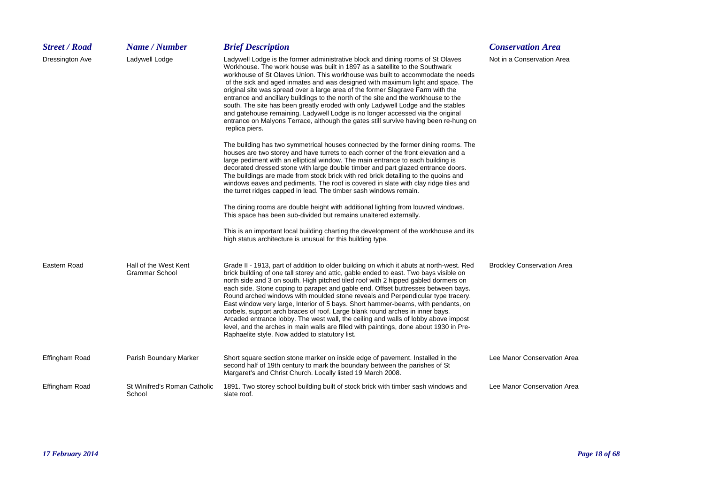| <b>Street / Road</b> | Name / Number                                  | <b>Brief Description</b>                                                                                                                                                                                                                                                                                                                                                                                                                                                                                                                                                                                                                                                                                                                                                                                                                                | <b>Conservation Area</b>          |
|----------------------|------------------------------------------------|---------------------------------------------------------------------------------------------------------------------------------------------------------------------------------------------------------------------------------------------------------------------------------------------------------------------------------------------------------------------------------------------------------------------------------------------------------------------------------------------------------------------------------------------------------------------------------------------------------------------------------------------------------------------------------------------------------------------------------------------------------------------------------------------------------------------------------------------------------|-----------------------------------|
| Dressington Ave      | Ladywell Lodge                                 | Ladywell Lodge is the former administrative block and dining rooms of St Olaves<br>Workhouse. The work house was built in 1897 as a satellite to the Southwark<br>workhouse of St Olaves Union. This workhouse was built to accommodate the needs<br>of the sick and aged inmates and was designed with maximum light and space. The<br>original site was spread over a large area of the former Slagrave Farm with the<br>entrance and ancillary buildings to the north of the site and the workhouse to the<br>south. The site has been greatly eroded with only Ladywell Lodge and the stables<br>and gatehouse remaining. Ladywell Lodge is no longer accessed via the original<br>entrance on Malyons Terrace, although the gates still survive having been re-hung on<br>replica piers.                                                           | Not in a Conservation Area        |
|                      |                                                | The building has two symmetrical houses connected by the former dining rooms. The<br>houses are two storey and have turrets to each corner of the front elevation and a<br>large pediment with an elliptical window. The main entrance to each building is<br>decorated dressed stone with large double timber and part glazed entrance doors.<br>The buildings are made from stock brick with red brick detailing to the quoins and<br>windows eaves and pediments. The roof is covered in slate with clay ridge tiles and<br>the turret ridges capped in lead. The timber sash windows remain.                                                                                                                                                                                                                                                        |                                   |
|                      |                                                | The dining rooms are double height with additional lighting from louvred windows.<br>This space has been sub-divided but remains unaltered externally.                                                                                                                                                                                                                                                                                                                                                                                                                                                                                                                                                                                                                                                                                                  |                                   |
|                      |                                                | This is an important local building charting the development of the workhouse and its<br>high status architecture is unusual for this building type.                                                                                                                                                                                                                                                                                                                                                                                                                                                                                                                                                                                                                                                                                                    |                                   |
| Eastern Road         | Hall of the West Kent<br><b>Grammar School</b> | Grade II - 1913, part of addition to older building on which it abuts at north-west. Red<br>brick building of one tall storey and attic, gable ended to east. Two bays visible on<br>north side and 3 on south. High pitched tiled roof with 2 hipped gabled dormers on<br>each side. Stone coping to parapet and gable end. Offset buttresses between bays.<br>Round arched windows with moulded stone reveals and Perpendicular type tracery.<br>East window very large, Interior of 5 bays. Short hammer-beams, with pendants, on<br>corbels, support arch braces of roof. Large blank round arches in inner bays.<br>Arcaded entrance lobby. The west wall, the ceiling and walls of lobby above impost<br>level, and the arches in main walls are filled with paintings, done about 1930 in Pre-<br>Raphaelite style. Now added to statutory list. | <b>Brockley Conservation Area</b> |
| Effingham Road       | Parish Boundary Marker                         | Short square section stone marker on inside edge of pavement. Installed in the<br>second half of 19th century to mark the boundary between the parishes of St<br>Margaret's and Christ Church. Locally listed 19 March 2008.                                                                                                                                                                                                                                                                                                                                                                                                                                                                                                                                                                                                                            | Lee Manor Conservation Area       |
| Effingham Road       | St Winifred's Roman Catholic<br>School         | 1891. Two storey school building built of stock brick with timber sash windows and<br>slate roof.                                                                                                                                                                                                                                                                                                                                                                                                                                                                                                                                                                                                                                                                                                                                                       | Lee Manor Conservation Area       |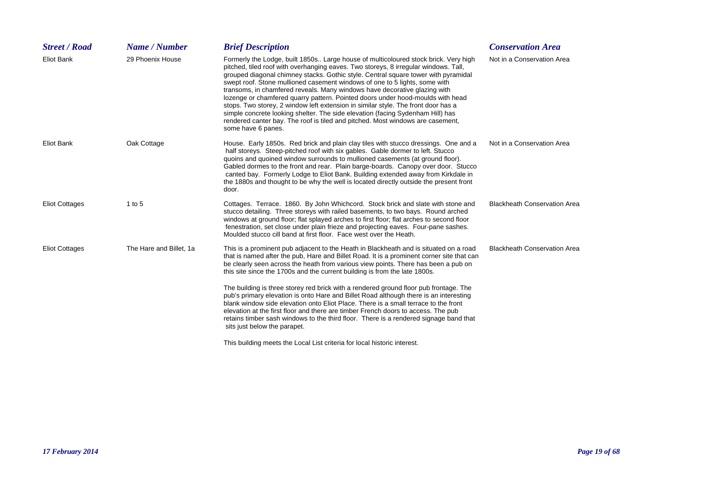| <b>Street / Road</b>  | Name / Number           | <b>Brief Description</b>                                                                                                                                                                                                                                                                                                                                                                                                                                                                                                                                                                                                                                                                                                                                                                                                                      | <b>Conservation Area</b>            |
|-----------------------|-------------------------|-----------------------------------------------------------------------------------------------------------------------------------------------------------------------------------------------------------------------------------------------------------------------------------------------------------------------------------------------------------------------------------------------------------------------------------------------------------------------------------------------------------------------------------------------------------------------------------------------------------------------------------------------------------------------------------------------------------------------------------------------------------------------------------------------------------------------------------------------|-------------------------------------|
| <b>Eliot Bank</b>     | 29 Phoenix House        | Formerly the Lodge, built 1850s Large house of multicoloured stock brick. Very high<br>pitched, tiled roof with overhanging eaves. Two storeys, 8 irregular windows. Tall,<br>grouped diagonal chimney stacks. Gothic style. Central square tower with pyramidal<br>swept roof. Stone mullioned casement windows of one to 5 lights, some with<br>transoms, in chamfered reveals. Many windows have decorative glazing with<br>lozenge or chamfered quarry pattern. Pointed doors under hood-moulds with head<br>stops. Two storey, 2 window left extension in similar style. The front door has a<br>simple concrete looking shelter. The side elevation (facing Sydenham Hill) has<br>rendered canter bay. The roof is tiled and pitched. Most windows are casement,<br>some have 6 panes.                                                  | Not in a Conservation Area          |
| <b>Eliot Bank</b>     | Oak Cottage             | House. Early 1850s. Red brick and plain clay tiles with stucco dressings. One and a<br>half storeys. Steep-pitched roof with six gables. Gable dormer to left. Stucco<br>quoins and quoined window surrounds to mullioned casements (at ground floor).<br>Gabled dormes to the front and rear. Plain barge-boards. Canopy over door. Stucco<br>canted bay. Formerly Lodge to Eliot Bank. Building extended away from Kirkdale in<br>the 1880s and thought to be why the well is located directly outside the present front<br>door.                                                                                                                                                                                                                                                                                                           | Not in a Conservation Area          |
| <b>Eliot Cottages</b> | 1 to $5$                | Cottages. Terrace. 1860. By John Whichcord. Stock brick and slate with stone and<br>stucco detailing. Three storeys with railed basements, to two bays. Round arched<br>windows at ground floor; flat splayed arches to first floor; flat arches to second floor<br>fenestration, set close under plain frieze and projecting eaves. Four-pane sashes.<br>Moulded stucco cill band at first floor. Face west over the Heath.                                                                                                                                                                                                                                                                                                                                                                                                                  | <b>Blackheath Conservation Area</b> |
| <b>Eliot Cottages</b> | The Hare and Billet, 1a | This is a prominent pub adjacent to the Heath in Blackheath and is situated on a road<br>that is named after the pub, Hare and Billet Road. It is a prominent corner site that can<br>be clearly seen across the heath from various view points. There has been a pub on<br>this site since the 1700s and the current building is from the late 1800s.<br>The building is three storey red brick with a rendered ground floor pub frontage. The<br>pub's primary elevation is onto Hare and Billet Road although there is an interesting<br>blank window side elevation onto Eliot Place. There is a small terrace to the front<br>elevation at the first floor and there are timber French doors to access. The pub<br>retains timber sash windows to the third floor. There is a rendered signage band that<br>sits just below the parapet. | <b>Blackheath Conservation Area</b> |
|                       |                         | This building meets the Local List criteria for local historic interest.                                                                                                                                                                                                                                                                                                                                                                                                                                                                                                                                                                                                                                                                                                                                                                      |                                     |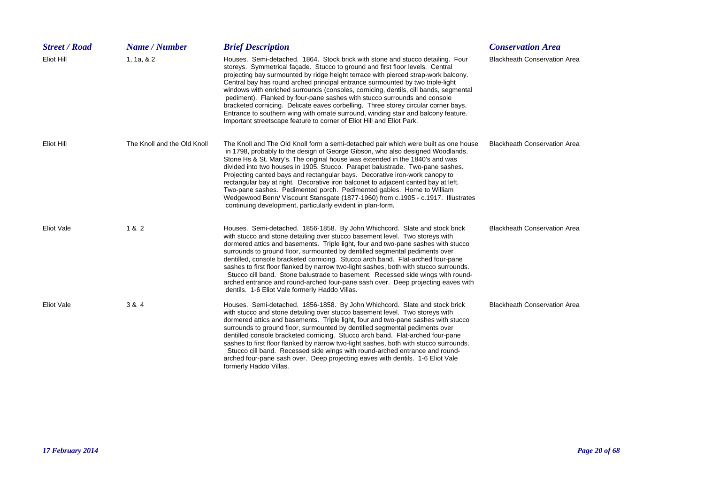| <b>Street / Road</b> | Name / Number               | <b>Brief Description</b>                                                                                                                                                                                                                                                                                                                                                                                                                                                                                                                                                                                                                                                                                                                                         | <b>Conservation Area</b>            |
|----------------------|-----------------------------|------------------------------------------------------------------------------------------------------------------------------------------------------------------------------------------------------------------------------------------------------------------------------------------------------------------------------------------------------------------------------------------------------------------------------------------------------------------------------------------------------------------------------------------------------------------------------------------------------------------------------------------------------------------------------------------------------------------------------------------------------------------|-------------------------------------|
| Eliot Hill           | 1, 1a, 82                   | Houses. Semi-detached. 1864. Stock brick with stone and stucco detailing. Four<br>storeys. Symmetrical façade. Stucco to ground and first floor levels. Central<br>projecting bay surmounted by ridge height terrace with pierced strap-work balcony.<br>Central bay has round arched principal entrance surmounted by two triple-light<br>windows with enriched surrounds (consoles, cornicing, dentils, cill bands, segmental<br>pediment). Flanked by four-pane sashes with stucco surrounds and console<br>bracketed cornicing. Delicate eaves corbelling. Three storey circular corner bays.<br>Entrance to southern wing with ornate surround, winding stair and balcony feature.<br>Important streetscape feature to corner of Eliot Hill and Eliot Park. | <b>Blackheath Conservation Area</b> |
| Eliot Hill           | The Knoll and the Old Knoll | The Knoll and The Old Knoll form a semi-detached pair which were built as one house<br>in 1798, probably to the design of George Gibson, who also designed Woodlands.<br>Stone Hs & St. Mary's. The original house was extended in the 1840's and was<br>divided into two houses in 1905. Stucco. Parapet balustrade. Two-pane sashes.<br>Projecting canted bays and rectangular bays. Decorative iron-work canopy to<br>rectangular bay at right. Decorative iron balconet to adjacent canted bay at left.<br>Two-pane sashes. Pedimented porch. Pedimented gables. Home to William<br>Wedgewood Benn/ Viscount Stansgate (1877-1960) from c.1905 - c.1917. Illustrates<br>continuing development, particularly evident in plan-form.                           | <b>Blackheath Conservation Area</b> |
| Eliot Vale           | 1 & 2                       | Houses. Semi-detached. 1856-1858. By John Whichcord. Slate and stock brick<br>with stucco and stone detailing over stucco basement level. Two storeys with<br>dormered attics and basements. Triple light, four and two-pane sashes with stucco<br>surrounds to ground floor, surmounted by dentilled segmental pediments over<br>dentilled, console bracketed cornicing. Stucco arch band. Flat-arched four-pane<br>sashes to first floor flanked by narrow two-light sashes, both with stucco surrounds.<br>Stucco cill band. Stone balustrade to basement. Recessed side wings with round-<br>arched entrance and round-arched four-pane sash over. Deep projecting eaves with<br>dentils. 1-6 Eliot Vale formerly Haddo Villas.                              | <b>Blackheath Conservation Area</b> |
| Eliot Vale           | 3 & 4                       | Houses. Semi-detached. 1856-1858. By John Whichcord. Slate and stock brick<br>with stucco and stone detailing over stucco basement level. Two storeys with<br>dormered attics and basements. Triple light, four and two-pane sashes with stucco<br>surrounds to ground floor, surmounted by dentilled segmental pediments over<br>dentilled console bracketed cornicing. Stucco arch band. Flat-arched four-pane<br>sashes to first floor flanked by narrow two-light sashes, both with stucco surrounds.<br>Stucco cill band. Recessed side wings with round-arched entrance and round-<br>arched four-pane sash over. Deep projecting eaves with dentils. 1-6 Eliot Vale<br>formerly Haddo Villas.                                                             | <b>Blackheath Conservation Area</b> |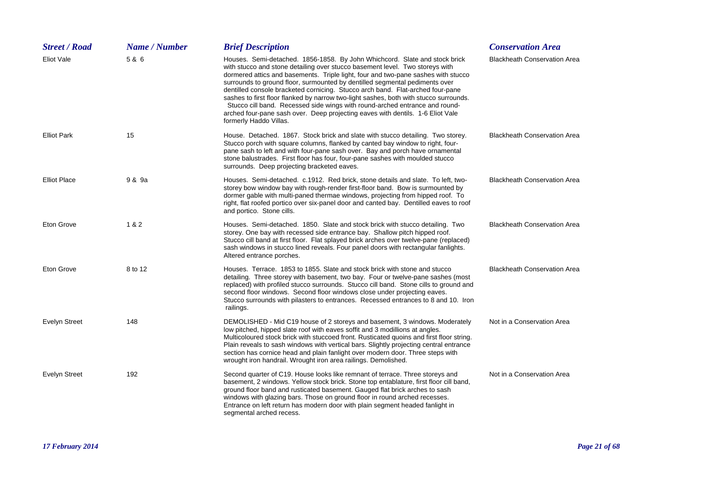| <b>Street / Road</b> | Name / Number | <b>Brief Description</b>                                                                                                                                                                                                                                                                                                                                                                                                                                                                                                                                                                                                                                                                             | <b>Conservation Area</b>            |
|----------------------|---------------|------------------------------------------------------------------------------------------------------------------------------------------------------------------------------------------------------------------------------------------------------------------------------------------------------------------------------------------------------------------------------------------------------------------------------------------------------------------------------------------------------------------------------------------------------------------------------------------------------------------------------------------------------------------------------------------------------|-------------------------------------|
| Eliot Vale           | 5 & 6         | Houses. Semi-detached. 1856-1858. By John Whichcord. Slate and stock brick<br>with stucco and stone detailing over stucco basement level. Two storeys with<br>dormered attics and basements. Triple light, four and two-pane sashes with stucco<br>surrounds to ground floor, surmounted by dentilled segmental pediments over<br>dentilled console bracketed cornicing. Stucco arch band. Flat-arched four-pane<br>sashes to first floor flanked by narrow two-light sashes, both with stucco surrounds.<br>Stucco cill band. Recessed side wings with round-arched entrance and round-<br>arched four-pane sash over. Deep projecting eaves with dentils. 1-6 Eliot Vale<br>formerly Haddo Villas. | <b>Blackheath Conservation Area</b> |
| <b>Elliot Park</b>   | 15            | House. Detached. 1867. Stock brick and slate with stucco detailing. Two storey.<br>Stucco porch with square columns, flanked by canted bay window to right, four-<br>pane sash to left and with four-pane sash over. Bay and porch have ornamental<br>stone balustrades. First floor has four, four-pane sashes with moulded stucco<br>surrounds. Deep projecting bracketed eaves.                                                                                                                                                                                                                                                                                                                   | <b>Blackheath Conservation Area</b> |
| <b>Elliot Place</b>  | 9 & 9a        | Houses. Semi-detached. c.1912. Red brick, stone details and slate. To left, two-<br>storey bow window bay with rough-render first-floor band. Bow is surmounted by<br>dormer gable with multi-paned thermae windows, projecting from hipped roof. To<br>right, flat roofed portico over six-panel door and canted bay. Dentilled eaves to roof<br>and portico. Stone cills.                                                                                                                                                                                                                                                                                                                          | <b>Blackheath Conservation Area</b> |
| Eton Grove           | 1 & 2         | Houses. Semi-detached. 1850. Slate and stock brick with stucco detailing. Two<br>storey. One bay with recessed side entrance bay. Shallow pitch hipped roof.<br>Stucco cill band at first floor. Flat splayed brick arches over twelve-pane (replaced)<br>sash windows in stucco lined reveals. Four panel doors with rectangular fanlights.<br>Altered entrance porches.                                                                                                                                                                                                                                                                                                                            | <b>Blackheath Conservation Area</b> |
| Eton Grove           | 8 to 12       | Houses. Terrace. 1853 to 1855. Slate and stock brick with stone and stucco<br>detailing. Three storey with basement, two bay. Four or twelve-pane sashes (most<br>replaced) with profiled stucco surrounds. Stucco cill band. Stone cills to ground and<br>second floor windows. Second floor windows close under projecting eaves.<br>Stucco surrounds with pilasters to entrances. Recessed entrances to 8 and 10. Iron<br>railings.                                                                                                                                                                                                                                                               | <b>Blackheath Conservation Area</b> |
| Evelyn Street        | 148           | DEMOLISHED - Mid C19 house of 2 storeys and basement, 3 windows. Moderately<br>low pitched, hipped slate roof with eaves soffit and 3 modillions at angles.<br>Multicoloured stock brick with stuccoed front. Rusticated quoins and first floor string.<br>Plain reveals to sash windows with vertical bars. Slightly projecting central entrance<br>section has cornice head and plain fanlight over modern door. Three steps with<br>wrought iron handrail. Wrought iron area railings. Demolished.                                                                                                                                                                                                | Not in a Conservation Area          |
| Evelyn Street        | 192           | Second quarter of C19. House looks like remnant of terrace. Three storeys and<br>basement, 2 windows. Yellow stock brick. Stone top entablature, first floor cill band,<br>ground floor band and rusticated basement. Gauged flat brick arches to sash<br>windows with glazing bars. Those on ground floor in round arched recesses.<br>Entrance on left return has modern door with plain segment headed fanlight in<br>segmental arched recess.                                                                                                                                                                                                                                                    | Not in a Conservation Area          |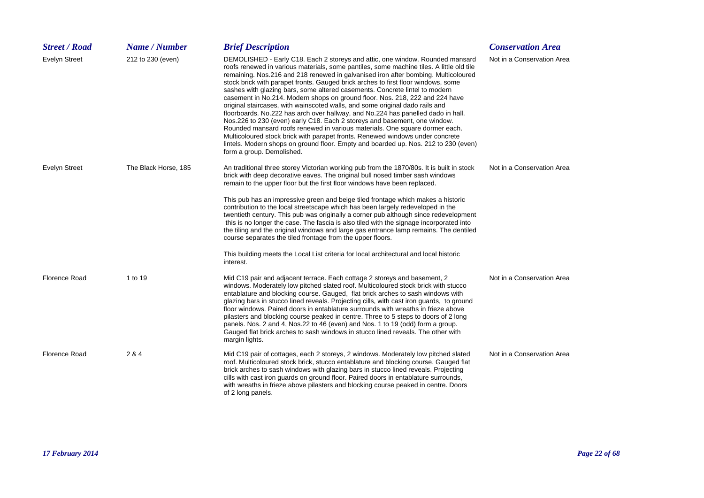| <b>Street / Road</b> | Name / Number        | <b>Brief Description</b>                                                                                                                                                                                                                                                                                                                                                                                                                                                                                                                                                                                                                                                                                                                                                                                                                                                                                                                                                                                                                                 | <b>Conservation Area</b>   |
|----------------------|----------------------|----------------------------------------------------------------------------------------------------------------------------------------------------------------------------------------------------------------------------------------------------------------------------------------------------------------------------------------------------------------------------------------------------------------------------------------------------------------------------------------------------------------------------------------------------------------------------------------------------------------------------------------------------------------------------------------------------------------------------------------------------------------------------------------------------------------------------------------------------------------------------------------------------------------------------------------------------------------------------------------------------------------------------------------------------------|----------------------------|
| <b>Evelyn Street</b> | 212 to 230 (even)    | DEMOLISHED - Early C18. Each 2 storeys and attic, one window. Rounded mansard<br>roofs renewed in various materials, some pantiles, some machine tiles. A little old tile<br>remaining. Nos.216 and 218 renewed in galvanised iron after bombing. Multicoloured<br>stock brick with parapet fronts. Gauged brick arches to first floor windows, some<br>sashes with glazing bars, some altered casements. Concrete lintel to modern<br>casement in No.214. Modern shops on ground floor. Nos. 218, 222 and 224 have<br>original staircases, with wainscoted walls, and some original dado rails and<br>floorboards. No.222 has arch over hallway, and No.224 has panelled dado in hall.<br>Nos.226 to 230 (even) early C18. Each 2 storeys and basement, one window.<br>Rounded mansard roofs renewed in various materials. One square dormer each.<br>Multicoloured stock brick with parapet fronts. Renewed windows under concrete<br>lintels. Modern shops on ground floor. Empty and boarded up. Nos. 212 to 230 (even)<br>form a group. Demolished. | Not in a Conservation Area |
| <b>Evelyn Street</b> | The Black Horse, 185 | An traditional three storey Victorian working pub from the 1870/80s. It is built in stock<br>brick with deep decorative eaves. The original bull nosed timber sash windows<br>remain to the upper floor but the first floor windows have been replaced.<br>This pub has an impressive green and beige tiled frontage which makes a historic<br>contribution to the local streetscape which has been largely redeveloped in the<br>twentieth century. This pub was originally a corner pub although since redevelopment<br>this is no longer the case. The fascia is also tiled with the signage incorporated into<br>the tiling and the original windows and large gas entrance lamp remains. The dentiled<br>course separates the tiled frontage from the upper floors.<br>This building meets the Local List criteria for local architectural and local historic<br>interest.                                                                                                                                                                          | Not in a Conservation Area |
| <b>Florence Road</b> | 1 to 19              | Mid C19 pair and adjacent terrace. Each cottage 2 storeys and basement, 2<br>windows. Moderately low pitched slated roof. Multicoloured stock brick with stucco<br>entablature and blocking course. Gauged, flat brick arches to sash windows with<br>glazing bars in stucco lined reveals. Projecting cills, with cast iron guards, to ground<br>floor windows. Paired doors in entablature surrounds with wreaths in frieze above<br>pilasters and blocking course peaked in centre. Three to 5 steps to doors of 2 long<br>panels. Nos. 2 and 4, Nos. 22 to 46 (even) and Nos. 1 to 19 (odd) form a group.<br>Gauged flat brick arches to sash windows in stucco lined reveals. The other with<br>margin lights.                                                                                                                                                                                                                                                                                                                                      | Not in a Conservation Area |
| Florence Road        | 2 & 4                | Mid C19 pair of cottages, each 2 storeys, 2 windows. Moderately low pitched slated<br>roof. Multicoloured stock brick, stucco entablature and blocking course. Gauged flat<br>brick arches to sash windows with glazing bars in stucco lined reveals. Projecting<br>cills with cast iron guards on ground floor. Paired doors in entablature surrounds,<br>with wreaths in frieze above pilasters and blocking course peaked in centre. Doors<br>of 2 long panels.                                                                                                                                                                                                                                                                                                                                                                                                                                                                                                                                                                                       | Not in a Conservation Area |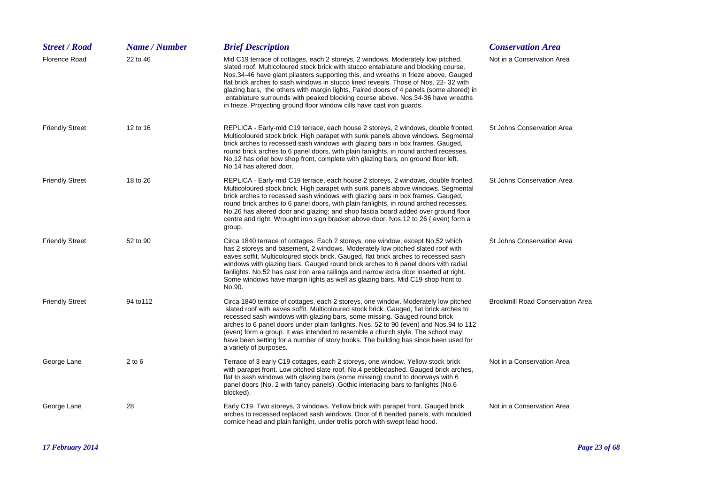| <b>Street / Road</b>   | Name / Number | <b>Brief Description</b>                                                                                                                                                                                                                                                                                                                                                                                                                                                                                                                                                                                     | <b>Conservation Area</b>                |
|------------------------|---------------|--------------------------------------------------------------------------------------------------------------------------------------------------------------------------------------------------------------------------------------------------------------------------------------------------------------------------------------------------------------------------------------------------------------------------------------------------------------------------------------------------------------------------------------------------------------------------------------------------------------|-----------------------------------------|
| <b>Florence Road</b>   | 22 to 46      | Mid C19 terrace of cottages, each 2 storeys, 2 windows. Moderately low pitched,<br>slated roof. Multicoloured stock brick with stucco entablature and blocking course.<br>Nos.34-46 have giant pilasters supporting this, and wreaths in frieze above. Gauged<br>flat brick arches to sash windows in stucco lined reveals. Those of Nos. 22-32 with<br>glazing bars, the others with margin lights. Paired doors of 4 panels (some altered) in<br>entablature surrounds with peaked blocking course above. Nos.34-36 have wreaths<br>in frieze. Projecting ground floor window cills have cast iron guards. | Not in a Conservation Area              |
| <b>Friendly Street</b> | 12 to 16      | REPLICA - Early-mid C19 terrace, each house 2 storeys, 2 windows, double fronted.<br>Multicoloured stock brick. High parapet with sunk panels above windows. Segmental<br>brick arches to recessed sash windows with glazing bars in box frames. Gauged,<br>round brick arches to 6 panel doors, with plain fanlights, in round arched recesses.<br>No.12 has oriel bow shop front, complete with glazing bars, on ground floor left.<br>No.14 has altered door.                                                                                                                                             | St Johns Conservation Area              |
| <b>Friendly Street</b> | 18 to 26      | REPLICA - Early-mid C19 terrace, each house 2 storeys, 2 windows, double fronted.<br>Multicoloured stock brick. High parapet with sunk panels above windows. Segmental<br>brick arches to recessed sash windows with glazing bars in box frames. Gauged,<br>round brick arches to 6 panel doors, with plain fanlights, in round arched recesses.<br>No.26 has altered door and glazing; and shop fascia board added over ground floor<br>centre and right. Wrought iron sign bracket above door. Nos.12 to 26 { even) form a<br>group.                                                                       | St Johns Conservation Area              |
| <b>Friendly Street</b> | 52 to 90      | Circa 1840 terrace of cottages. Each 2 storeys, one window, except No.52 which<br>has 2 storeys and basement, 2 windows. Moderately low pitched slated roof with<br>eaves soffit. Multicoloured stock brick. Gauged, flat brick arches to recessed sash<br>windows with glazing bars. Gauged round brick arches to 6 panel doors with radial<br>fanlights. No.52 has cast iron area railings and narrow extra door inserted at right.<br>Some windows have margin lights as well as glazing bars. Mid C19 shop front to<br>No.90.                                                                            | St Johns Conservation Area              |
| <b>Friendly Street</b> | 94 to 112     | Circa 1840 terrace of cottages, each 2 storeys, one window. Moderately low pitched<br>slated roof with eaves soffit. Multicoloured stock brick. Gauged, flat brick arches to<br>recessed sash windows with glazing bars, some missing. Gauged round brick<br>arches to 6 panel doors under plain fanlights. Nos. 52 to 90 (even) and Nos.94 to 112<br>(even) form a group. It was intended to resemble a church style. The school may<br>have been setting for a number of story books. The building has since been used for<br>a variety of purposes.                                                       | <b>Brookmill Road Conservation Area</b> |
| George Lane            | $2$ to $6$    | Terrace of 3 early C19 cottages, each 2 storeys, one window. Yellow stock brick<br>with parapet front. Low pitched slate roof. No.4 pebbledashed. Gauged brick arches,<br>flat to sash windows with glazing bars (some missing) round to doorways with 6<br>panel doors (No. 2 with fancy panels) .Gothic interlacing bars to fanlights (No.6<br>blocked).                                                                                                                                                                                                                                                   | Not in a Conservation Area              |
| George Lane            | 28            | Early C19. Two storeys, 3 windows. Yellow brick with parapet front. Gauged brick<br>arches to recessed replaced sash windows. Door of 6 beaded panels, with moulded<br>cornice head and plain fanlight, under trellis porch with swept lead hood.                                                                                                                                                                                                                                                                                                                                                            | Not in a Conservation Area              |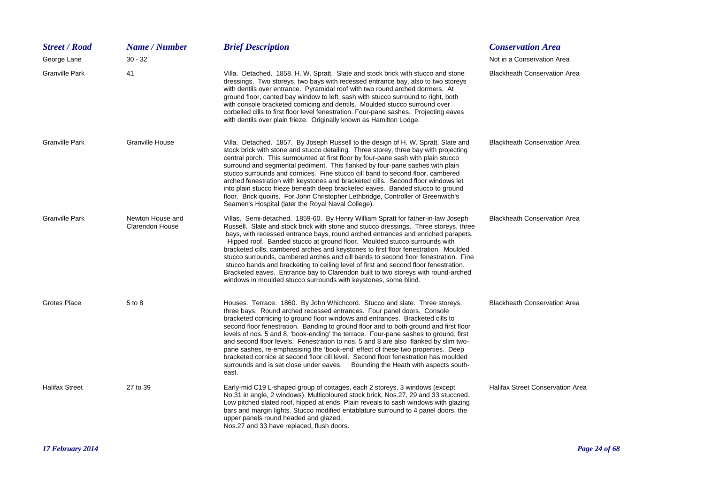| <b>Street / Road</b>  | Name / Number                       | <b>Brief Description</b>                                                                                                                                                                                                                                                                                                                                                                                                                                                                                                                                                                                                                                                                                                                                                            | <b>Conservation Area</b>                |
|-----------------------|-------------------------------------|-------------------------------------------------------------------------------------------------------------------------------------------------------------------------------------------------------------------------------------------------------------------------------------------------------------------------------------------------------------------------------------------------------------------------------------------------------------------------------------------------------------------------------------------------------------------------------------------------------------------------------------------------------------------------------------------------------------------------------------------------------------------------------------|-----------------------------------------|
| George Lane           | $30 - 32$                           |                                                                                                                                                                                                                                                                                                                                                                                                                                                                                                                                                                                                                                                                                                                                                                                     | Not in a Conservation Area              |
| <b>Granville Park</b> | 41                                  | Villa. Detached. 1858. H. W. Spratt. Slate and stock brick with stucco and stone<br>dressings. Two storeys, two bays with recessed entrance bay, also to two storeys<br>with dentils over entrance. Pyramidal roof with two round arched dormers. At<br>ground floor, canted bay window to left, sash with stucco surround to right, both<br>with console bracketed cornicing and dentils. Moulded stucco surround over<br>corbelled cills to first floor level fenestration. Four-pane sashes. Projecting eaves<br>with dentils over plain frieze. Originally known as Hamilton Lodge.                                                                                                                                                                                             | <b>Blackheath Conservation Area</b>     |
| Granville Park        | <b>Granville House</b>              | Villa. Detached. 1857. By Joseph Russell to the design of H. W. Spratt. Slate and<br>stock brick with stone and stucco detailing. Three storey, three bay with projecting<br>central porch. This surmounted at first floor by four-pane sash with plain stucco<br>surround and segmental pediment. This flanked by four-pane sashes with plain<br>stucco surrounds and cornices. Fine stucco cill band to second floor, cambered<br>arched fenestration with keystones and bracketed cills. Second floor windows let<br>into plain stucco frieze beneath deep bracketed eaves. Banded stucco to ground<br>floor. Brick quoins. For John Christopher Lethbridge, Controller of Greenwich's<br>Seamen's Hospital (later the Royal Naval College).                                     | <b>Blackheath Conservation Area</b>     |
| <b>Granville Park</b> | Newton House and<br>Clarendon House | Villas. Semi-detached. 1859-60. By Henry William Spratt for father-in-law Joseph<br>Russell. Slate and stock brick with stone and stucco dressings. Three storeys, three<br>bays, with recessed entrance bays, round arched entrances and enriched parapets.<br>Hipped roof. Banded stucco at ground floor. Moulded stucco surrounds with<br>bracketed cills, cambered arches and keystones to first floor fenestration. Moulded<br>stucco surrounds, cambered arches and cill bands to second floor fenestration. Fine<br>stucco bands and bracketing to ceiling level of first and second floor fenestration.<br>Bracketed eaves. Entrance bay to Clarendon built to two storeys with round-arched<br>windows in moulded stucco surrounds with keystones, some blind.             | <b>Blackheath Conservation Area</b>     |
| Grotes Place          | 5 to 8                              | Houses. Terrace. 1860. By John Whichcord. Stucco and slate. Three storeys,<br>three bays. Round arched recessed entrances. Four panel doors. Console<br>bracketed cornicing to ground floor windows and entrances. Bracketed cills to<br>second floor fenestration. Banding to ground floor and to both ground and first floor<br>levels of nos. 5 and 8, 'book-ending' the terrace. Four-pane sashes to ground, first<br>and second floor levels. Fenestration to nos. 5 and 8 are also flanked by slim two-<br>pane sashes, re-emphasising the 'book-end' effect of these two properties. Deep<br>bracketed cornice at second floor cill level. Second floor fenestration has moulded<br>surrounds and is set close under eaves.  Bounding the Heath with aspects south-<br>east. | <b>Blackheath Conservation Area</b>     |
| <b>Halifax Street</b> | 27 to 39                            | Early-mid C19 L-shaped group of cottages, each 2 storeys, 3 windows (except<br>No.31 in angle, 2 windows). Multicoloured stock brick, Nos.27, 29 and 33 stuccoed.<br>Low pitched slated roof, hipped at ends. Plain reveals to sash windows with glazing<br>bars and margin lights. Stucco modified entablature surround to 4 panel doors, the<br>upper panels round headed and glazed.<br>Nos.27 and 33 have replaced, flush doors.                                                                                                                                                                                                                                                                                                                                                | <b>Halifax Street Conservation Area</b> |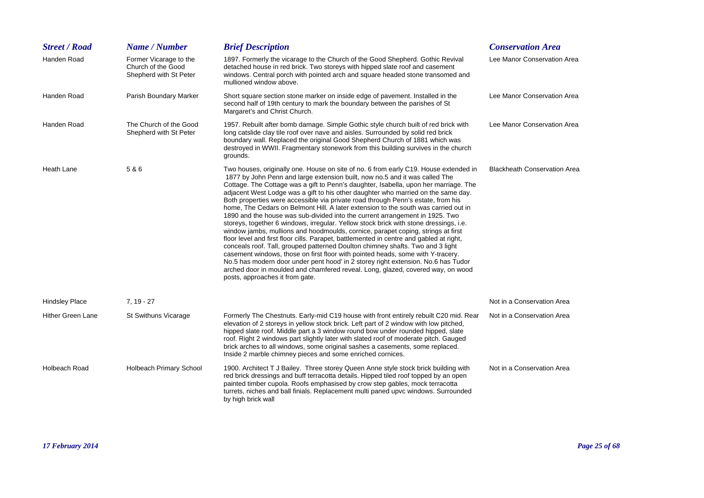| <b>Street / Road</b>     | Name / Number                                                          | <b>Brief Description</b>                                                                                                                                                                                                                                                                                                                                                                                                                                                                                                                                                                                                                                                                                                                                                                                                                                                                                                                                                                                                                                                                                                                                                                                                                                            | <b>Conservation Area</b>            |
|--------------------------|------------------------------------------------------------------------|---------------------------------------------------------------------------------------------------------------------------------------------------------------------------------------------------------------------------------------------------------------------------------------------------------------------------------------------------------------------------------------------------------------------------------------------------------------------------------------------------------------------------------------------------------------------------------------------------------------------------------------------------------------------------------------------------------------------------------------------------------------------------------------------------------------------------------------------------------------------------------------------------------------------------------------------------------------------------------------------------------------------------------------------------------------------------------------------------------------------------------------------------------------------------------------------------------------------------------------------------------------------|-------------------------------------|
| Handen Road              | Former Vicarage to the<br>Church of the Good<br>Shepherd with St Peter | 1897. Formerly the vicarage to the Church of the Good Shepherd. Gothic Revival<br>detached house in red brick. Two storeys with hipped slate roof and casement<br>windows. Central porch with pointed arch and square headed stone transomed and<br>mullioned window above.                                                                                                                                                                                                                                                                                                                                                                                                                                                                                                                                                                                                                                                                                                                                                                                                                                                                                                                                                                                         | Lee Manor Conservation Area         |
| Handen Road              | Parish Boundary Marker                                                 | Short square section stone marker on inside edge of pavement. Installed in the<br>second half of 19th century to mark the boundary between the parishes of St<br>Margaret's and Christ Church.                                                                                                                                                                                                                                                                                                                                                                                                                                                                                                                                                                                                                                                                                                                                                                                                                                                                                                                                                                                                                                                                      | Lee Manor Conservation Area         |
| Handen Road              | The Church of the Good<br>Shepherd with St Peter                       | 1957. Rebuilt after bomb damage. Simple Gothic style church built of red brick with<br>long catslide clay tile roof over nave and aisles. Surrounded by solid red brick<br>boundary wall. Replaced the original Good Shepherd Church of 1881 which was<br>destroyed in WWII. Fragmentary stonework from this building survives in the church<br>grounds.                                                                                                                                                                                                                                                                                                                                                                                                                                                                                                                                                                                                                                                                                                                                                                                                                                                                                                            | Lee Manor Conservation Area         |
| <b>Heath Lane</b>        | 5 & 6                                                                  | Two houses, originally one. House on site of no. 6 from early C19. House extended in<br>1877 by John Penn and large extension built, now no.5 and it was called The<br>Cottage. The Cottage was a gift to Penn's daughter, Isabella, upon her marriage. The<br>adjacent West Lodge was a gift to his other daughter who married on the same day.<br>Both properties were accessible via private road through Penn's estate, from his<br>home, The Cedars on Belmont Hill. A later extension to the south was carried out in<br>1890 and the house was sub-divided into the current arrangement in 1925. Two<br>storeys, together 6 windows, irregular. Yellow stock brick with stone dressings, i.e.<br>window jambs, mullions and hoodmoulds, cornice, parapet coping, strings at first<br>floor level and first floor cills. Parapet, battlemented in centre and gabled at right,<br>conceals roof. Tall, grouped patterned Doulton chimney shafts. Two and 3 light<br>casement windows, those on first floor with pointed heads, some with Y-tracery.<br>No.5 has modern door under pent hood' in 2 storey right extension. No.6 has Tudor<br>arched door in moulded and chamfered reveal. Long, glazed, covered way, on wood<br>posts, approaches it from gate. | <b>Blackheath Conservation Area</b> |
| <b>Hindsley Place</b>    | $7, 19 - 27$                                                           |                                                                                                                                                                                                                                                                                                                                                                                                                                                                                                                                                                                                                                                                                                                                                                                                                                                                                                                                                                                                                                                                                                                                                                                                                                                                     | Not in a Conservation Area          |
| <b>Hither Green Lane</b> | St Swithuns Vicarage                                                   | Formerly The Chestnuts. Early-mid C19 house with front entirely rebuilt C20 mid. Rear<br>elevation of 2 storeys in yellow stock brick. Left part of 2 window with low pitched,<br>hipped slate roof. Middle part a 3 window round bow under rounded hipped, slate<br>roof. Right 2 windows part slightly later with slated roof of moderate pitch. Gauged<br>brick arches to all windows, some original sashes a casements, some replaced.<br>Inside 2 marble chimney pieces and some enriched cornices.                                                                                                                                                                                                                                                                                                                                                                                                                                                                                                                                                                                                                                                                                                                                                            | Not in a Conservation Area          |
| Holbeach Road            | <b>Holbeach Primary School</b>                                         | 1900. Architect T J Bailey. Three storey Queen Anne style stock brick building with<br>red brick dressings and buff terracotta details. Hipped tiled roof topped by an open<br>painted timber cupola. Roofs emphasised by crow step gables, mock terracotta<br>turrets, niches and ball finials. Replacement multi paned upvc windows. Surrounded<br>by high brick wall                                                                                                                                                                                                                                                                                                                                                                                                                                                                                                                                                                                                                                                                                                                                                                                                                                                                                             | Not in a Conservation Area          |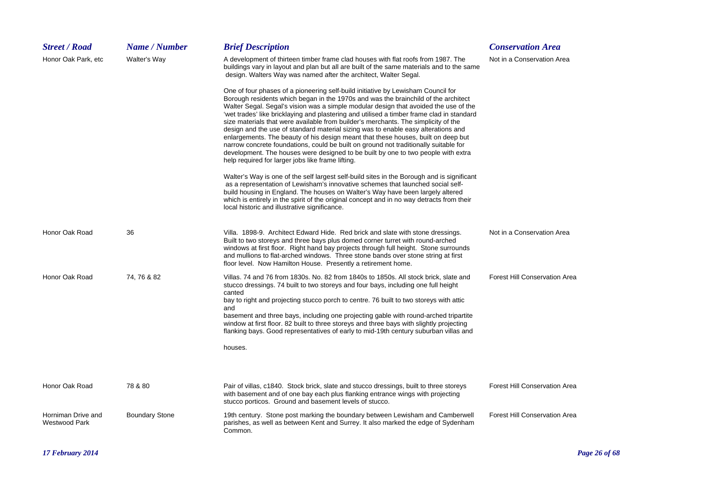| <b>Street / Road</b>                       | Name / Number         | <b>Brief Description</b>                                                                                                                                                                                                                                                                                                                                                                                                                                                                                                                                                                                                                                                                                                                                                                                                                                      | <b>Conservation Area</b>             |
|--------------------------------------------|-----------------------|---------------------------------------------------------------------------------------------------------------------------------------------------------------------------------------------------------------------------------------------------------------------------------------------------------------------------------------------------------------------------------------------------------------------------------------------------------------------------------------------------------------------------------------------------------------------------------------------------------------------------------------------------------------------------------------------------------------------------------------------------------------------------------------------------------------------------------------------------------------|--------------------------------------|
| Honor Oak Park, etc                        | Walter's Way          | A development of thirteen timber frame clad houses with flat roofs from 1987. The<br>buildings vary in layout and plan but all are built of the same materials and to the same<br>design. Walters Way was named after the architect, Walter Segal.                                                                                                                                                                                                                                                                                                                                                                                                                                                                                                                                                                                                            | Not in a Conservation Area           |
|                                            |                       | One of four phases of a pioneering self-build initiative by Lewisham Council for<br>Borough residents which began in the 1970s and was the brainchild of the architect<br>Walter Segal. Segal's vision was a simple modular design that avoided the use of the<br>'wet trades' like bricklaying and plastering and utilised a timber frame clad in standard<br>size materials that were available from builder's merchants. The simplicity of the<br>design and the use of standard material sizing was to enable easy alterations and<br>enlargements. The beauty of his design meant that these houses, built on deep but<br>narrow concrete foundations, could be built on ground not traditionally suitable for<br>development. The houses were designed to be built by one to two people with extra<br>help required for larger jobs like frame lifting. |                                      |
|                                            |                       | Walter's Way is one of the self largest self-build sites in the Borough and is significant<br>as a representation of Lewisham's innovative schemes that launched social self-<br>build housing in England. The houses on Walter's Way have been largely altered<br>which is entirely in the spirit of the original concept and in no way detracts from their<br>local historic and illustrative significance.                                                                                                                                                                                                                                                                                                                                                                                                                                                 |                                      |
| Honor Oak Road                             | 36                    | Villa. 1898-9. Architect Edward Hide. Red brick and slate with stone dressings.<br>Built to two storeys and three bays plus domed corner turret with round-arched<br>windows at first floor. Right hand bay projects through full height. Stone surrounds<br>and mullions to flat-arched windows. Three stone bands over stone string at first<br>floor level. Now Hamilton House. Presently a retirement home.                                                                                                                                                                                                                                                                                                                                                                                                                                               | Not in a Conservation Area           |
| Honor Oak Road                             | 74, 76 & 82           | Villas. 74 and 76 from 1830s. No. 82 from 1840s to 1850s. All stock brick, slate and<br>stucco dressings. 74 built to two storeys and four bays, including one full height<br>canted<br>bay to right and projecting stucco porch to centre. 76 built to two storeys with attic<br>and<br>basement and three bays, including one projecting gable with round-arched tripartite<br>window at first floor. 82 built to three storeys and three bays with slightly projecting<br>flanking bays. Good representatives of early to mid-19th century suburban villas and                                                                                                                                                                                                                                                                                             | <b>Forest Hill Conservation Area</b> |
|                                            |                       | houses.                                                                                                                                                                                                                                                                                                                                                                                                                                                                                                                                                                                                                                                                                                                                                                                                                                                       |                                      |
| Honor Oak Road                             | 78 & 80               | Pair of villas, c1840. Stock brick, slate and stucco dressings, built to three storeys<br>with basement and of one bay each plus flanking entrance wings with projecting<br>stucco porticos. Ground and basement levels of stucco.                                                                                                                                                                                                                                                                                                                                                                                                                                                                                                                                                                                                                            | <b>Forest Hill Conservation Area</b> |
| Horniman Drive and<br><b>Westwood Park</b> | <b>Boundary Stone</b> | 19th century. Stone post marking the boundary between Lewisham and Camberwell<br>parishes, as well as between Kent and Surrey. It also marked the edge of Sydenham<br>Common.                                                                                                                                                                                                                                                                                                                                                                                                                                                                                                                                                                                                                                                                                 | <b>Forest Hill Conservation Area</b> |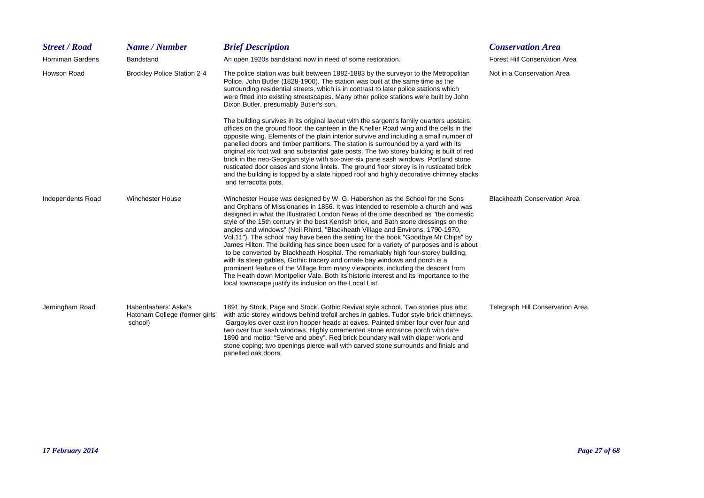| <b>Street / Road</b>    | Name / Number                                                     | <b>Brief Description</b>                                                                                                                                                                                                                                                                                                                                                                                                                                                                                                                                                                                                                                                                                                                                                                                                                                                                                                                                                                                                    | <b>Conservation Area</b>             |
|-------------------------|-------------------------------------------------------------------|-----------------------------------------------------------------------------------------------------------------------------------------------------------------------------------------------------------------------------------------------------------------------------------------------------------------------------------------------------------------------------------------------------------------------------------------------------------------------------------------------------------------------------------------------------------------------------------------------------------------------------------------------------------------------------------------------------------------------------------------------------------------------------------------------------------------------------------------------------------------------------------------------------------------------------------------------------------------------------------------------------------------------------|--------------------------------------|
| <b>Horniman Gardens</b> | Bandstand                                                         | An open 1920s bandstand now in need of some restoration.                                                                                                                                                                                                                                                                                                                                                                                                                                                                                                                                                                                                                                                                                                                                                                                                                                                                                                                                                                    | <b>Forest Hill Conservation Area</b> |
| Howson Road             | <b>Brockley Police Station 2-4</b>                                | The police station was built between 1882-1883 by the surveyor to the Metropolitan<br>Police, John Butler (1828-1900). The station was built at the same time as the<br>surrounding residential streets, which is in contrast to later police stations which<br>were fitted into existing streetscapes. Many other police stations were built by John<br>Dixon Butler, presumably Butler's son.                                                                                                                                                                                                                                                                                                                                                                                                                                                                                                                                                                                                                             | Not in a Conservation Area           |
|                         |                                                                   | The building survives in its original layout with the sargent's family quarters upstairs;<br>offices on the ground floor; the canteen in the Kneller Road wing and the cells in the<br>opposite wing. Elements of the plain interior survive and including a small number of<br>panelled doors and timber partitions. The station is surrounded by a yard with its<br>original six foot wall and substantial gate posts. The two storey building is built of red<br>brick in the neo-Georgian style with six-over-six pane sash windows, Portland stone<br>rusticated door cases and stone lintels. The ground floor storey is in rusticated brick<br>and the building is topped by a slate hipped roof and highly decorative chimney stacks<br>and terracotta pots.                                                                                                                                                                                                                                                        |                                      |
| Independents Road       | <b>Winchester House</b>                                           | Winchester House was designed by W. G. Habershon as the School for the Sons<br>and Orphans of Missionaries in 1856. It was intended to resemble a church and was<br>designed in what the Illustrated London News of the time described as "the domestic<br>style of the 15th century in the best Kentish brick, and Bath stone dressings on the<br>angles and windows" (Neil Rhind, "Blackheath Village and Environs, 1790-1970,<br>Vol.11"). The school may have been the setting for the book "Goodbye Mr Chips" by<br>James Hilton. The building has since been used for a variety of purposes and is about<br>to be converted by Blackheath Hospital. The remarkably high four-storey building,<br>with its steep gables, Gothic tracery and ornate bay windows and porch is a<br>prominent feature of the Village from many viewpoints, including the descent from<br>The Heath down Montpelier Vale. Both its historic interest and its importance to the<br>local townscape justify its inclusion on the Local List. | <b>Blackheath Conservation Area</b>  |
| Jerningham Road         | Haberdashers' Aske's<br>Hatcham College (former girls'<br>school) | 1891 by Stock, Page and Stock. Gothic Revival style school. Two stories plus attic<br>with attic storey windows behind trefoil arches in gables. Tudor style brick chimneys.<br>Gargoyles over cast iron hopper heads at eaves. Painted timber four over four and<br>two over four sash windows. Highly ornamented stone entrance porch with date<br>1890 and motto: "Serve and obey". Red brick boundary wall with diaper work and<br>stone coping; two openings pierce wall with carved stone surrounds and finials and<br>panelled oak doors.                                                                                                                                                                                                                                                                                                                                                                                                                                                                            | Telegraph Hill Conservation Area     |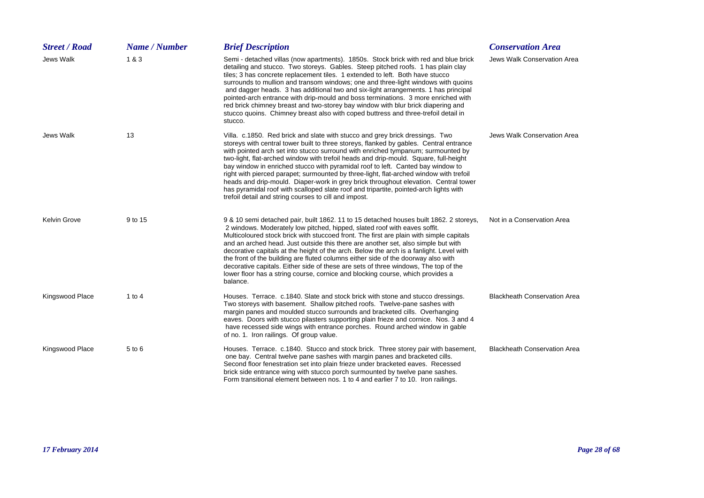| <b>Street / Road</b> | Name / Number | <b>Brief Description</b>                                                                                                                                                                                                                                                                                                                                                                                                                                                                                                                                                                                                                                                                                                                                                 | <b>Conservation Area</b>            |
|----------------------|---------------|--------------------------------------------------------------------------------------------------------------------------------------------------------------------------------------------------------------------------------------------------------------------------------------------------------------------------------------------------------------------------------------------------------------------------------------------------------------------------------------------------------------------------------------------------------------------------------------------------------------------------------------------------------------------------------------------------------------------------------------------------------------------------|-------------------------------------|
| Jews Walk            | 1 & 3         | Semi - detached villas (now apartments). 1850s. Stock brick with red and blue brick<br>detailing and stucco. Two storeys. Gables. Steep pitched roofs. 1 has plain clay<br>tiles; 3 has concrete replacement tiles. 1 extended to left. Both have stucco<br>surrounds to mullion and transom windows; one and three-light windows with quoins<br>and dagger heads. 3 has additional two and six-light arrangements. 1 has principal<br>pointed-arch entrance with drip-mould and boss terminations. 3 more enriched with<br>red brick chimney breast and two-storey bay window with blur brick diapering and<br>stucco quoins. Chimney breast also with coped buttress and three-trefoil detail in<br>stucco.                                                            | Jews Walk Conservation Area         |
| Jews Walk            | 13            | Villa. c.1850. Red brick and slate with stucco and grey brick dressings. Two<br>storeys with central tower built to three storeys, flanked by gables. Central entrance<br>with pointed arch set into stucco surround with enriched tympanum; surmounted by<br>two-light, flat-arched window with trefoil heads and drip-mould. Square, full-height<br>bay window in enriched stucco with pyramidal roof to left. Canted bay window to<br>right with pierced parapet; surmounted by three-light, flat-arched window with trefoil<br>heads and drip-mould. Diaper-work in grey brick throughout elevation. Central tower<br>has pyramidal roof with scalloped slate roof and tripartite, pointed-arch lights with<br>trefoil detail and string courses to cill and impost. | Jews Walk Conservation Area         |
| Kelvin Grove         | 9 to 15       | 9 & 10 semi detached pair, built 1862. 11 to 15 detached houses built 1862. 2 storeys,<br>2 windows. Moderately low pitched, hipped, slated roof with eaves soffit.<br>Multicoloured stock brick with stuccoed front. The first are plain with simple capitals<br>and an arched head. Just outside this there are another set, also simple but with<br>decorative capitals at the height of the arch. Below the arch is a fanlight. Level with<br>the front of the building are fluted columns either side of the doorway also with<br>decorative capitals. Either side of these are sets of three windows, The top of the<br>lower floor has a string course, cornice and blocking course, which provides a<br>balance.                                                 | Not in a Conservation Area          |
| Kingswood Place      | 1 to 4        | Houses. Terrace. c.1840. Slate and stock brick with stone and stucco dressings.<br>Two storeys with basement. Shallow pitched roofs. Twelve-pane sashes with<br>margin panes and moulded stucco surrounds and bracketed cills. Overhanging<br>eaves. Doors with stucco pilasters supporting plain frieze and cornice. Nos. 3 and 4<br>have recessed side wings with entrance porches. Round arched window in gable<br>of no. 1. Iron railings. Of group value.                                                                                                                                                                                                                                                                                                           | <b>Blackheath Conservation Area</b> |
| Kingswood Place      | $5$ to $6$    | Houses. Terrace. c.1840. Stucco and stock brick. Three storey pair with basement,<br>one bay. Central twelve pane sashes with margin panes and bracketed cills.<br>Second floor fenestration set into plain frieze under bracketed eaves. Recessed<br>brick side entrance wing with stucco porch surmounted by twelve pane sashes.<br>Form transitional element between nos. 1 to 4 and earlier 7 to 10. Iron railings.                                                                                                                                                                                                                                                                                                                                                  | <b>Blackheath Conservation Area</b> |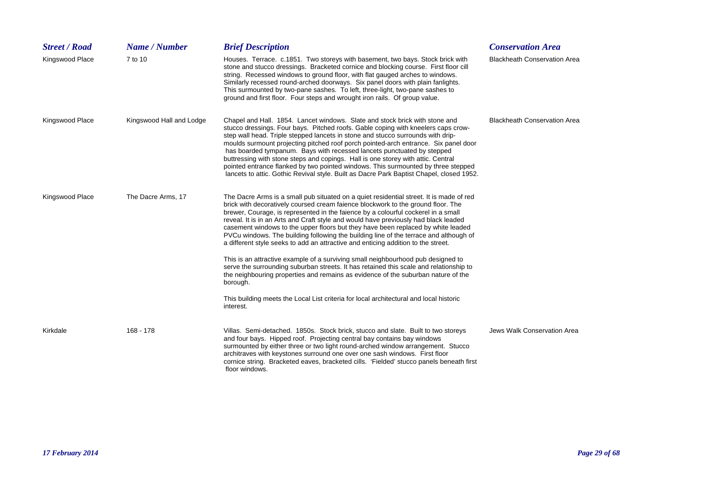| <b>Street / Road</b> | Name / Number            | <b>Brief Description</b>                                                                                                                                                                                                                                                                                                                                                                                                                                                                                                                                                                                                                                                                  | <b>Conservation Area</b>            |
|----------------------|--------------------------|-------------------------------------------------------------------------------------------------------------------------------------------------------------------------------------------------------------------------------------------------------------------------------------------------------------------------------------------------------------------------------------------------------------------------------------------------------------------------------------------------------------------------------------------------------------------------------------------------------------------------------------------------------------------------------------------|-------------------------------------|
| Kingswood Place      | 7 to 10                  | Houses. Terrace. c.1851. Two storeys with basement, two bays. Stock brick with<br>stone and stucco dressings. Bracketed cornice and blocking course. First floor cill<br>string. Recessed windows to ground floor, with flat gauged arches to windows.<br>Similarly recessed round-arched doorways. Six panel doors with plain fanlights.<br>This surmounted by two-pane sashes. To left, three-light, two-pane sashes to<br>ground and first floor. Four steps and wrought iron rails. Of group value.                                                                                                                                                                                   | <b>Blackheath Conservation Area</b> |
| Kingswood Place      | Kingswood Hall and Lodge | Chapel and Hall. 1854. Lancet windows. Slate and stock brick with stone and<br>stucco dressings. Four bays. Pitched roofs. Gable coping with kneelers caps crow-<br>step wall head. Triple stepped lancets in stone and stucco surrounds with drip-<br>moulds surmount projecting pitched roof porch pointed-arch entrance. Six panel door<br>has boarded tympanum. Bays with recessed lancets punctuated by stepped<br>buttressing with stone steps and copings. Hall is one storey with attic. Central<br>pointed entrance flanked by two pointed windows. This surmounted by three stepped<br>lancets to attic. Gothic Revival style. Built as Dacre Park Baptist Chapel, closed 1952. | <b>Blackheath Conservation Area</b> |
| Kingswood Place      | The Dacre Arms, 17       | The Dacre Arms is a small pub situated on a quiet residential street. It is made of red<br>brick with decoratively coursed cream faience blockwork to the ground floor. The<br>brewer, Courage, is represented in the faience by a colourful cockerel in a small<br>reveal. It is in an Arts and Craft style and would have previously had black leaded<br>casement windows to the upper floors but they have been replaced by white leaded<br>PVCu windows. The building following the building line of the terrace and although of<br>a different style seeks to add an attractive and enticing addition to the street.                                                                 |                                     |
|                      |                          | This is an attractive example of a surviving small neighbourhood pub designed to<br>serve the surrounding suburban streets. It has retained this scale and relationship to<br>the neighbouring properties and remains as evidence of the suburban nature of the<br>borough.                                                                                                                                                                                                                                                                                                                                                                                                               |                                     |
|                      |                          | This building meets the Local List criteria for local architectural and local historic<br>interest.                                                                                                                                                                                                                                                                                                                                                                                                                                                                                                                                                                                       |                                     |
| Kirkdale             | 168 - 178                | Villas. Semi-detached. 1850s. Stock brick, stucco and slate. Built to two storeys<br>and four bays. Hipped roof. Projecting central bay contains bay windows<br>surmounted by either three or two light round-arched window arrangement. Stucco<br>architraves with keystones surround one over one sash windows. First floor<br>cornice string. Bracketed eaves, bracketed cills. 'Fielded' stucco panels beneath first<br>floor windows.                                                                                                                                                                                                                                                | Jews Walk Conservation Area         |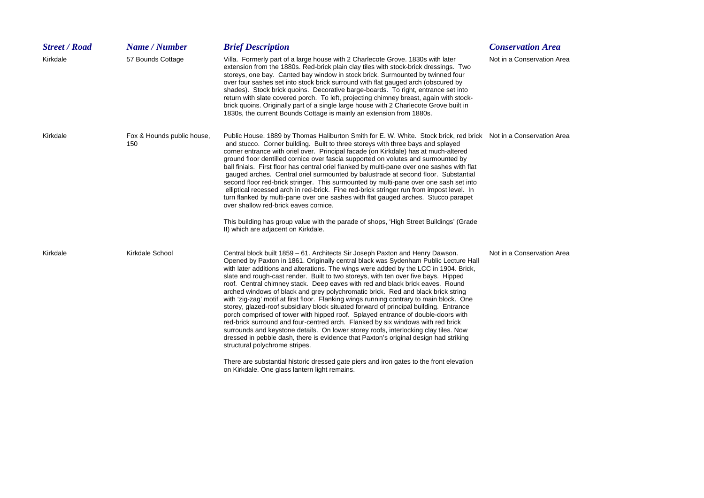| <b>Street / Road</b> | Name / Number                     | <b>Brief Description</b>                                                                                                                                                                                                                                                                                                                                                                                                                                                                                                                                                                                                                                                                                                                                                                                                                                                                                                                                                                                                                                                                                                                                                                                                                         | <b>Conservation Area</b>   |
|----------------------|-----------------------------------|--------------------------------------------------------------------------------------------------------------------------------------------------------------------------------------------------------------------------------------------------------------------------------------------------------------------------------------------------------------------------------------------------------------------------------------------------------------------------------------------------------------------------------------------------------------------------------------------------------------------------------------------------------------------------------------------------------------------------------------------------------------------------------------------------------------------------------------------------------------------------------------------------------------------------------------------------------------------------------------------------------------------------------------------------------------------------------------------------------------------------------------------------------------------------------------------------------------------------------------------------|----------------------------|
| Kirkdale             | 57 Bounds Cottage                 | Villa. Formerly part of a large house with 2 Charlecote Grove. 1830s with later<br>extension from the 1880s. Red-brick plain clay tiles with stock-brick dressings. Two<br>storeys, one bay. Canted bay window in stock brick. Surmounted by twinned four<br>over four sashes set into stock brick surround with flat gauged arch (obscured by<br>shades). Stock brick quoins. Decorative barge-boards. To right, entrance set into<br>return with slate covered porch. To left, projecting chimney breast, again with stock-<br>brick quoins. Originally part of a single large house with 2 Charlecote Grove built in<br>1830s, the current Bounds Cottage is mainly an extension from 1880s.                                                                                                                                                                                                                                                                                                                                                                                                                                                                                                                                                  | Not in a Conservation Area |
| Kirkdale             | Fox & Hounds public house,<br>150 | Public House. 1889 by Thomas Haliburton Smith for E. W. White. Stock brick, red brick Not in a Conservation Area<br>and stucco. Corner building. Built to three storeys with three bays and splayed<br>corner entrance with oriel over. Principal facade (on Kirkdale) has at much-altered<br>ground floor dentilled cornice over fascia supported on volutes and surmounted by<br>ball finials. First floor has central oriel flanked by multi-pane over one sashes with flat<br>gauged arches. Central oriel surmounted by balustrade at second floor. Substantial<br>second floor red-brick stringer. This surmounted by multi-pane over one sash set into<br>elliptical recessed arch in red-brick. Fine red-brick stringer run from impost level. In<br>turn flanked by multi-pane over one sashes with flat gauged arches. Stucco parapet<br>over shallow red-brick eaves cornice.<br>This building has group value with the parade of shops, 'High Street Buildings' (Grade<br>II) which are adjacent on Kirkdale.                                                                                                                                                                                                                        |                            |
| Kirkdale             | Kirkdale School                   | Central block built 1859 – 61. Architects Sir Joseph Paxton and Henry Dawson.<br>Opened by Paxton in 1861. Originally central black was Sydenham Public Lecture Hall<br>with later additions and alterations. The wings were added by the LCC in 1904. Brick,<br>slate and rough-cast render. Built to two storeys, with ten over five bays. Hipped<br>roof. Central chimney stack. Deep eaves with red and black brick eaves. Round<br>arched windows of black and grey polychromatic brick. Red and black brick string<br>with 'zig-zag' motif at first floor. Flanking wings running contrary to main block. One<br>storey, glazed-roof subsidiary block situated forward of principal building. Entrance<br>porch comprised of tower with hipped roof. Splayed entrance of double-doors with<br>red-brick surround and four-centred arch. Flanked by six windows with red brick<br>surrounds and keystone details. On lower storey roofs, interlocking clay tiles. Now<br>dressed in pebble dash, there is evidence that Paxton's original design had striking<br>structural polychrome stripes.<br>There are substantial historic dressed gate piers and iron gates to the front elevation<br>on Kirkdale. One glass lantern light remains. | Not in a Conservation Area |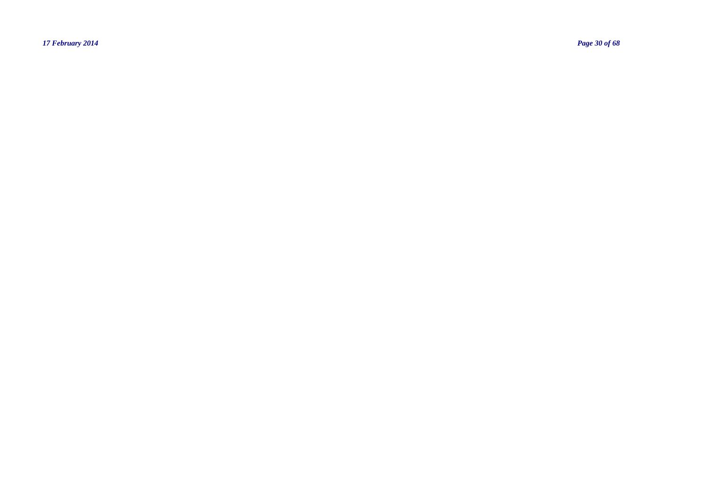*17 February 2014 Page 30 of 68*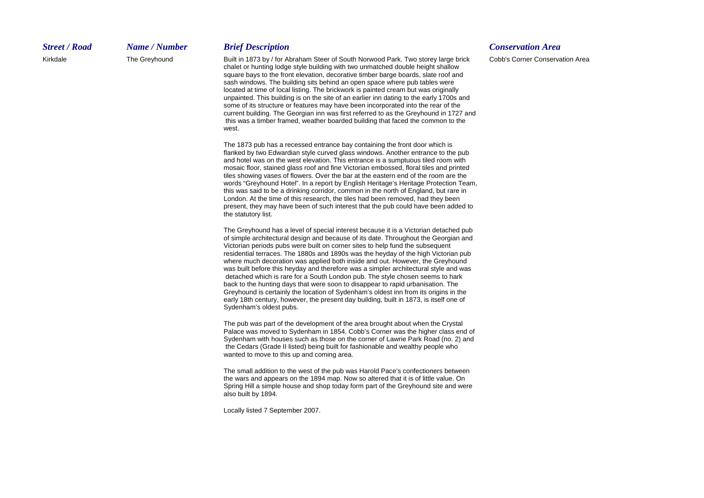### *Street / Road*

Kirkdale

 The Greyhound Built in 1873 by / for Abraham Steer of South Norwood Park. Two storey large brick Cobb's Corner Conservation Area chalet or hunting lodge style building with two unmatched double height shallow square bays to the front elevation, decorative timber barge boards, slate roof and sash windows. The building sits behind an open space where pub tables were located at time of local listing. The brickwork is painted cream but was originally unpainted. This building is on the site of an earlier inn dating to the early 1700s and some of its structure or features may have been incorporated into the rear of the current building. The Georgian inn was first referred to as the Greyhound in 1727 and this was a timber framed, weather boarded building that faced the common to the west.

> The 1873 pub has a recessed entrance bay containing the front door which is flanked by two Edwardian style curved glass windows. Another entrance to the pub and hotel was on the west elevation. This entrance is a sumptuous tiled room with mosaic floor, stained glass roof and fine Victorian embossed, floral tiles and printed tiles showing vases of flowers. Over the bar at the eastern end of the room are the words "Greyhound Hotel". In a report by English Heritage's Heritage Protection Team, this was said to be a drinking corridor, common in the north of England, but rare in London. At the time of this research, the tiles had been removed, had they been present, they may have been of such interest that the pub could have been added to the statutory list.

The Greyhound has a level of special interest because it is a Victorian detached pub of simple architectural design and because of its date. Throughout the Georgian and Victorian periods pubs were built on corner sites to help fund the subsequent residential terraces. The 1880s and 1890s was the heyday of the high Victorian pub where much decoration was applied both inside and out. However, the Greyhound was built before this heyday and therefore was a simpler architectural style and was detached which is rare for a South London pub. The style chosen seems to hark back to the hunting days that were soon to disappear to rapid urbanisation. The Greyhound is certainly the location of Sydenham's oldest inn from its origins in the early 18th century, however, the present day building, built in 1873, is itself one of Sydenham's oldest pubs.

The pub was part of the development of the area brought about when the Crystal Palace was moved to Sydenham in 1854. Cobb's Corner was the higher class end of Sydenham with houses such as those on the corner of Lawrie Park Road (no. 2) and the Cedars (Grade II listed) being built for fashionable and wealthy people who wanted to move to this up and coming area.

The small addition to the west of the pub was Harold Pace's confectioners between the wars and appears on the 1894 map. Now so altered that it is of little value. On Spring Hill a simple house and shop today form part of the Greyhound site and were also built by 1894.

Locally listed 7 September 2007.

# *Name / Number Brief Description Conservation Area*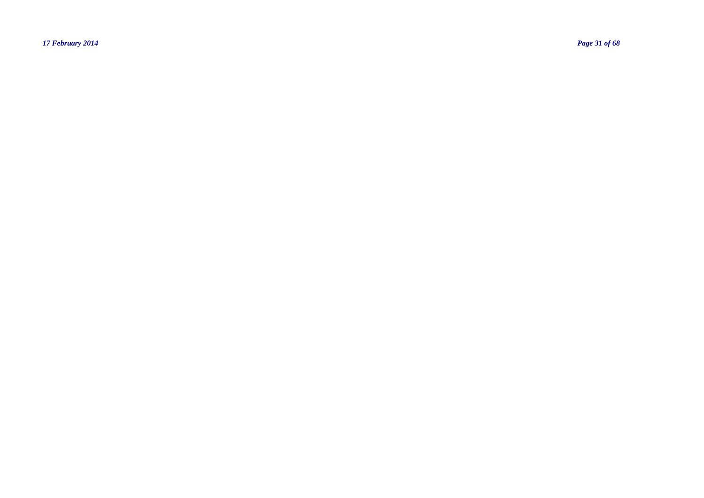*17 February 2014 Page 31 of 68*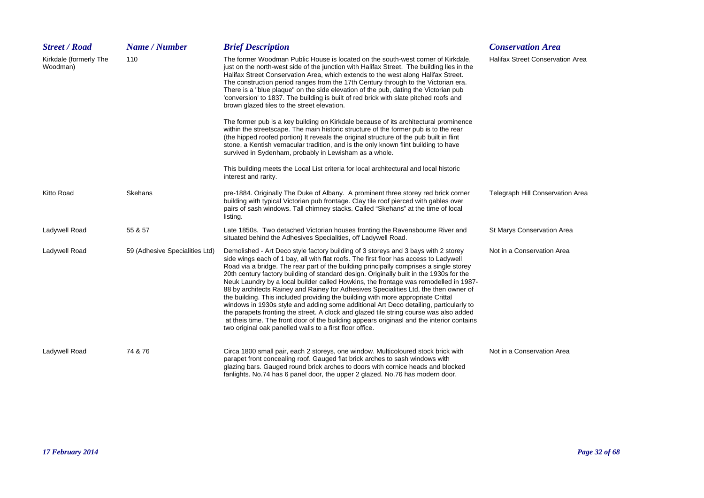| <b>Street / Road</b>               | Name / Number                  | <b>Brief Description</b>                                                                                                                                                                                                                                                                                                                                                                                                                                                                                                                                                                                                                                                                                                                                                                                                                                                                                                                                                         | <b>Conservation Area</b>                |
|------------------------------------|--------------------------------|----------------------------------------------------------------------------------------------------------------------------------------------------------------------------------------------------------------------------------------------------------------------------------------------------------------------------------------------------------------------------------------------------------------------------------------------------------------------------------------------------------------------------------------------------------------------------------------------------------------------------------------------------------------------------------------------------------------------------------------------------------------------------------------------------------------------------------------------------------------------------------------------------------------------------------------------------------------------------------|-----------------------------------------|
| Kirkdale (formerly The<br>Woodman) | 110                            | The former Woodman Public House is located on the south-west corner of Kirkdale,<br>just on the north-west side of the junction with Halifax Street. The building lies in the<br>Halifax Street Conservation Area, which extends to the west along Halifax Street.<br>The construction period ranges from the 17th Century through to the Victorian era.<br>There is a "blue plaque" on the side elevation of the pub, dating the Victorian pub<br>'conversion' to 1837. The building is built of red brick with slate pitched roofs and<br>brown glazed tiles to the street elevation.                                                                                                                                                                                                                                                                                                                                                                                          | <b>Halifax Street Conservation Area</b> |
|                                    |                                | The former pub is a key building on Kirkdale because of its architectural prominence<br>within the streetscape. The main historic structure of the former pub is to the rear<br>(the hipped roofed portion) It reveals the original structure of the pub built in flint<br>stone, a Kentish vernacular tradition, and is the only known flint building to have<br>survived in Sydenham, probably in Lewisham as a whole.                                                                                                                                                                                                                                                                                                                                                                                                                                                                                                                                                         |                                         |
|                                    |                                | This building meets the Local List criteria for local architectural and local historic<br>interest and rarity.                                                                                                                                                                                                                                                                                                                                                                                                                                                                                                                                                                                                                                                                                                                                                                                                                                                                   |                                         |
| Kitto Road                         | Skehans                        | pre-1884. Originally The Duke of Albany. A prominent three storey red brick corner<br>building with typical Victorian pub frontage. Clay tile roof pierced with gables over<br>pairs of sash windows. Tall chimney stacks. Called "Skehans" at the time of local<br>listing.                                                                                                                                                                                                                                                                                                                                                                                                                                                                                                                                                                                                                                                                                                     | Telegraph Hill Conservation Area        |
| Ladywell Road                      | 55 & 57                        | Late 1850s. Two detached Victorian houses fronting the Ravensbourne River and<br>situated behind the Adhesives Specialities, off Ladywell Road.                                                                                                                                                                                                                                                                                                                                                                                                                                                                                                                                                                                                                                                                                                                                                                                                                                  | <b>St Marys Conservation Area</b>       |
| Ladywell Road                      | 59 (Adhesive Specialities Ltd) | Demolished - Art Deco style factory building of 3 storeys and 3 bays with 2 storey<br>side wings each of 1 bay, all with flat roofs. The first floor has access to Ladywell<br>Road via a bridge. The rear part of the building principally comprises a single storey<br>20th century factory building of standard design. Originally built in the 1930s for the<br>Neuk Laundry by a local builder called Howkins, the frontage was remodelled in 1987-<br>88 by architects Rainey and Rainey for Adhesives Specialities Ltd, the then owner of<br>the building. This included providing the building with more appropriate Crittal<br>windows in 1930s style and adding some additional Art Deco detailing, particularly to<br>the parapets fronting the street. A clock and glazed tile string course was also added<br>at theis time. The front door of the building appears originasl and the interior contains<br>two original oak panelled walls to a first floor office. | Not in a Conservation Area              |
| Ladywell Road                      | 74 & 76                        | Circa 1800 small pair, each 2 storeys, one window. Multicoloured stock brick with<br>parapet front concealing roof. Gauged flat brick arches to sash windows with<br>glazing bars. Gauged round brick arches to doors with cornice heads and blocked<br>fanlights. No.74 has 6 panel door, the upper 2 glazed. No.76 has modern door.                                                                                                                                                                                                                                                                                                                                                                                                                                                                                                                                                                                                                                            | Not in a Conservation Area              |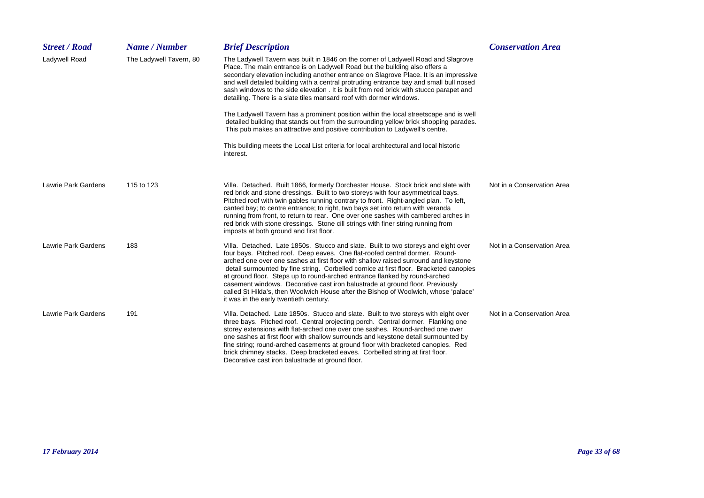| <b>Street / Road</b>       | Name / Number           | <b>Brief Description</b>                                                                                                                                                                                                                                                                                                                                                                                                                                                                                                                                                                                                                           | <b>Conservation Area</b>   |
|----------------------------|-------------------------|----------------------------------------------------------------------------------------------------------------------------------------------------------------------------------------------------------------------------------------------------------------------------------------------------------------------------------------------------------------------------------------------------------------------------------------------------------------------------------------------------------------------------------------------------------------------------------------------------------------------------------------------------|----------------------------|
| Ladywell Road              | The Ladywell Tavern, 80 | The Ladywell Tavern was built in 1846 on the corner of Ladywell Road and Slagrove<br>Place. The main entrance is on Ladywell Road but the building also offers a<br>secondary elevation including another entrance on Slagrove Place. It is an impressive<br>and well detailed building with a central protruding entrance bay and small bull nosed<br>sash windows to the side elevation . It is built from red brick with stucco parapet and<br>detailing. There is a slate tiles mansard roof with dormer windows.                                                                                                                              |                            |
|                            |                         | The Ladywell Tavern has a prominent position within the local streetscape and is well<br>detailed building that stands out from the surrounding yellow brick shopping parades.<br>This pub makes an attractive and positive contribution to Ladywell's centre.                                                                                                                                                                                                                                                                                                                                                                                     |                            |
|                            |                         | This building meets the Local List criteria for local architectural and local historic<br>interest.                                                                                                                                                                                                                                                                                                                                                                                                                                                                                                                                                |                            |
| Lawrie Park Gardens        | 115 to 123              | Villa. Detached. Built 1866, formerly Dorchester House. Stock brick and slate with<br>red brick and stone dressings. Built to two storeys with four asymmetrical bays.<br>Pitched roof with twin gables running contrary to front. Right-angled plan. To left,<br>canted bay; to centre entrance; to right, two bays set into return with veranda<br>running from front, to return to rear. One over one sashes with cambered arches in<br>red brick with stone dressings. Stone cill strings with finer string running from<br>imposts at both ground and first floor.                                                                            | Not in a Conservation Area |
| <b>Lawrie Park Gardens</b> | 183                     | Villa. Detached. Late 1850s. Stucco and slate. Built to two storeys and eight over<br>four bays. Pitched roof. Deep eaves. One flat-roofed central dormer. Round-<br>arched one over one sashes at first floor with shallow raised surround and keystone<br>detail surmounted by fine string. Corbelled cornice at first floor. Bracketed canopies<br>at ground floor. Steps up to round-arched entrance flanked by round-arched<br>casement windows. Decorative cast iron balustrade at ground floor. Previously<br>called St Hilda's, then Woolwich House after the Bishop of Woolwich, whose 'palace'<br>it was in the early twentieth century. | Not in a Conservation Area |
| <b>Lawrie Park Gardens</b> | 191                     | Villa. Detached. Late 1850s. Stucco and slate. Built to two storeys with eight over<br>three bays. Pitched roof. Central projecting porch. Central dormer. Flanking one<br>storey extensions with flat-arched one over one sashes. Round-arched one over<br>one sashes at first floor with shallow surrounds and keystone detail surmounted by<br>fine string; round-arched casements at ground floor with bracketed canopies. Red<br>brick chimney stacks. Deep bracketed eaves. Corbelled string at first floor.<br>Decorative cast iron balustrade at ground floor.                                                                             | Not in a Conservation Area |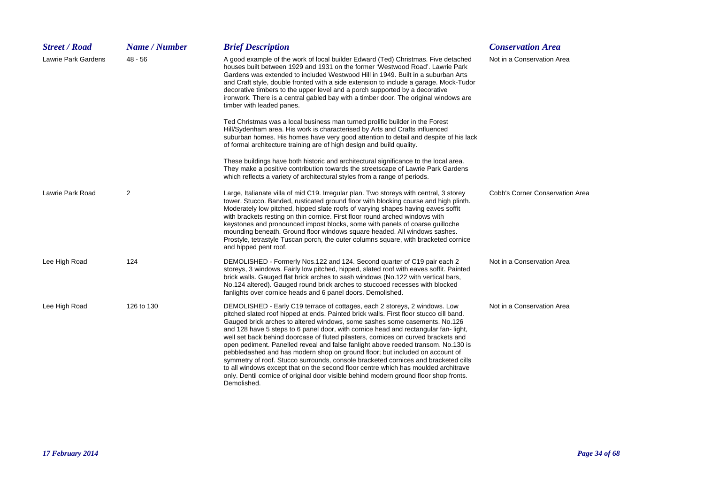| <b>Street / Road</b> | Name / Number | <b>Brief Description</b>                                                                                                                                                                                                                                                                                                                                                                                                                                                                                                                                                                                                                                                                                                                                                                                                                                                                | <b>Conservation Area</b>               |
|----------------------|---------------|-----------------------------------------------------------------------------------------------------------------------------------------------------------------------------------------------------------------------------------------------------------------------------------------------------------------------------------------------------------------------------------------------------------------------------------------------------------------------------------------------------------------------------------------------------------------------------------------------------------------------------------------------------------------------------------------------------------------------------------------------------------------------------------------------------------------------------------------------------------------------------------------|----------------------------------------|
| Lawrie Park Gardens  | $48 - 56$     | A good example of the work of local builder Edward (Ted) Christmas. Five detached<br>houses built between 1929 and 1931 on the former 'Westwood Road'. Lawrie Park<br>Gardens was extended to included Westwood Hill in 1949. Built in a suburban Arts<br>and Craft style, double fronted with a side extension to include a garage. Mock-Tudor<br>decorative timbers to the upper level and a porch supported by a decorative<br>ironwork. There is a central gabled bay with a timber door. The original windows are<br>timber with leaded panes.                                                                                                                                                                                                                                                                                                                                     | Not in a Conservation Area             |
|                      |               | Ted Christmas was a local business man turned prolific builder in the Forest<br>Hill/Sydenham area. His work is characterised by Arts and Crafts influenced<br>suburban homes. His homes have very good attention to detail and despite of his lack<br>of formal architecture training are of high design and build quality.                                                                                                                                                                                                                                                                                                                                                                                                                                                                                                                                                            |                                        |
|                      |               | These buildings have both historic and architectural significance to the local area.<br>They make a positive contribution towards the streetscape of Lawrie Park Gardens<br>which reflects a variety of architectural styles from a range of periods.                                                                                                                                                                                                                                                                                                                                                                                                                                                                                                                                                                                                                                   |                                        |
| Lawrie Park Road     | 2             | Large, Italianate villa of mid C19. Irregular plan. Two storeys with central, 3 storey<br>tower. Stucco. Banded, rusticated ground floor with blocking course and high plinth.<br>Moderately low pitched, hipped slate roofs of varying shapes having eaves soffit<br>with brackets resting on thin cornice. First floor round arched windows with<br>keystones and pronounced impost blocks, some with panels of coarse guilloche<br>mounding beneath. Ground floor windows square headed. All windows sashes.<br>Prostyle, tetrastyle Tuscan porch, the outer columns square, with bracketed cornice<br>and hipped pent roof.                                                                                                                                                                                                                                                         | <b>Cobb's Corner Conservation Area</b> |
| Lee High Road        | 124           | DEMOLISHED - Formerly Nos.122 and 124. Second quarter of C19 pair each 2<br>storeys, 3 windows. Fairly low pitched, hipped, slated roof with eaves soffit. Painted<br>brick walls. Gauged flat brick arches to sash windows (No.122 with vertical bars,<br>No.124 altered). Gauged round brick arches to stuccoed recesses with blocked<br>fanlights over cornice heads and 6 panel doors. Demolished.                                                                                                                                                                                                                                                                                                                                                                                                                                                                                  | Not in a Conservation Area             |
| Lee High Road        | 126 to 130    | DEMOLISHED - Early C19 terrace of cottages, each 2 storeys, 2 windows. Low<br>pitched slated roof hipped at ends. Painted brick walls. First floor stucco cill band.<br>Gauged brick arches to altered windows, some sashes some casements. No.126<br>and 128 have 5 steps to 6 panel door, with cornice head and rectangular fan-light,<br>well set back behind doorcase of fluted pilasters, cornices on curved brackets and<br>open pediment. Panelled reveal and false fanlight above reeded transom. No.130 is<br>pebbledashed and has modern shop on ground floor; but included on account of<br>symmetry of roof. Stucco surrounds, console bracketed cornices and bracketed cills<br>to all windows except that on the second floor centre which has moulded architrave<br>only. Dentil cornice of original door visible behind modern ground floor shop fronts.<br>Demolished. | Not in a Conservation Area             |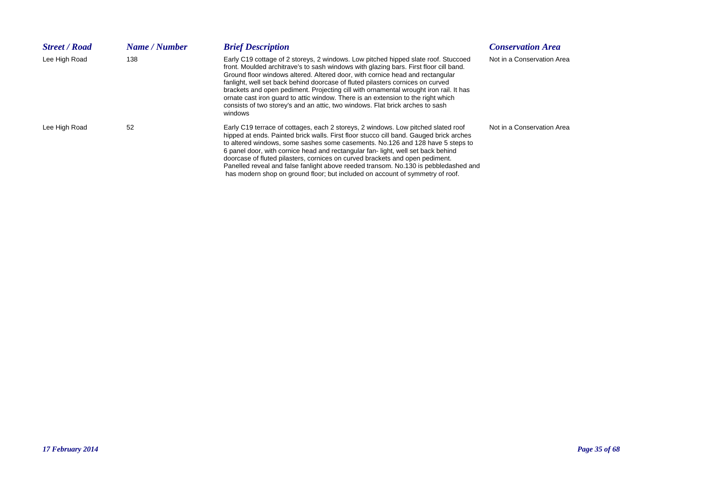| <b>Street / Road</b> | <b>Name / Number</b> | <b>Brief Description</b>                                                                                                                                                                                                                                                                                                                                                                                                                                                                                                                                                                                                | <b>Conservation Area</b>   |
|----------------------|----------------------|-------------------------------------------------------------------------------------------------------------------------------------------------------------------------------------------------------------------------------------------------------------------------------------------------------------------------------------------------------------------------------------------------------------------------------------------------------------------------------------------------------------------------------------------------------------------------------------------------------------------------|----------------------------|
| Lee High Road        | 138                  | Early C19 cottage of 2 storeys, 2 windows. Low pitched hipped slate roof. Stuccoed<br>front. Moulded architrave's to sash windows with glazing bars. First floor cill band.<br>Ground floor windows altered. Altered door, with cornice head and rectangular<br>fanlight, well set back behind doorcase of fluted pilasters cornices on curved<br>brackets and open pediment. Projecting cill with ornamental wrought iron rail. It has<br>ornate cast iron quard to attic window. There is an extension to the right which<br>consists of two storey's and an attic, two windows. Flat brick arches to sash<br>windows | Not in a Conservation Area |
| Lee High Road        | 52                   | Early C19 terrace of cottages, each 2 storeys, 2 windows. Low pitched slated roof<br>hipped at ends. Painted brick walls. First floor stucco cill band. Gauged brick arches<br>to altered windows, some sashes some casements. No.126 and 128 have 5 steps to<br>6 panel door, with cornice head and rectangular fan-light, well set back behind<br>doorcase of fluted pilasters, cornices on curved brackets and open pediment.<br>Panelled reveal and false fanlight above reeded transom. No.130 is pebbledashed and<br>has modern shop on ground floor; but included on account of symmetry of roof.                | Not in a Conservation Area |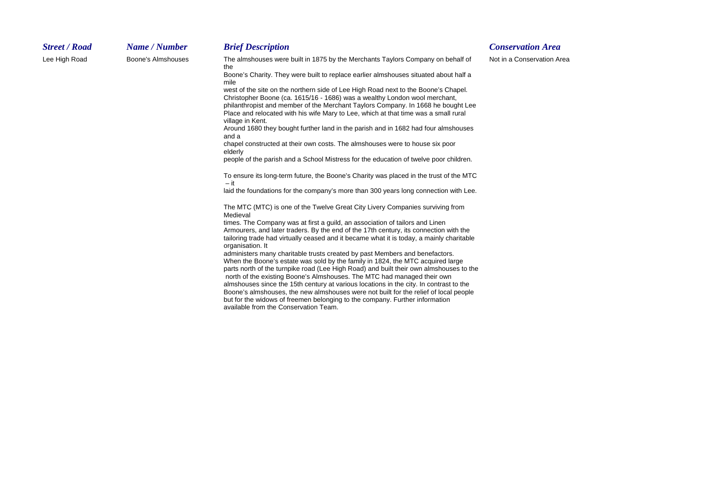# *Street / Road*

Lee High Road Boone's Almshouses The almshouses were built in 1875 by the Merchants Taylors Company on behalf of Not in a Conservation Area the

> Boone's Charity. They were built to replace earlier almshouses situated about half a mile

west of the site on the northern side of Lee High Road next to the Boone's Chapel. Christopher Boone (ca. 1615/16 - 1686) was a wealthy London wool merchant, philanthropist and member of the Merchant Taylors Company. In 1668 he bought Lee Place and relocated with his wife Mary to Lee, which at that time was a small rural village in Kent.

Around 1680 they bought further land in the parish and in 1682 had four almshouses and a

chapel constructed at their own costs. The almshouses were to house six poor elderly

people of the parish and a School Mistress for the education of twelve poor children.

To ensure its long-term future, the Boone's Charity was placed in the trust of the MTC – it

laid the foundations for the company's more than 300 years long connection with Lee.

The MTC (MTC) is one of the Twelve Great City Livery Companies surviving from Medieval

times. The Company was at first a guild, an association of tailors and Linen Armourers, and later traders. By the end of the 17th century, its connection with the tailoring trade had virtually ceased and it became what it is today, a mainly charitable organisation. It

administers many charitable trusts created by past Members and benefactors. When the Boone's estate was sold by the family in 1824, the MTC acquired large parts north of the turnpike road (Lee High Road) and built their own almshouses to the north of the existing Boone's Almshouses. The MTC had managed their own almshouses since the 15th century at various locations in the city. In contrast to the Boone's almshouses, the new almshouses were not built for the relief of local people but for the widows of freemen belonging to the company. Further information available from the Conservation Team.

## *Name / Number Brief Description Conservation Area*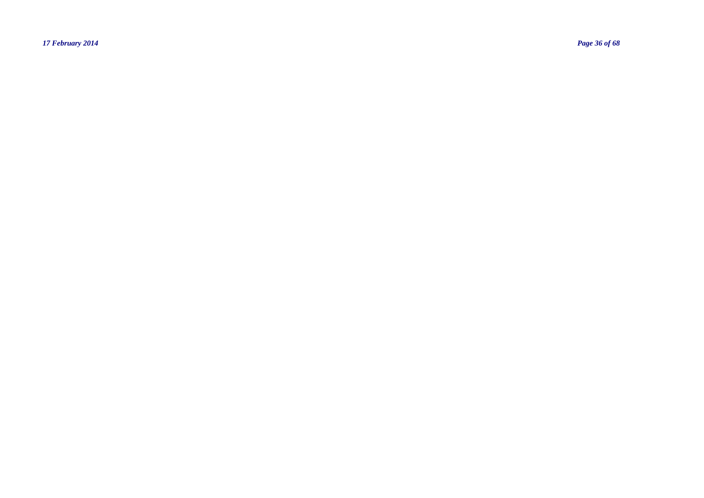*17 February 2014 Page 36 of 68*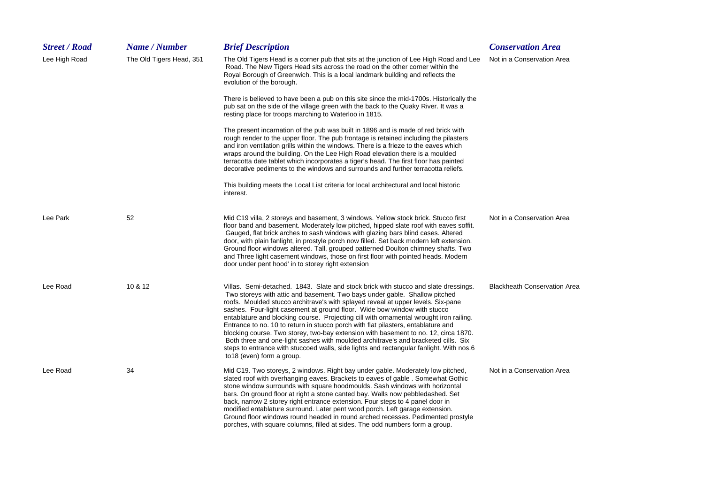| <b>Street / Road</b> | Name / Number            | <b>Brief Description</b>                                                                                                                                                                                                                                                                                                                                                                                                                                                                                                                                                                                                                                                                                                                                                                                               | <b>Conservation Area</b>            |
|----------------------|--------------------------|------------------------------------------------------------------------------------------------------------------------------------------------------------------------------------------------------------------------------------------------------------------------------------------------------------------------------------------------------------------------------------------------------------------------------------------------------------------------------------------------------------------------------------------------------------------------------------------------------------------------------------------------------------------------------------------------------------------------------------------------------------------------------------------------------------------------|-------------------------------------|
| Lee High Road        | The Old Tigers Head, 351 | The Old Tigers Head is a corner pub that sits at the junction of Lee High Road and Lee<br>Road. The New Tigers Head sits across the road on the other corner within the<br>Royal Borough of Greenwich. This is a local landmark building and reflects the<br>evolution of the borough.                                                                                                                                                                                                                                                                                                                                                                                                                                                                                                                                 | Not in a Conservation Area          |
|                      |                          | There is believed to have been a pub on this site since the mid-1700s. Historically the<br>pub sat on the side of the village green with the back to the Quaky River. It was a<br>resting place for troops marching to Waterloo in 1815.                                                                                                                                                                                                                                                                                                                                                                                                                                                                                                                                                                               |                                     |
|                      |                          | The present incarnation of the pub was built in 1896 and is made of red brick with<br>rough render to the upper floor. The pub frontage is retained including the pilasters<br>and iron ventilation grills within the windows. There is a frieze to the eaves which<br>wraps around the building. On the Lee High Road elevation there is a moulded<br>terracotta date tablet which incorporates a tiger's head. The first floor has painted<br>decorative pediments to the windows and surrounds and further terracotta reliefs.                                                                                                                                                                                                                                                                                      |                                     |
|                      |                          | This building meets the Local List criteria for local architectural and local historic<br>interest.                                                                                                                                                                                                                                                                                                                                                                                                                                                                                                                                                                                                                                                                                                                    |                                     |
| Lee Park             | 52                       | Mid C19 villa, 2 storeys and basement, 3 windows. Yellow stock brick. Stucco first<br>floor band and basement. Moderately low pitched, hipped slate roof with eaves soffit.<br>Gauged, flat brick arches to sash windows with glazing bars blind cases. Altered<br>door, with plain fanlight, in prostyle porch now filled. Set back modern left extension.<br>Ground floor windows altered. Tall, grouped patterned Doulton chimney shafts. Two<br>and Three light casement windows, those on first floor with pointed heads. Modern<br>door under pent hood' in to storey right extension                                                                                                                                                                                                                            | Not in a Conservation Area          |
| Lee Road             | 10 & 12                  | Villas. Semi-detached. 1843. Slate and stock brick with stucco and slate dressings.<br>Two storeys with attic and basement. Two bays under gable. Shallow pitched<br>roofs. Moulded stucco architrave's with splayed reveal at upper levels. Six-pane<br>sashes. Four-light casement at ground floor. Wide bow window with stucco<br>entablature and blocking course. Projecting cill with ornamental wrought iron railing.<br>Entrance to no. 10 to return in stucco porch with flat pilasters, entablature and<br>blocking course. Two storey, two-bay extension with basement to no. 12, circa 1870.<br>Both three and one-light sashes with moulded architrave's and bracketed cills. Six<br>steps to entrance with stuccoed walls, side lights and rectangular fanlight. With nos.6<br>to 18 (even) form a group. | <b>Blackheath Conservation Area</b> |
| Lee Road             | 34                       | Mid C19. Two storeys, 2 windows. Right bay under gable. Moderately low pitched,<br>slated roof with overhanging eaves. Brackets to eaves of gable . Somewhat Gothic<br>stone window surrounds with square hoodmoulds. Sash windows with horizontal<br>bars. On ground floor at right a stone canted bay. Walls now pebbledashed. Set<br>back, narrow 2 storey right entrance extension. Four steps to 4 panel door in<br>modified entablature surround. Later pent wood porch. Left garage extension.<br>Ground floor windows round headed in round arched recesses. Pedimented prostyle<br>porches, with square columns, filled at sides. The odd numbers form a group.                                                                                                                                               | Not in a Conservation Area          |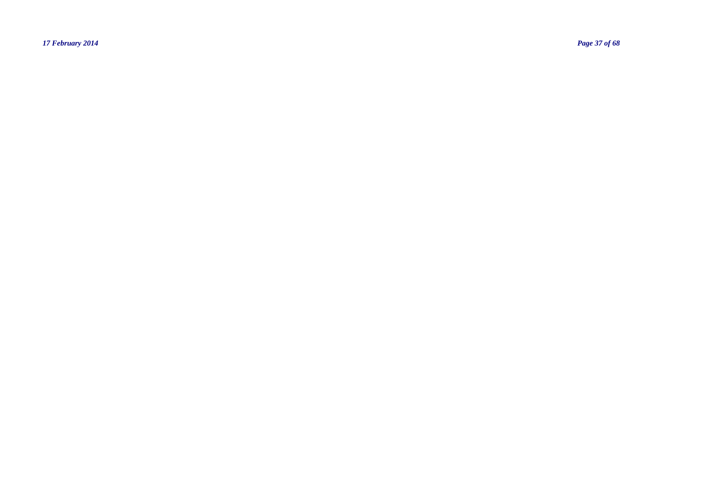*17 February 2014 Page 37 of 68*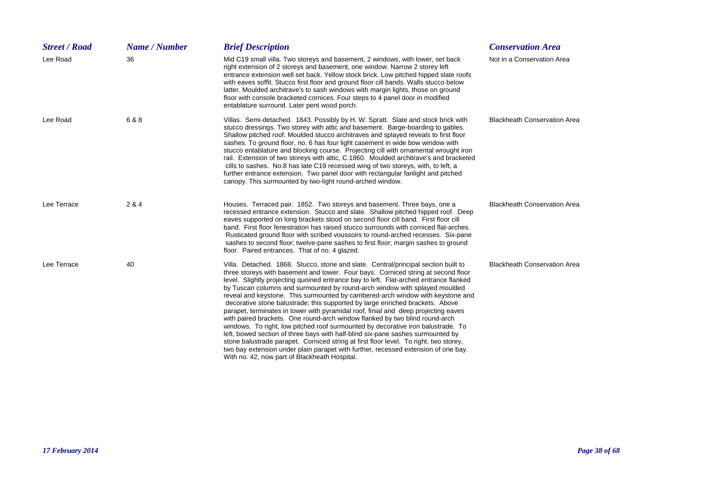| <b>Street / Road</b> | Name / Number | <b>Brief Description</b>                                                                                                                                                                                                                                                                                                                                                                                                                                                                                                                                                                                                                                                                                                                                                                                                                                                                                                                                                                                                                                                                      | <b>Conservation Area</b>            |
|----------------------|---------------|-----------------------------------------------------------------------------------------------------------------------------------------------------------------------------------------------------------------------------------------------------------------------------------------------------------------------------------------------------------------------------------------------------------------------------------------------------------------------------------------------------------------------------------------------------------------------------------------------------------------------------------------------------------------------------------------------------------------------------------------------------------------------------------------------------------------------------------------------------------------------------------------------------------------------------------------------------------------------------------------------------------------------------------------------------------------------------------------------|-------------------------------------|
| Lee Road             | 36            | Mid C19 small villa. Two storeys and basement, 2 windows, with lower, set back<br>right extension of 2 storeys and basement, one window. Narrow 2 storey left<br>entrance extension well set back. Yellow stock brick. Low pitched hipped slate roofs<br>with eaves soffit. Stucco first floor and ground floor cill bands. Walls stucco below<br>latter. Moulded architrave's to sash windows with margin lights, those on ground<br>floor with console bracketed cornices. Four steps to 4 panel door in modified<br>entablature surround. Later pent wood porch.                                                                                                                                                                                                                                                                                                                                                                                                                                                                                                                           | Not in a Conservation Area          |
| Lee Road             | 6 & 8         | Villas. Semi-detached. 1843. Possibly by H. W. Spratt. Slate and stock brick with<br>stucco dressings. Two storey with attic and basement. Barge-boarding to gables.<br>Shallow pitched roof. Moulded stucco architraves and splayed reveals to first floor<br>sashes. To ground floor, no. 6 has four light casement in wide bow window with<br>stucco entablature and blocking course. Projecting cill with ornamental wrought iron<br>rail. Extension of two storeys with attic, C.1860. Moulded architrave's and bracketed<br>cills to sashes. No.8 has late C19 recessed wing of two storeys, with, to left, a<br>further entrance extension. Two panel door with rectangular fanlight and pitched<br>canopy. This surmounted by two-light round-arched window.                                                                                                                                                                                                                                                                                                                          | <b>Blackheath Conservation Area</b> |
| Lee Terrace          | 2 & 4         | Houses. Terraced pair. 1852. Two storeys and basement. Three bays, one a<br>recessed entrance extension. Stucco and slate. Shallow pitched hipped roof. Deep<br>eaves supported on long brackets stood on second floor cill band. First floor cill<br>band. First floor fenestration has raised stucco surrounds with corniced flat-arches.<br>Rusticated ground floor with scribed voussoirs to round-arched recesses. Six-pane<br>sashes to second floor; twelve-pane sashes to first floor; margin sashes to ground<br>floor. Paired entrances. That of no. 4 glazed.                                                                                                                                                                                                                                                                                                                                                                                                                                                                                                                      | <b>Blackheath Conservation Area</b> |
| Lee Terrace          | 40            | Villa. Detached. 1868. Stucco, stone and slate. Central/principal section built to<br>three storeys with basement and tower. Four bays. Corniced string at second floor<br>level. Slightly projecting quoined entrance bay to left. Flat-arched entrance flanked<br>by Tuscan columns and surmounted by round-arch window with splayed moulded<br>reveal and keystone. This surmounted by cambered-arch window with keystone and<br>decorative stone balustrade; this supported by large enriched brackets. Above<br>parapet, terminates in tower with pyramidal roof, finial and deep projecting eaves<br>with paired brackets. One round-arch window flanked by two blind round-arch<br>windows. To right, low pitched roof surmounted by decorative iron balustrade. To<br>left, bowed section of three bays with half-blind six-pane sashes surmounted by<br>stone balustrade parapet. Corniced string at first floor level. To right, two storey,<br>two bay extension under plain parapet with further, recessed extension of one bay.<br>With no. 42, now part of Blackheath Hospital. | <b>Blackheath Conservation Area</b> |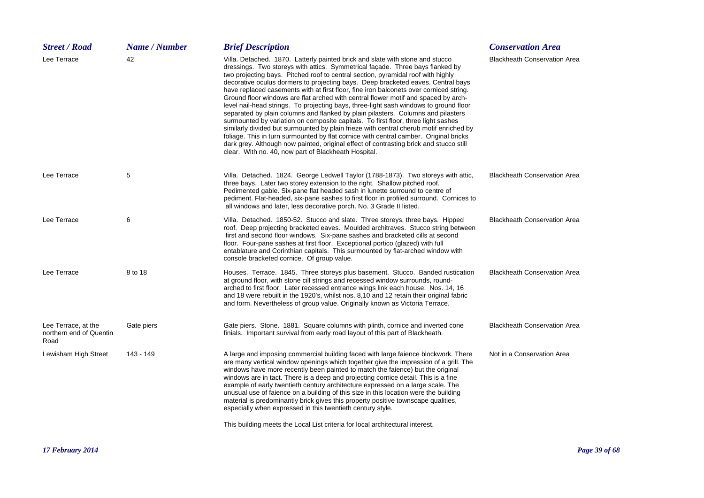| <b>Street / Road</b>                                   | Name / Number | <b>Brief Description</b>                                                                                                                                                                                                                                                                                                                                                                                                                                                                                                                                                                                                                                                                                                                                                                                                                                                                                                                                                                                                                                                                                                      | <b>Conservation Area</b>            |
|--------------------------------------------------------|---------------|-------------------------------------------------------------------------------------------------------------------------------------------------------------------------------------------------------------------------------------------------------------------------------------------------------------------------------------------------------------------------------------------------------------------------------------------------------------------------------------------------------------------------------------------------------------------------------------------------------------------------------------------------------------------------------------------------------------------------------------------------------------------------------------------------------------------------------------------------------------------------------------------------------------------------------------------------------------------------------------------------------------------------------------------------------------------------------------------------------------------------------|-------------------------------------|
| Lee Terrace                                            | 42            | Villa. Detached. 1870. Latterly painted brick and slate with stone and stucco<br>dressings. Two storeys with attics. Symmetrical façade. Three bays flanked by<br>two projecting bays. Pitched roof to central section, pyramidal roof with highly<br>decorative oculus dormers to projecting bays. Deep bracketed eaves. Central bays<br>have replaced casements with at first floor, fine iron balconets over corniced string.<br>Ground floor windows are flat arched with central flower motif and spaced by arch-<br>level nail-head strings. To projecting bays, three-light sash windows to ground floor<br>separated by plain columns and flanked by plain pilasters. Columns and pilasters<br>surmounted by variation on composite capitals. To first floor, three light sashes<br>similarly divided but surmounted by plain frieze with central cherub motif enriched by<br>foliage. This in turn surmounted by flat cornice with central camber. Original bricks<br>dark grey. Although now painted, original effect of contrasting brick and stucco still<br>clear. With no. 40, now part of Blackheath Hospital. | <b>Blackheath Conservation Area</b> |
| Lee Terrace                                            | 5             | Villa. Detached. 1824. George Ledwell Taylor (1788-1873). Two storeys with attic,<br>three bays. Later two storey extension to the right. Shallow pitched roof.<br>Pedimented gable. Six-pane flat headed sash in lunette surround to centre of<br>pediment. Flat-headed, six-pane sashes to first floor in profiled surround. Cornices to<br>all windows and later, less decorative porch. No. 3 Grade II listed.                                                                                                                                                                                                                                                                                                                                                                                                                                                                                                                                                                                                                                                                                                            | <b>Blackheath Conservation Area</b> |
| Lee Terrace                                            | 6             | Villa. Detached. 1850-52. Stucco and slate. Three storeys, three bays. Hipped<br>roof. Deep projecting bracketed eaves. Moulded architraves. Stucco string between<br>first and second floor windows. Six-pane sashes and bracketed cills at second<br>floor. Four-pane sashes at first floor. Exceptional portico (glazed) with full<br>entablature and Corinthian capitals. This surmounted by flat-arched window with<br>console bracketed cornice. Of group value.                                                                                                                                                                                                                                                                                                                                                                                                                                                                                                                                                                                                                                                        | <b>Blackheath Conservation Area</b> |
| Lee Terrace                                            | 8 to 18       | Houses. Terrace. 1845. Three storeys plus basement. Stucco. Banded rustication<br>at ground floor, with stone cill strings and recessed window surrounds, round-<br>arched to first floor. Later recessed entrance wings link each house. Nos. 14, 16<br>and 18 were rebuilt in the 1920's, whilst nos. 8,10 and 12 retain their original fabric<br>and form. Nevertheless of group value. Originally known as Victoria Terrace.                                                                                                                                                                                                                                                                                                                                                                                                                                                                                                                                                                                                                                                                                              | <b>Blackheath Conservation Area</b> |
| Lee Terrace, at the<br>northern end of Quentin<br>Road | Gate piers    | Gate piers. Stone. 1881. Square columns with plinth, cornice and inverted cone<br>finials. Important survival from early road layout of this part of Blackheath.                                                                                                                                                                                                                                                                                                                                                                                                                                                                                                                                                                                                                                                                                                                                                                                                                                                                                                                                                              | <b>Blackheath Conservation Area</b> |
| Lewisham High Street                                   | 143 - 149     | A large and imposing commercial building faced with large faience blockwork. There<br>are many vertical window openings which together give the impression of a grill. The<br>windows have more recently been painted to match the faience) but the original<br>windows are in tact. There is a deep and projecting cornice detail. This is a fine<br>example of early twentieth century architecture expressed on a large scale. The<br>unusual use of faience on a building of this size in this location were the building<br>material is predominantly brick gives this property positive townscape qualities,<br>especially when expressed in this twentieth century style.                                                                                                                                                                                                                                                                                                                                                                                                                                              | Not in a Conservation Area          |
|                                                        |               | This building meets the Local List criteria for local architectural interest.                                                                                                                                                                                                                                                                                                                                                                                                                                                                                                                                                                                                                                                                                                                                                                                                                                                                                                                                                                                                                                                 |                                     |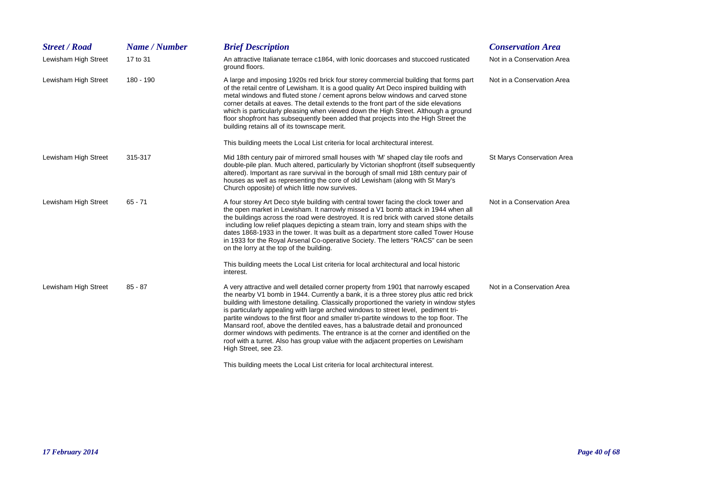| <b>Street / Road</b> | Name / Number | <b>Brief Description</b>                                                                                                                                                                                                                                                                                                                                                                                                                                                                                                                                                                                                                                                                                                                          | <b>Conservation Area</b>   |
|----------------------|---------------|---------------------------------------------------------------------------------------------------------------------------------------------------------------------------------------------------------------------------------------------------------------------------------------------------------------------------------------------------------------------------------------------------------------------------------------------------------------------------------------------------------------------------------------------------------------------------------------------------------------------------------------------------------------------------------------------------------------------------------------------------|----------------------------|
| Lewisham High Street | 17 to 31      | An attractive Italianate terrace c1864, with lonic doorcases and stuccoed rusticated<br>ground floors.                                                                                                                                                                                                                                                                                                                                                                                                                                                                                                                                                                                                                                            | Not in a Conservation Area |
| Lewisham High Street | 180 - 190     | A large and imposing 1920s red brick four storey commercial building that forms part<br>of the retail centre of Lewisham. It is a good quality Art Deco inspired building with<br>metal windows and fluted stone / cement aprons below windows and carved stone<br>corner details at eaves. The detail extends to the front part of the side elevations<br>which is particularly pleasing when viewed down the High Street. Although a ground<br>floor shopfront has subsequently been added that projects into the High Street the<br>building retains all of its townscape merit.                                                                                                                                                               | Not in a Conservation Area |
|                      |               | This building meets the Local List criteria for local architectural interest.                                                                                                                                                                                                                                                                                                                                                                                                                                                                                                                                                                                                                                                                     |                            |
| Lewisham High Street | 315-317       | Mid 18th century pair of mirrored small houses with 'M' shaped clay tile roofs and<br>double-pile plan. Much altered, particularly by Victorian shopfront (itself subsequently<br>altered). Important as rare survival in the borough of small mid 18th century pair of<br>houses as well as representing the core of old Lewisham (along with St Mary's<br>Church opposite) of which little now survives.                                                                                                                                                                                                                                                                                                                                        | St Marys Conservation Area |
| Lewisham High Street | $65 - 71$     | A four storey Art Deco style building with central tower facing the clock tower and<br>the open market in Lewisham. It narrowly missed a V1 bomb attack in 1944 when all<br>the buildings across the road were destroyed. It is red brick with carved stone details<br>including low relief plaques depicting a steam train, lorry and steam ships with the<br>dates 1868-1933 in the tower. It was built as a department store called Tower House<br>in 1933 for the Royal Arsenal Co-operative Society. The letters "RACS" can be seen<br>on the lorry at the top of the building.                                                                                                                                                              | Not in a Conservation Area |
|                      |               | This building meets the Local List criteria for local architectural and local historic<br>interest.                                                                                                                                                                                                                                                                                                                                                                                                                                                                                                                                                                                                                                               |                            |
| Lewisham High Street | $85 - 87$     | A very attractive and well detailed corner property from 1901 that narrowly escaped<br>the nearby V1 bomb in 1944. Currently a bank, it is a three storey plus attic red brick<br>building with limestone detailing. Classically proportioned the variety in window styles<br>is particularly appealing with large arched windows to street level, pediment tri-<br>partite windows to the first floor and smaller tri-partite windows to the top floor. The<br>Mansard roof, above the dentiled eaves, has a balustrade detail and pronounced<br>dormer windows with pediments. The entrance is at the corner and identified on the<br>roof with a turret. Also has group value with the adjacent properties on Lewisham<br>High Street, see 23. | Not in a Conservation Area |
|                      |               | This building meets the Local List criteria for local architectural interest.                                                                                                                                                                                                                                                                                                                                                                                                                                                                                                                                                                                                                                                                     |                            |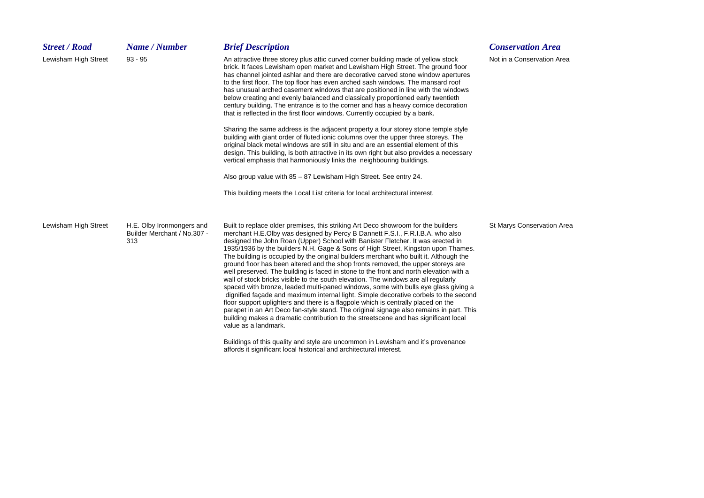| <b>Street / Road</b> | Name / Number                                                   | <b>Brief Description</b>                                                                                                                                                                                                                                                                                                                                                                                                                                                                                                                                                                                                                                                                                                                                                                                                                                                                                                                                                                                                                                                                                                                                                                                                                                                                                                                       | <b>Conservation Area</b>   |
|----------------------|-----------------------------------------------------------------|------------------------------------------------------------------------------------------------------------------------------------------------------------------------------------------------------------------------------------------------------------------------------------------------------------------------------------------------------------------------------------------------------------------------------------------------------------------------------------------------------------------------------------------------------------------------------------------------------------------------------------------------------------------------------------------------------------------------------------------------------------------------------------------------------------------------------------------------------------------------------------------------------------------------------------------------------------------------------------------------------------------------------------------------------------------------------------------------------------------------------------------------------------------------------------------------------------------------------------------------------------------------------------------------------------------------------------------------|----------------------------|
| Lewisham High Street | $93 - 95$                                                       | An attractive three storey plus attic curved corner building made of yellow stock<br>brick. It faces Lewisham open market and Lewisham High Street. The ground floor<br>has channel jointed ashlar and there are decorative carved stone window apertures<br>to the first floor. The top floor has even arched sash windows. The mansard roof<br>has unusual arched casement windows that are positioned in line with the windows<br>below creating and evenly balanced and classically proportioned early twentieth<br>century building. The entrance is to the corner and has a heavy cornice decoration<br>that is reflected in the first floor windows. Currently occupied by a bank.<br>Sharing the same address is the adjacent property a four storey stone temple style<br>building with giant order of fluted ionic columns over the upper three storeys. The<br>original black metal windows are still in situ and are an essential element of this<br>design. This building, is both attractive in its own right but also provides a necessary<br>vertical emphasis that harmoniously links the neighbouring buildings.<br>Also group value with 85 - 87 Lewisham High Street. See entry 24.                                                                                                                                        | Not in a Conservation Area |
|                      |                                                                 | This building meets the Local List criteria for local architectural interest.                                                                                                                                                                                                                                                                                                                                                                                                                                                                                                                                                                                                                                                                                                                                                                                                                                                                                                                                                                                                                                                                                                                                                                                                                                                                  |                            |
| Lewisham High Street | H.E. Olby Ironmongers and<br>Builder Merchant / No.307 -<br>313 | Built to replace older premises, this striking Art Deco showroom for the builders<br>merchant H.E.Olby was designed by Percy B Dannett F.S.I., F.R.I.B.A. who also<br>designed the John Roan (Upper) School with Banister Fletcher. It was erected in<br>1935/1936 by the builders N.H. Gage & Sons of High Street, Kingston upon Thames.<br>The building is occupied by the original builders merchant who built it. Although the<br>ground floor has been altered and the shop fronts removed, the upper storeys are<br>well preserved. The building is faced in stone to the front and north elevation with a<br>wall of stock bricks visible to the south elevation. The windows are all regularly<br>spaced with bronze, leaded multi-paned windows, some with bulls eye glass giving a<br>dignified facade and maximum internal light. Simple decorative corbels to the second<br>floor support uplighters and there is a flagpole which is centrally placed on the<br>parapet in an Art Deco fan-style stand. The original signage also remains in part. This<br>building makes a dramatic contribution to the streetscene and has significant local<br>value as a landmark.<br>Buildings of this quality and style are uncommon in Lewisham and it's provenance<br>affords it significant local historical and architectural interest. | St Marys Conservation Area |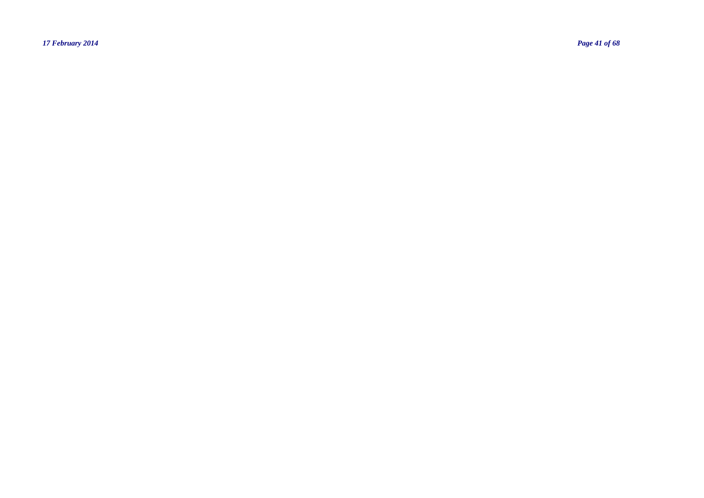*17 February 2014 Page 41 of 68*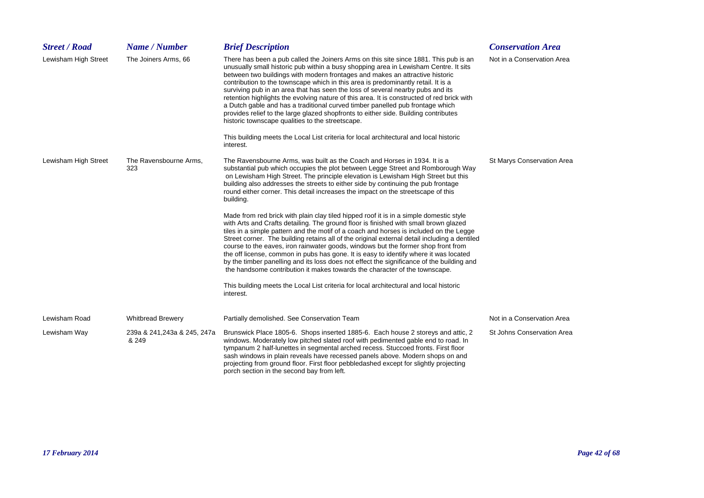| <b>Street / Road</b> | Name / Number                        | <b>Brief Description</b>                                                                                                                                                                                                                                                                                                                                                                                                                                                                                                                                                                                                                                                                                                                                                                                                                 | <b>Conservation Area</b>   |
|----------------------|--------------------------------------|------------------------------------------------------------------------------------------------------------------------------------------------------------------------------------------------------------------------------------------------------------------------------------------------------------------------------------------------------------------------------------------------------------------------------------------------------------------------------------------------------------------------------------------------------------------------------------------------------------------------------------------------------------------------------------------------------------------------------------------------------------------------------------------------------------------------------------------|----------------------------|
| Lewisham High Street | The Joiners Arms, 66                 | There has been a pub called the Joiners Arms on this site since 1881. This pub is an<br>unusually small historic pub within a busy shopping area in Lewisham Centre. It sits<br>between two buildings with modern frontages and makes an attractive historic<br>contribution to the townscape which in this area is predominantly retail. It is a<br>surviving pub in an area that has seen the loss of several nearby pubs and its<br>retention highlights the evolving nature of this area. It is constructed of red brick with<br>a Dutch gable and has a traditional curved timber panelled pub frontage which<br>provides relief to the large glazed shopfronts to either side. Building contributes<br>historic townscape qualities to the streetscape.                                                                            | Not in a Conservation Area |
|                      |                                      | This building meets the Local List criteria for local architectural and local historic<br>interest.                                                                                                                                                                                                                                                                                                                                                                                                                                                                                                                                                                                                                                                                                                                                      |                            |
| Lewisham High Street | The Ravensbourne Arms,<br>323        | The Ravensbourne Arms, was built as the Coach and Horses in 1934. It is a<br>substantial pub which occupies the plot between Legge Street and Romborough Way<br>on Lewisham High Street. The principle elevation is Lewisham High Street but this<br>building also addresses the streets to either side by continuing the pub frontage<br>round either corner. This detail increases the impact on the streetscape of this<br>building.                                                                                                                                                                                                                                                                                                                                                                                                  | St Marys Conservation Area |
|                      |                                      | Made from red brick with plain clay tiled hipped roof it is in a simple domestic style<br>with Arts and Crafts detailing. The ground floor is finished with small brown glazed<br>tiles in a simple pattern and the motif of a coach and horses is included on the Legge<br>Street corner. The building retains all of the original external detail including a dentiled<br>course to the eaves, iron rainwater goods, windows but the former shop front from<br>the off license, common in pubs has gone. It is easy to identify where it was located<br>by the timber panelling and its loss does not effect the significance of the building and<br>the handsome contribution it makes towards the character of the townscape.<br>This building meets the Local List criteria for local architectural and local historic<br>interest. |                            |
| Lewisham Road        | <b>Whitbread Brewery</b>             | Partially demolished. See Conservation Team                                                                                                                                                                                                                                                                                                                                                                                                                                                                                                                                                                                                                                                                                                                                                                                              | Not in a Conservation Area |
| Lewisham Way         | 239a & 241,243a & 245, 247a<br>& 249 | Brunswick Place 1805-6. Shops inserted 1885-6. Each house 2 storeys and attic, 2<br>windows. Moderately low pitched slated roof with pedimented gable end to road. In<br>tympanum 2 half-lunettes in segmental arched recess. Stuccoed fronts. First floor<br>sash windows in plain reveals have recessed panels above. Modern shops on and<br>projecting from ground floor. First floor pebbledashed except for slightly projecting<br>porch section in the second bay from left.                                                                                                                                                                                                                                                                                                                                                       | St Johns Conservation Area |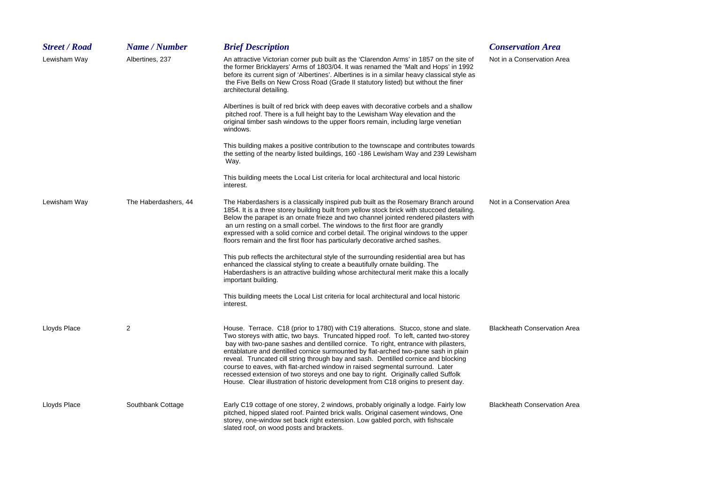| <b>Street / Road</b> | Name / Number        | <b>Brief Description</b>                                                                                                                                                                                                                                                                                                                                                                                                                                                                                                                                                                                                                                                                               | <b>Conservation Area</b>            |
|----------------------|----------------------|--------------------------------------------------------------------------------------------------------------------------------------------------------------------------------------------------------------------------------------------------------------------------------------------------------------------------------------------------------------------------------------------------------------------------------------------------------------------------------------------------------------------------------------------------------------------------------------------------------------------------------------------------------------------------------------------------------|-------------------------------------|
| Lewisham Way         | Albertines, 237      | An attractive Victorian corner pub built as the 'Clarendon Arms' in 1857 on the site of<br>the former Bricklayers' Arms of 1803/04. It was renamed the 'Malt and Hops' in 1992<br>before its current sign of 'Albertines'. Albertines is in a similar heavy classical style as<br>the Five Bells on New Cross Road (Grade II statutory listed) but without the finer<br>architectural detailing.                                                                                                                                                                                                                                                                                                       | Not in a Conservation Area          |
|                      |                      | Albertines is built of red brick with deep eaves with decorative corbels and a shallow<br>pitched roof. There is a full height bay to the Lewisham Way elevation and the<br>original timber sash windows to the upper floors remain, including large venetian<br>windows.                                                                                                                                                                                                                                                                                                                                                                                                                              |                                     |
|                      |                      | This building makes a positive contribution to the townscape and contributes towards<br>the setting of the nearby listed buildings, 160 -186 Lewisham Way and 239 Lewisham<br>Way.                                                                                                                                                                                                                                                                                                                                                                                                                                                                                                                     |                                     |
|                      |                      | This building meets the Local List criteria for local architectural and local historic<br>interest.                                                                                                                                                                                                                                                                                                                                                                                                                                                                                                                                                                                                    |                                     |
| Lewisham Way         | The Haberdashers, 44 | The Haberdashers is a classically inspired pub built as the Rosemary Branch around<br>1854. It is a three storey building built from yellow stock brick with stuccoed detailing.<br>Below the parapet is an ornate frieze and two channel jointed rendered pilasters with<br>an urn resting on a small corbel. The windows to the first floor are grandly<br>expressed with a solid cornice and corbel detail. The original windows to the upper<br>floors remain and the first floor has particularly decorative arched sashes.                                                                                                                                                                       | Not in a Conservation Area          |
|                      |                      | This pub reflects the architectural style of the surrounding residential area but has<br>enhanced the classical styling to create a beautifully ornate building. The<br>Haberdashers is an attractive building whose architectural merit make this a locally<br>important building.                                                                                                                                                                                                                                                                                                                                                                                                                    |                                     |
|                      |                      | This building meets the Local List criteria for local architectural and local historic<br>interest.                                                                                                                                                                                                                                                                                                                                                                                                                                                                                                                                                                                                    |                                     |
| Lloyds Place         | 2                    | House. Terrace. C18 (prior to 1780) with C19 alterations. Stucco, stone and slate.<br>Two storeys with attic, two bays. Truncated hipped roof. To left, canted two-storey<br>bay with two-pane sashes and dentilled cornice. To right, entrance with pilasters,<br>entablature and dentilled cornice surmounted by flat-arched two-pane sash in plain<br>reveal. Truncated cill string through bay and sash. Dentilled cornice and blocking<br>course to eaves, with flat-arched window in raised segmental surround. Later<br>recessed extension of two storeys and one bay to right. Originally called Suffolk<br>House. Clear illustration of historic development from C18 origins to present day. | <b>Blackheath Conservation Area</b> |
| Lloyds Place         | Southbank Cottage    | Early C19 cottage of one storey, 2 windows, probably originally a lodge. Fairly low<br>pitched, hipped slated roof. Painted brick walls. Original casement windows, One<br>storey, one-window set back right extension. Low gabled porch, with fishscale<br>slated roof, on wood posts and brackets.                                                                                                                                                                                                                                                                                                                                                                                                   | <b>Blackheath Conservation Area</b> |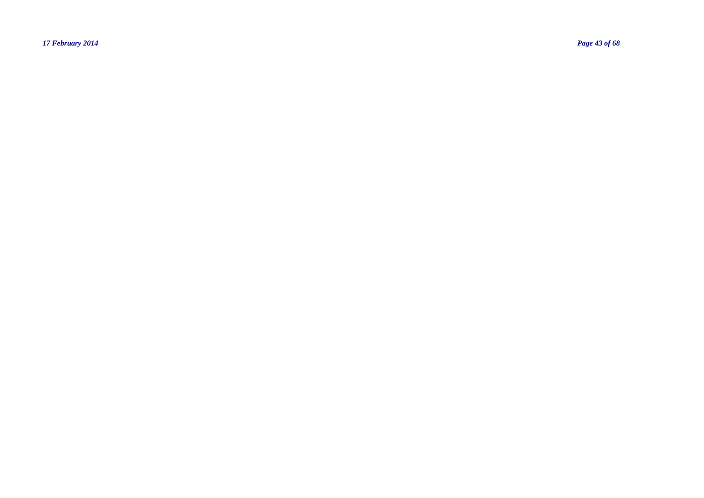*17 February 2014 Page 43 of 68*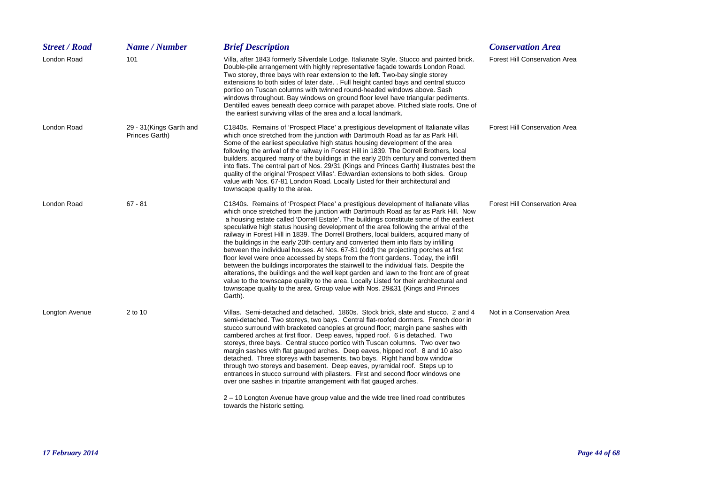| <b>Street / Road</b> | Name / Number                              | <b>Brief Description</b>                                                                                                                                                                                                                                                                                                                                                                                                                                                                                                                                                                                                                                                                                                                                                                                                                                                                                                                                                                                                                                                                         | <b>Conservation Area</b>             |
|----------------------|--------------------------------------------|--------------------------------------------------------------------------------------------------------------------------------------------------------------------------------------------------------------------------------------------------------------------------------------------------------------------------------------------------------------------------------------------------------------------------------------------------------------------------------------------------------------------------------------------------------------------------------------------------------------------------------------------------------------------------------------------------------------------------------------------------------------------------------------------------------------------------------------------------------------------------------------------------------------------------------------------------------------------------------------------------------------------------------------------------------------------------------------------------|--------------------------------------|
| London Road          | 101                                        | Villa, after 1843 formerly Silverdale Lodge. Italianate Style. Stucco and painted brick.<br>Double-pile arrangement with highly representative façade towards London Road.<br>Two storey, three bays with rear extension to the left. Two-bay single storey<br>extensions to both sides of later date. . Full height canted bays and central stucco<br>portico on Tuscan columns with twinned round-headed windows above. Sash<br>windows throughout. Bay windows on ground floor level have triangular pediments.<br>Dentilled eaves beneath deep cornice with parapet above. Pitched slate roofs. One of<br>the earliest surviving villas of the area and a local landmark.                                                                                                                                                                                                                                                                                                                                                                                                                    | <b>Forest Hill Conservation Area</b> |
| London Road          | 29 - 31 (Kings Garth and<br>Princes Garth) | C1840s. Remains of 'Prospect Place' a prestigious development of Italianate villas<br>which once stretched from the junction with Dartmouth Road as far as Park Hill.<br>Some of the earliest speculative high status housing development of the area<br>following the arrival of the railway in Forest Hill in 1839. The Dorrell Brothers, local<br>builders, acquired many of the buildings in the early 20th century and converted them<br>into flats. The central part of Nos. 29/31 (Kings and Princes Garth) illustrates best the<br>quality of the original 'Prospect Villas'. Edwardian extensions to both sides. Group<br>value with Nos. 67-81 London Road. Locally Listed for their architectural and<br>townscape quality to the area.                                                                                                                                                                                                                                                                                                                                               | <b>Forest Hill Conservation Area</b> |
| London Road          | $67 - 81$                                  | C1840s. Remains of 'Prospect Place' a prestigious development of Italianate villas<br>which once stretched from the junction with Dartmouth Road as far as Park Hill. Now<br>a housing estate called 'Dorrell Estate'. The buildings constitute some of the earliest<br>speculative high status housing development of the area following the arrival of the<br>railway in Forest Hill in 1839. The Dorrell Brothers, local builders, acquired many of<br>the buildings in the early 20th century and converted them into flats by infilling<br>between the individual houses. At Nos. 67-81 (odd) the projecting porches at first<br>floor level were once accessed by steps from the front gardens. Today, the infill<br>between the buildings incorporates the stairwell to the individual flats. Despite the<br>alterations, the buildings and the well kept garden and lawn to the front are of great<br>value to the townscape quality to the area. Locally Listed for their architectural and<br>townscape quality to the area. Group value with Nos. 29&31 (Kings and Princes<br>Garth). | <b>Forest Hill Conservation Area</b> |
| Longton Avenue       | 2 to 10                                    | Villas. Semi-detached and detached. 1860s. Stock brick, slate and stucco. 2 and 4<br>semi-detached. Two storeys, two bays. Central flat-roofed dormers. French door in<br>stucco surround with bracketed canopies at ground floor; margin pane sashes with<br>cambered arches at first floor. Deep eaves, hipped roof. 6 is detached. Two<br>storeys, three bays. Central stucco portico with Tuscan columns. Two over two<br>margin sashes with flat gauged arches. Deep eaves, hipped roof. 8 and 10 also<br>detached. Three storeys with basements, two bays. Right hand bow window<br>through two storeys and basement. Deep eaves, pyramidal roof. Steps up to<br>entrances in stucco surround with pilasters. First and second floor windows one<br>over one sashes in tripartite arrangement with flat gauged arches.<br>2 – 10 Longton Avenue have group value and the wide tree lined road contributes<br>towards the historic setting.                                                                                                                                                 | Not in a Conservation Area           |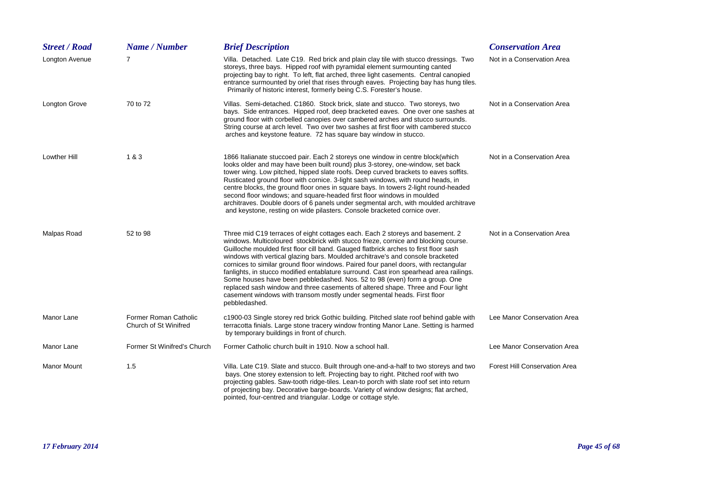| <b>Street / Road</b> | Name / Number                                  | <b>Brief Description</b>                                                                                                                                                                                                                                                                                                                                                                                                                                                                                                                                                                                                                                                                                                                                                                    | <b>Conservation Area</b>             |
|----------------------|------------------------------------------------|---------------------------------------------------------------------------------------------------------------------------------------------------------------------------------------------------------------------------------------------------------------------------------------------------------------------------------------------------------------------------------------------------------------------------------------------------------------------------------------------------------------------------------------------------------------------------------------------------------------------------------------------------------------------------------------------------------------------------------------------------------------------------------------------|--------------------------------------|
| Longton Avenue       | 7                                              | Villa. Detached. Late C19. Red brick and plain clay tile with stucco dressings. Two<br>storeys, three bays. Hipped roof with pyramidal element surmounting canted<br>projecting bay to right. To left, flat arched, three light casements. Central canopied<br>entrance surmounted by oriel that rises through eaves. Projecting bay has hung tiles.<br>Primarily of historic interest, formerly being C.S. Forester's house.                                                                                                                                                                                                                                                                                                                                                               | Not in a Conservation Area           |
| Longton Grove        | 70 to 72                                       | Villas. Semi-detached. C1860. Stock brick, slate and stucco. Two storeys, two<br>bays. Side entrances. Hipped roof, deep bracketed eaves. One over one sashes at<br>ground floor with corbelled canopies over cambered arches and stucco surrounds.<br>String course at arch level. Two over two sashes at first floor with cambered stucco<br>arches and keystone feature. 72 has square bay window in stucco.                                                                                                                                                                                                                                                                                                                                                                             | Not in a Conservation Area           |
| Lowther Hill         | 1&3                                            | 1866 Italianate stuccoed pair. Each 2 storeys one window in centre block(which<br>looks older and may have been built round) plus 3-storey, one-window, set back<br>tower wing. Low pitched, hipped slate roofs. Deep curved brackets to eaves soffits.<br>Rusticated ground floor with cornice. 3-light sash windows, with round heads, in<br>centre blocks, the ground floor ones in square bays. In towers 2-light round-headed<br>second floor windows; and square-headed first floor windows in moulded<br>architraves. Double doors of 6 panels under segmental arch, with moulded architrave<br>and keystone, resting on wide pilasters. Console bracketed cornice over.                                                                                                             | Not in a Conservation Area           |
| Malpas Road          | 52 to 98                                       | Three mid C19 terraces of eight cottages each. Each 2 storeys and basement. 2<br>windows. Multicoloured stockbrick with stucco frieze, cornice and blocking course.<br>Guilloche moulded first floor cill band. Gauged flatbrick arches to first floor sash<br>windows with vertical glazing bars. Moulded architrave's and console bracketed<br>cornices to similar ground floor windows. Paired four panel doors, with rectangular<br>fanlights, in stucco modified entablature surround. Cast iron spearhead area railings.<br>Some houses have been pebbledashed. Nos. 52 to 98 (even) form a group. One<br>replaced sash window and three casements of altered shape. Three and Four light<br>casement windows with transom mostly under segmental heads. First floor<br>pebbledashed. | Not in a Conservation Area           |
| Manor Lane           | Former Roman Catholic<br>Church of St Winifred | c1900-03 Single storey red brick Gothic building. Pitched slate roof behind gable with<br>terracotta finials. Large stone tracery window fronting Manor Lane. Setting is harmed<br>by temporary buildings in front of church.                                                                                                                                                                                                                                                                                                                                                                                                                                                                                                                                                               | Lee Manor Conservation Area          |
| Manor Lane           | Former St Winifred's Church                    | Former Catholic church built in 1910. Now a school hall.                                                                                                                                                                                                                                                                                                                                                                                                                                                                                                                                                                                                                                                                                                                                    | Lee Manor Conservation Area          |
| <b>Manor Mount</b>   | 1.5                                            | Villa. Late C19. Slate and stucco. Built through one-and-a-half to two storeys and two<br>bays. One storey extension to left. Projecting bay to right. Pitched roof with two<br>projecting gables. Saw-tooth ridge-tiles. Lean-to porch with slate roof set into return<br>of projecting bay. Decorative barge-boards. Variety of window designs; flat arched,<br>pointed, four-centred and triangular. Lodge or cottage style.                                                                                                                                                                                                                                                                                                                                                             | <b>Forest Hill Conservation Area</b> |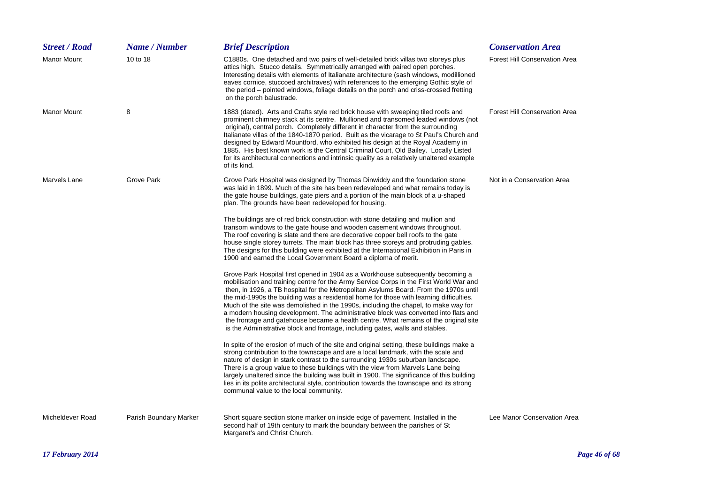| <b>Street / Road</b> | Name / Number          | <b>Brief Description</b>                                                                                                                                                                                                                                                                                                                                                                                                                                                                                                                                                                                                                                                                                             | <b>Conservation Area</b>             |
|----------------------|------------------------|----------------------------------------------------------------------------------------------------------------------------------------------------------------------------------------------------------------------------------------------------------------------------------------------------------------------------------------------------------------------------------------------------------------------------------------------------------------------------------------------------------------------------------------------------------------------------------------------------------------------------------------------------------------------------------------------------------------------|--------------------------------------|
| <b>Manor Mount</b>   | 10 to 18               | C1880s. One detached and two pairs of well-detailed brick villas two storeys plus<br>attics high. Stucco details. Symmetrically arranged with paired open porches.<br>Interesting details with elements of Italianate architecture (sash windows, modillioned<br>eaves cornice, stuccoed architraves) with references to the emerging Gothic style of<br>the period – pointed windows, foliage details on the porch and criss-crossed fretting<br>on the porch balustrade.                                                                                                                                                                                                                                           | <b>Forest Hill Conservation Area</b> |
| <b>Manor Mount</b>   | 8                      | 1883 (dated). Arts and Crafts style red brick house with sweeping tiled roofs and<br>prominent chimney stack at its centre. Mullioned and transomed leaded windows (not<br>original), central porch. Completely different in character from the surrounding<br>Italianate villas of the 1840-1870 period. Built as the vicarage to St Paul's Church and<br>designed by Edward Mountford, who exhibited his design at the Royal Academy in<br>1885. His best known work is the Central Criminal Court, Old Bailey. Locally Listed<br>for its architectural connections and intrinsic quality as a relatively unaltered example<br>of its kind.                                                                        | <b>Forest Hill Conservation Area</b> |
| Marvels Lane         | Grove Park             | Grove Park Hospital was designed by Thomas Dinwiddy and the foundation stone<br>was laid in 1899. Much of the site has been redeveloped and what remains today is<br>the gate house buildings, gate piers and a portion of the main block of a u-shaped<br>plan. The grounds have been redeveloped for housing.                                                                                                                                                                                                                                                                                                                                                                                                      | Not in a Conservation Area           |
|                      |                        | The buildings are of red brick construction with stone detailing and mullion and<br>transom windows to the gate house and wooden casement windows throughout.<br>The roof covering is slate and there are decorative copper bell roofs to the gate<br>house single storey turrets. The main block has three storeys and protruding gables.<br>The designs for this building were exhibited at the International Exhibition in Paris in<br>1900 and earned the Local Government Board a diploma of merit.                                                                                                                                                                                                             |                                      |
|                      |                        | Grove Park Hospital first opened in 1904 as a Workhouse subsequently becoming a<br>mobilisation and training centre for the Army Service Corps in the First World War and<br>then, in 1926, a TB hospital for the Metropolitan Asylums Board. From the 1970s until<br>the mid-1990s the building was a residential home for those with learning difficulties.<br>Much of the site was demolished in the 1990s, including the chapel, to make way for<br>a modern housing development. The administrative block was converted into flats and<br>the frontage and gatehouse became a health centre. What remains of the original site<br>is the Administrative block and frontage, including gates, walls and stables. |                                      |
|                      |                        | In spite of the erosion of much of the site and original setting, these buildings make a<br>strong contribution to the townscape and are a local landmark, with the scale and<br>nature of design in stark contrast to the surrounding 1930s suburban landscape.<br>There is a group value to these buildings with the view from Marvels Lane being<br>largely unaltered since the building was built in 1900. The significance of this building<br>lies in its polite architectural style, contribution towards the townscape and its strong<br>communal value to the local community.                                                                                                                              |                                      |
| Micheldever Road     | Parish Boundary Marker | Short square section stone marker on inside edge of pavement. Installed in the<br>second half of 19th century to mark the boundary between the parishes of St<br>Margaret's and Christ Church.                                                                                                                                                                                                                                                                                                                                                                                                                                                                                                                       | Lee Manor Conservation Area          |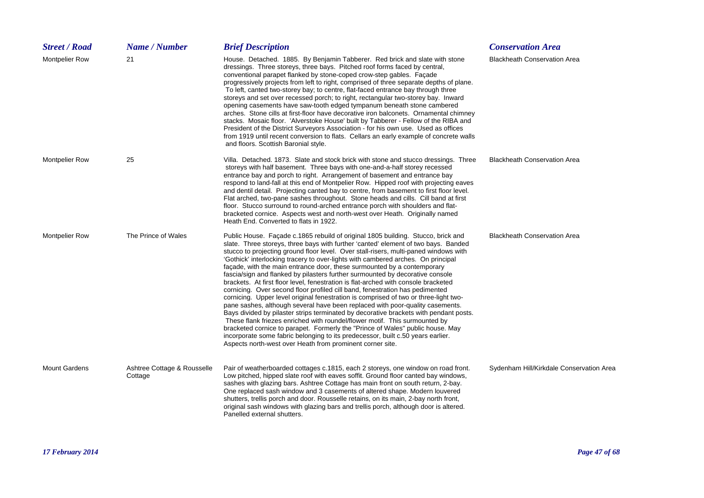| <b>Street / Road</b>  | Name / Number                          | <b>Brief Description</b>                                                                                                                                                                                                                                                                                                                                                                                                                                                                                                                                                                                                                                                                                                                                                                                                                                                                                                                                                                                                                                                                                                                                                                                                                                               | <b>Conservation Area</b>                 |
|-----------------------|----------------------------------------|------------------------------------------------------------------------------------------------------------------------------------------------------------------------------------------------------------------------------------------------------------------------------------------------------------------------------------------------------------------------------------------------------------------------------------------------------------------------------------------------------------------------------------------------------------------------------------------------------------------------------------------------------------------------------------------------------------------------------------------------------------------------------------------------------------------------------------------------------------------------------------------------------------------------------------------------------------------------------------------------------------------------------------------------------------------------------------------------------------------------------------------------------------------------------------------------------------------------------------------------------------------------|------------------------------------------|
| <b>Montpelier Row</b> | 21                                     | House. Detached. 1885. By Benjamin Tabberer. Red brick and slate with stone<br>dressings. Three storeys, three bays. Pitched roof forms faced by central,<br>conventional parapet flanked by stone-coped crow-step gables. Façade<br>progressively projects from left to right, comprised of three separate depths of plane.<br>To left, canted two-storey bay; to centre, flat-faced entrance bay through three<br>storeys and set over recessed porch; to right, rectangular two-storey bay. Inward<br>opening casements have saw-tooth edged tympanum beneath stone cambered<br>arches. Stone cills at first-floor have decorative iron balconets. Ornamental chimney<br>stacks. Mosaic floor. 'Alverstoke House' built by Tabberer - Fellow of the RIBA and<br>President of the District Surveyors Association - for his own use. Used as offices<br>from 1919 until recent conversion to flats. Cellars an early example of concrete walls<br>and floors. Scottish Baronial style.                                                                                                                                                                                                                                                                                | <b>Blackheath Conservation Area</b>      |
| <b>Montpelier Row</b> | 25                                     | Villa. Detached. 1873. Slate and stock brick with stone and stucco dressings. Three<br>storeys with half basement. Three bays with one-and-a-half storey recessed<br>entrance bay and porch to right. Arrangement of basement and entrance bay<br>respond to land-fall at this end of Montpelier Row. Hipped roof with projecting eaves<br>and dentil detail. Projecting canted bay to centre, from basement to first floor level.<br>Flat arched, two-pane sashes throughout. Stone heads and cills. Cill band at first<br>floor. Stucco surround to round-arched entrance porch with shoulders and flat-<br>bracketed cornice. Aspects west and north-west over Heath. Originally named<br>Heath End. Converted to flats in 1922.                                                                                                                                                                                                                                                                                                                                                                                                                                                                                                                                    | <b>Blackheath Conservation Area</b>      |
| <b>Montpelier Row</b> | The Prince of Wales                    | Public House. Façade c.1865 rebuild of original 1805 building. Stucco, brick and<br>slate. Three storeys, three bays with further 'canted' element of two bays. Banded<br>stucco to projecting ground floor level. Over stall-risers, multi-paned windows with<br>'Gothick' interlocking tracery to over-lights with cambered arches. On principal<br>facade, with the main entrance door, these surmounted by a contemporary<br>fascia/sign and flanked by pilasters further surmounted by decorative console<br>brackets. At first floor level, fenestration is flat-arched with console bracketed<br>cornicing. Over second floor profiled cill band, fenestration has pedimented<br>cornicing. Upper level original fenestration is comprised of two or three-light two-<br>pane sashes, although several have been replaced with poor-quality casements.<br>Bays divided by pilaster strips terminated by decorative brackets with pendant posts.<br>These flank friezes enriched with roundel/flower motif. This surmounted by<br>bracketed cornice to parapet. Formerly the "Prince of Wales" public house. May<br>incorporate some fabric belonging to its predecessor, built c.50 years earlier.<br>Aspects north-west over Heath from prominent corner site. | <b>Blackheath Conservation Area</b>      |
| <b>Mount Gardens</b>  | Ashtree Cottage & Rousselle<br>Cottage | Pair of weatherboarded cottages c.1815, each 2 storeys, one window on road front.<br>Low pitched, hipped slate roof with eaves soffit. Ground floor canted bay windows,<br>sashes with glazing bars. Ashtree Cottage has main front on south return, 2-bay.<br>One replaced sash window and 3 casements of altered shape. Modern louvered<br>shutters, trellis porch and door. Rousselle retains, on its main, 2-bay north front,<br>original sash windows with glazing bars and trellis porch, although door is altered.<br>Panelled external shutters.                                                                                                                                                                                                                                                                                                                                                                                                                                                                                                                                                                                                                                                                                                               | Sydenham Hill/Kirkdale Conservation Area |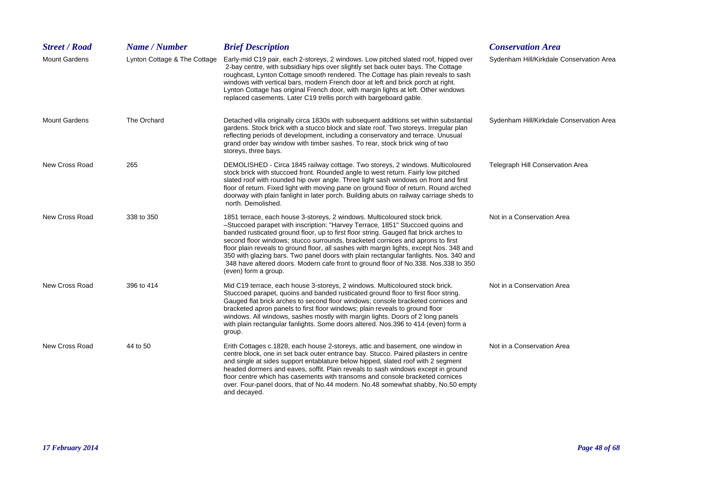| <b>Street / Road</b> | Name / Number                | <b>Brief Description</b>                                                                                                                                                                                                                                                                                                                                                                                                                                                                                                                                                                                                                  | <b>Conservation Area</b>                 |
|----------------------|------------------------------|-------------------------------------------------------------------------------------------------------------------------------------------------------------------------------------------------------------------------------------------------------------------------------------------------------------------------------------------------------------------------------------------------------------------------------------------------------------------------------------------------------------------------------------------------------------------------------------------------------------------------------------------|------------------------------------------|
| <b>Mount Gardens</b> | Lynton Cottage & The Cottage | Early-mid C19 pair, each 2-storeys, 2 windows. Low pitched slated roof, hipped over<br>2-bay centre, with subsidiary hips over slightly set back outer bays. The Cottage<br>roughcast, Lynton Cottage smooth rendered. The Cottage has plain reveals to sash<br>windows with vertical bars, modern French door at left and brick porch at right.<br>Lynton Cottage has original French door, with margin lights at left. Other windows<br>replaced casements. Later C19 trellis porch with bargeboard gable.                                                                                                                              | Sydenham Hill/Kirkdale Conservation Area |
| <b>Mount Gardens</b> | The Orchard                  | Detached villa originally circa 1830s with subsequent additions set within substantial<br>gardens. Stock brick with a stucco block and slate roof. Two storeys. Irregular plan<br>reflecting periods of development, including a conservatory and terrace. Unusual<br>grand order bay window with timber sashes. To rear, stock brick wing of two<br>storeys, three bays.                                                                                                                                                                                                                                                                 | Sydenham Hill/Kirkdale Conservation Area |
| New Cross Road       | 265                          | DEMOLISHED - Circa 1845 railway cottage. Two storeys, 2 windows. Multicoloured<br>stock brick with stuccoed front. Rounded angle to west return. Fairly low pitched<br>slated roof with rounded hip over angle. Three light sash windows on front and first<br>floor of return. Fixed light with moving pane on ground floor of return. Round arched<br>doorway with plain fanlight in later porch. Building abuts on railway carriage sheds to<br>north. Demolished.                                                                                                                                                                     | Telegraph Hill Conservation Area         |
| New Cross Road       | 338 to 350                   | 1851 terrace, each house 3-storeys, 2 windows. Multicoloured stock brick.<br>-Stuccoed parapet with inscription: "Harvey Terrace, 1851" Stuccoed quoins and<br>banded rusticated ground floor, up to first floor string. Gauged flat brick arches to<br>second floor windows; stucco surrounds, bracketed cornices and aprons to first<br>floor plain reveals to ground floor, all sashes with margin lights, except Nos. 348 and<br>350 with glazing bars. Two panel doors with plain rectangular fanlights. Nos. 340 and<br>348 have altered doors. Modern cafe front to ground floor of No.338. Nos.338 to 350<br>(even) form a group. | Not in a Conservation Area               |
| New Cross Road       | 396 to 414                   | Mid C19 terrace, each house 3-storeys, 2 windows. Multicoloured stock brick.<br>Stuccoed parapet, quoins and banded rusticated ground floor to first floor string.<br>Gauged flat brick arches to second floor windows; console bracketed cornices and<br>bracketed apron panels to first floor windows; plain reveals to ground floor<br>windows. All windows, sashes mostly with margin lights. Doors of 2 long panels<br>with plain rectangular fanlights. Some doors altered. Nos.396 to 414 (even) form a<br>group.                                                                                                                  | Not in a Conservation Area               |
| New Cross Road       | 44 to 50                     | Erith Cottages c.1828, each house 2-storeys, attic and basement, one window in<br>centre block, one in set back outer entrance bay. Stucco. Paired pilasters in centre<br>and single at sides support entablature below hipped, slated roof with 2 segment<br>headed dormers and eaves, soffit. Plain reveals to sash windows except in ground<br>floor centre which has casements with transoms and console bracketed cornices<br>over. Four-panel doors, that of No.44 modern. No.48 somewhat shabby, No.50 empty<br>and decayed.                                                                                                       | Not in a Conservation Area               |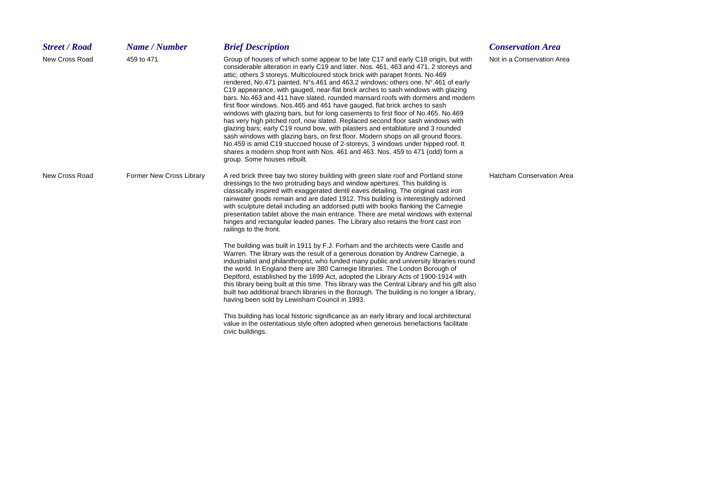| <b>Street / Road</b> | Name / Number            | <b>Brief Description</b>                                                                                                                                                                                                                                                                                                                                                                                                                                                                                                                                                                                                                                                                                                                                                                                                                                                                                                                                                                                                                                                                                                                                     | <b>Conservation Area</b>         |
|----------------------|--------------------------|--------------------------------------------------------------------------------------------------------------------------------------------------------------------------------------------------------------------------------------------------------------------------------------------------------------------------------------------------------------------------------------------------------------------------------------------------------------------------------------------------------------------------------------------------------------------------------------------------------------------------------------------------------------------------------------------------------------------------------------------------------------------------------------------------------------------------------------------------------------------------------------------------------------------------------------------------------------------------------------------------------------------------------------------------------------------------------------------------------------------------------------------------------------|----------------------------------|
| New Cross Road       | 459 to 471               | Group of houses of which some appear to be late C17 and early C18 origin, but with<br>considerable alteration in early C19 and later. Nos. 461, 463 and 471, 2 storeys and<br>attic; others 3 storeys. Multicoloured stock brick with parapet fronts. No.469<br>rendered, No.471 painted. N°s.461 and 463,2 windows; others one. N°.461 of early<br>C19 appearance, with gauged, near-flat brick arches to sash windows with glazing<br>bars. No.463 and 411 have slated, rounded mansard roofs with dormers and modern<br>first floor windows. Nos.465 and 461 have gauged, flat brick arches to sash<br>windows with glazing bars, but for long casements to first floor of No.465. No.469<br>has very high pitched roof, now slated. Replaced second floor sash windows with<br>glazing bars; early C19 round bow, with pilasters and entablature and 3 rounded<br>sash windows with glazing bars, on first floor. Modern shops on all ground floors.<br>No.459 is amid C19 stuccoed house of 2-storeys, 3 windows under hipped roof. It<br>shares a modern shop front with Nos. 461 and 463. Nos. 459 to 471 (odd) form a<br>group. Some houses rebuilt. | Not in a Conservation Area       |
| New Cross Road       | Former New Cross Library | A red brick three bay two storey building with green slate roof and Portland stone<br>dressings to the two protruding bays and window apertures. This building is<br>classically inspired with exaggerated dentil eaves detailing. The original cast iron<br>rainwater goods remain and are dated 1912. This building is interestingly adorned<br>with sculpture detail including an addorsed putti with books flanking the Carnegie<br>presentation tablet above the main entrance. There are metal windows with external<br>hinges and rectangular leaded panes. The Library also retains the front cast iron<br>railings to the front.                                                                                                                                                                                                                                                                                                                                                                                                                                                                                                                    | <b>Hatcham Conservation Area</b> |
|                      |                          | The building was built in 1911 by F.J. Forham and the architects were Castle and<br>Warren. The library was the result of a generous donation by Andrew Carnegie, a<br>industrialist and philanthropist, who funded many public and university libraries round<br>the world. In England there are 380 Carnegie libraries. The London Borough of<br>Deptford, established by the 1899 Act, adopted the Library Acts of 1900-1914 with<br>this library being built at this time. This library was the Central Library and his gift also<br>built two additional branch libraries in the Borough. The building is no longer a library,<br>having been sold by Lewisham Council in 1993.                                                                                                                                                                                                                                                                                                                                                                                                                                                                         |                                  |
|                      |                          | This building has local historic significance as an early library and local architectural<br>value in the ostentatious style often adopted when generous benefactions facilitate<br>civic buildings.                                                                                                                                                                                                                                                                                                                                                                                                                                                                                                                                                                                                                                                                                                                                                                                                                                                                                                                                                         |                                  |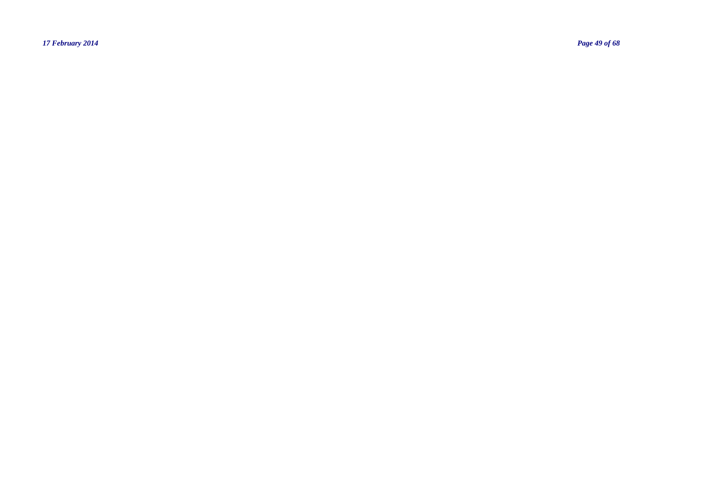*17 February 2014 Page 49 of 68*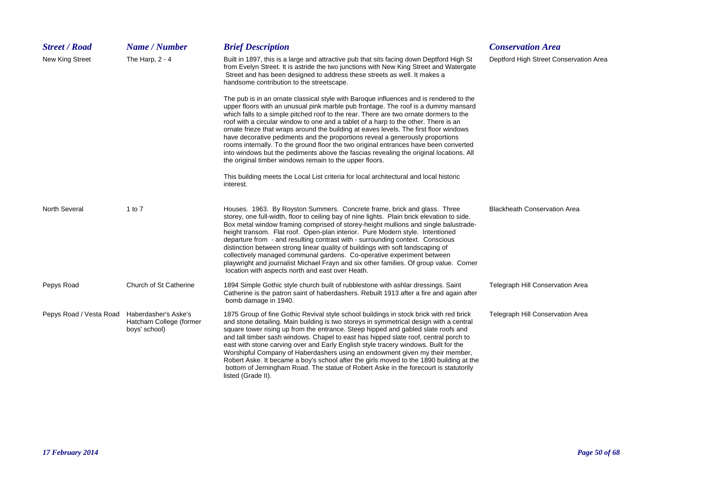| <b>Street / Road</b>    | Name / Number                                                    | <b>Brief Description</b>                                                                                                                                                                                                                                                                                                                                                                                                                                                                                                                                                                                                                                                                                                                                                            | <b>Conservation Area</b>               |
|-------------------------|------------------------------------------------------------------|-------------------------------------------------------------------------------------------------------------------------------------------------------------------------------------------------------------------------------------------------------------------------------------------------------------------------------------------------------------------------------------------------------------------------------------------------------------------------------------------------------------------------------------------------------------------------------------------------------------------------------------------------------------------------------------------------------------------------------------------------------------------------------------|----------------------------------------|
| <b>New King Street</b>  | The Harp, $2 - 4$                                                | Built in 1897, this is a large and attractive pub that sits facing down Deptford High St<br>from Evelyn Street. It is astride the two junctions with New King Street and Watergate<br>Street and has been designed to address these streets as well. It makes a<br>handsome contribution to the streetscape.                                                                                                                                                                                                                                                                                                                                                                                                                                                                        | Deptford High Street Conservation Area |
|                         |                                                                  | The pub is in an ornate classical style with Baroque influences and is rendered to the<br>upper floors with an unusual pink marble pub frontage. The roof is a dummy mansard<br>which falls to a simple pitched roof to the rear. There are two ornate dormers to the<br>roof with a circular window to one and a tablet of a harp to the other. There is an<br>ornate frieze that wraps around the building at eaves levels. The first floor windows<br>have decorative pediments and the proportions reveal a generously proportions<br>rooms internally. To the ground floor the two original entrances have been converted<br>into windows but the pediments above the fascias revealing the original locations. All<br>the original timber windows remain to the upper floors. |                                        |
|                         |                                                                  | This building meets the Local List criteria for local architectural and local historic<br>interest.                                                                                                                                                                                                                                                                                                                                                                                                                                                                                                                                                                                                                                                                                 |                                        |
| <b>North Several</b>    | 1 to 7                                                           | Houses. 1963. By Royston Summers. Concrete frame, brick and glass. Three<br>storey, one full-width, floor to ceiling bay of nine lights. Plain brick elevation to side.<br>Box metal window framing comprised of storey-height mullions and single balustrade-<br>height transom. Flat roof. Open-plan interior. Pure Modern style. Intentioned<br>departure from - and resulting contrast with - surrounding context. Conscious<br>distinction between strong linear quality of buildings with soft landscaping of<br>collectively managed communal gardens. Co-operative experiment between<br>playwright and journalist Michael Frayn and six other families. Of group value. Corner<br>location with aspects north and east over Heath.                                         | <b>Blackheath Conservation Area</b>    |
| Pepys Road              | Church of St Catherine                                           | 1894 Simple Gothic style church built of rubblestone with ashlar dressings. Saint<br>Catherine is the patron saint of haberdashers. Rebuilt 1913 after a fire and again after<br>bomb damage in 1940.                                                                                                                                                                                                                                                                                                                                                                                                                                                                                                                                                                               | Telegraph Hill Conservation Area       |
| Pepys Road / Vesta Road | Haberdasher's Aske's<br>Hatcham College (former<br>boys' school) | 1875 Group of fine Gothic Revival style school buildings in stock brick with red brick<br>and stone detailing. Main building is two storeys in symmetrical design with a central<br>square tower rising up from the entrance. Steep hipped and gabled slate roofs and<br>and tall timber sash windows. Chapel to east has hipped slate roof, central porch to<br>east with stone carving over and Early English style tracery windows. Built for the<br>Worshipful Company of Haberdashers using an endowment given my their member,<br>Robert Aske. It became a boy's school after the girls moved to the 1890 building at the<br>bottom of Jerningham Road. The statue of Robert Aske in the forecourt is statutorily<br>listed (Grade II).                                       | Telegraph Hill Conservation Area       |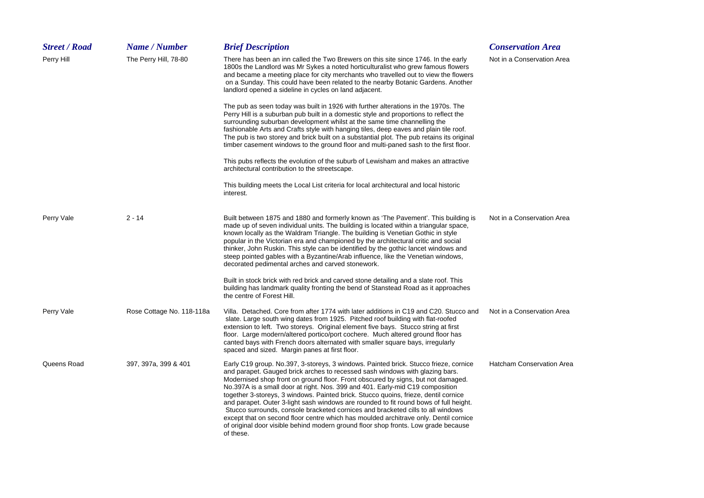| <b>Street / Road</b> | Name / Number             | <b>Brief Description</b>                                                                                                                                                                                                                                                                                                                                                                                                                                                                                                                                                                                                                                                                                                                                                                                | <b>Conservation Area</b>         |
|----------------------|---------------------------|---------------------------------------------------------------------------------------------------------------------------------------------------------------------------------------------------------------------------------------------------------------------------------------------------------------------------------------------------------------------------------------------------------------------------------------------------------------------------------------------------------------------------------------------------------------------------------------------------------------------------------------------------------------------------------------------------------------------------------------------------------------------------------------------------------|----------------------------------|
| Perry Hill           | The Perry Hill, 78-80     | There has been an inn called the Two Brewers on this site since 1746. In the early<br>1800s the Landlord was Mr Sykes a noted horticulturalist who grew famous flowers<br>and became a meeting place for city merchants who travelled out to view the flowers<br>on a Sunday. This could have been related to the nearby Botanic Gardens. Another<br>landlord opened a sideline in cycles on land adjacent.                                                                                                                                                                                                                                                                                                                                                                                             | Not in a Conservation Area       |
|                      |                           | The pub as seen today was built in 1926 with further alterations in the 1970s. The<br>Perry Hill is a suburban pub built in a domestic style and proportions to reflect the<br>surrounding suburban development whilst at the same time channelling the<br>fashionable Arts and Crafts style with hanging tiles, deep eaves and plain tile roof.<br>The pub is two storey and brick built on a substantial plot. The pub retains its original<br>timber casement windows to the ground floor and multi-paned sash to the first floor.                                                                                                                                                                                                                                                                   |                                  |
|                      |                           | This pubs reflects the evolution of the suburb of Lewisham and makes an attractive<br>architectural contribution to the streetscape.                                                                                                                                                                                                                                                                                                                                                                                                                                                                                                                                                                                                                                                                    |                                  |
|                      |                           | This building meets the Local List criteria for local architectural and local historic<br>interest.                                                                                                                                                                                                                                                                                                                                                                                                                                                                                                                                                                                                                                                                                                     |                                  |
| Perry Vale           | $2 - 14$                  | Built between 1875 and 1880 and formerly known as 'The Pavement'. This building is<br>made up of seven individual units. The building is located within a triangular space,<br>known locally as the Waldram Triangle. The building is Venetian Gothic in style<br>popular in the Victorian era and championed by the architectural critic and social<br>thinker, John Ruskin. This style can be identified by the gothic lancet windows and<br>steep pointed gables with a Byzantine/Arab influence, like the Venetian windows,<br>decorated pedimental arches and carved stonework.                                                                                                                                                                                                                    | Not in a Conservation Area       |
|                      |                           | Built in stock brick with red brick and carved stone detailing and a slate roof. This<br>building has landmark quality fronting the bend of Stanstead Road as it approaches<br>the centre of Forest Hill.                                                                                                                                                                                                                                                                                                                                                                                                                                                                                                                                                                                               |                                  |
| Perry Vale           | Rose Cottage No. 118-118a | Villa. Detached. Core from after 1774 with later additions in C19 and C20. Stucco and<br>slate. Large south wing dates from 1925. Pitched roof building with flat-roofed<br>extension to left. Two storeys. Original element five bays. Stucco string at first<br>floor. Large modern/altered portico/port cochere. Much altered ground floor has<br>canted bays with French doors alternated with smaller square bays, irregularly<br>spaced and sized. Margin panes at first floor.                                                                                                                                                                                                                                                                                                                   | Not in a Conservation Area       |
| Queens Road          | 397, 397a, 399 & 401      | Early C19 group. No.397, 3-storeys, 3 windows. Painted brick. Stucco frieze, cornice<br>and parapet. Gauged brick arches to recessed sash windows with glazing bars.<br>Modernised shop front on ground floor. Front obscured by signs, but not damaged.<br>No.397A is a small door at right. Nos. 399 and 401. Early-mid C19 composition<br>together 3-storeys, 3 windows. Painted brick. Stucco quoins, frieze, dentil cornice<br>and parapet. Outer 3-light sash windows are rounded to fit round bows of full height.<br>Stucco surrounds, console bracketed cornices and bracketed cills to all windows<br>except that on second floor centre which has moulded architrave only. Dentil cornice<br>of original door visible behind modern ground floor shop fronts. Low grade because<br>of these. | <b>Hatcham Conservation Area</b> |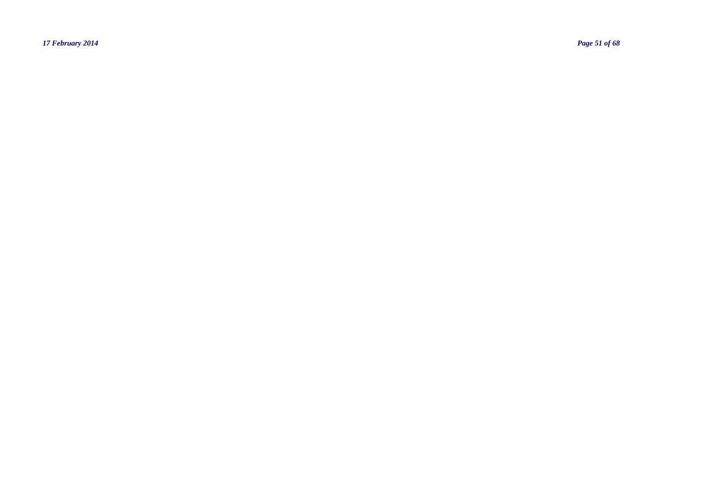*17 February 2014 Page 51 of 68*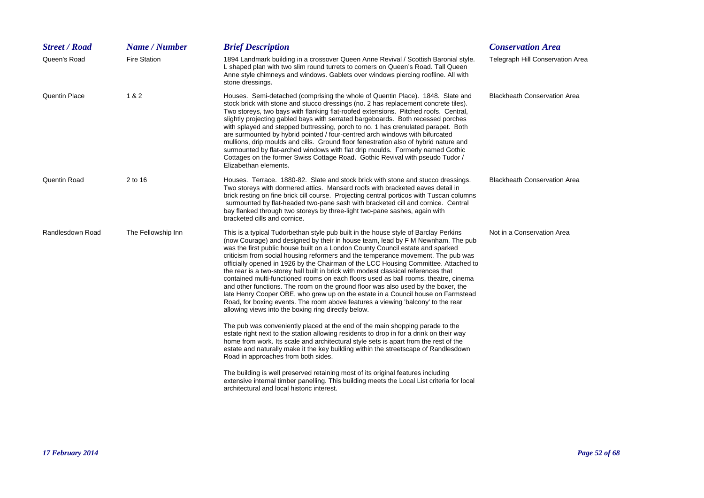| <b>Street / Road</b> | Name / Number       | <b>Brief Description</b>                                                                                                                                                                                                                                                                                                                                                                                                                                                                                                                                                                                                                                                                                                                                                                                                                                                                                                                                                                                                                                                                                                                                                                                                                                                                                                                                                                                                                                                                                                                                               | <b>Conservation Area</b>                |
|----------------------|---------------------|------------------------------------------------------------------------------------------------------------------------------------------------------------------------------------------------------------------------------------------------------------------------------------------------------------------------------------------------------------------------------------------------------------------------------------------------------------------------------------------------------------------------------------------------------------------------------------------------------------------------------------------------------------------------------------------------------------------------------------------------------------------------------------------------------------------------------------------------------------------------------------------------------------------------------------------------------------------------------------------------------------------------------------------------------------------------------------------------------------------------------------------------------------------------------------------------------------------------------------------------------------------------------------------------------------------------------------------------------------------------------------------------------------------------------------------------------------------------------------------------------------------------------------------------------------------------|-----------------------------------------|
| Queen's Road         | <b>Fire Station</b> | 1894 Landmark building in a crossover Queen Anne Revival / Scottish Baronial style.<br>L shaped plan with two slim round turrets to corners on Queen's Road. Tall Queen<br>Anne style chimneys and windows. Gablets over windows piercing roofline. All with<br>stone dressings.                                                                                                                                                                                                                                                                                                                                                                                                                                                                                                                                                                                                                                                                                                                                                                                                                                                                                                                                                                                                                                                                                                                                                                                                                                                                                       | <b>Telegraph Hill Conservation Area</b> |
| <b>Quentin Place</b> | 1 & 2               | Houses. Semi-detached (comprising the whole of Quentin Place). 1848. Slate and<br>stock brick with stone and stucco dressings (no. 2 has replacement concrete tiles).<br>Two storeys, two bays with flanking flat-roofed extensions. Pitched roofs. Central,<br>slightly projecting gabled bays with serrated bargeboards. Both recessed porches<br>with splayed and stepped buttressing, porch to no. 1 has crenulated parapet. Both<br>are surmounted by hybrid pointed / four-centred arch windows with bifurcated<br>mullions, drip moulds and cills. Ground floor fenestration also of hybrid nature and<br>surmounted by flat-arched windows with flat drip moulds. Formerly named Gothic<br>Cottages on the former Swiss Cottage Road. Gothic Revival with pseudo Tudor /<br>Elizabethan elements.                                                                                                                                                                                                                                                                                                                                                                                                                                                                                                                                                                                                                                                                                                                                                              | <b>Blackheath Conservation Area</b>     |
| Quentin Road         | 2 to 16             | Houses. Terrace. 1880-82. Slate and stock brick with stone and stucco dressings.<br>Two storeys with dormered attics. Mansard roofs with bracketed eaves detail in<br>brick resting on fine brick cill course. Projecting central porticos with Tuscan columns<br>surmounted by flat-headed two-pane sash with bracketed cill and cornice. Central<br>bay flanked through two storeys by three-light two-pane sashes, again with<br>bracketed cills and cornice.                                                                                                                                                                                                                                                                                                                                                                                                                                                                                                                                                                                                                                                                                                                                                                                                                                                                                                                                                                                                                                                                                                       | <b>Blackheath Conservation Area</b>     |
| Randlesdown Road     | The Fellowship Inn  | This is a typical Tudorbethan style pub built in the house style of Barclay Perkins<br>(now Courage) and designed by their in house team, lead by F M Newnham. The pub<br>was the first public house built on a London County Council estate and sparked<br>criticism from social housing reformers and the temperance movement. The pub was<br>officially opened in 1926 by the Chairman of the LCC Housing Committee. Attached to<br>the rear is a two-storey hall built in brick with modest classical references that<br>contained multi-functioned rooms on each floors used as ball rooms, theatre, cinema<br>and other functions. The room on the ground floor was also used by the boxer, the<br>late Henry Cooper OBE, who grew up on the estate in a Council house on Farmstead<br>Road, for boxing events. The room above features a viewing 'balcony' to the rear<br>allowing views into the boxing ring directly below.<br>The pub was conveniently placed at the end of the main shopping parade to the<br>estate right next to the station allowing residents to drop in for a drink on their way<br>home from work. Its scale and architectural style sets is apart from the rest of the<br>estate and naturally make it the key building within the streetscape of Randlesdown<br>Road in approaches from both sides.<br>The building is well preserved retaining most of its original features including<br>extensive internal timber panelling. This building meets the Local List criteria for local<br>architectural and local historic interest. | Not in a Conservation Area              |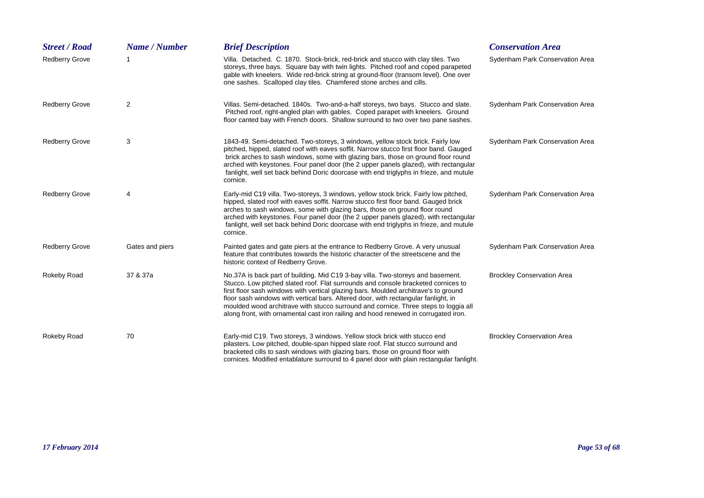| <b>Street / Road</b>  | Name / Number   | <b>Brief Description</b>                                                                                                                                                                                                                                                                                                                                                                                                                                                                                                        | <b>Conservation Area</b>          |
|-----------------------|-----------------|---------------------------------------------------------------------------------------------------------------------------------------------------------------------------------------------------------------------------------------------------------------------------------------------------------------------------------------------------------------------------------------------------------------------------------------------------------------------------------------------------------------------------------|-----------------------------------|
| <b>Redberry Grove</b> |                 | Villa. Detached. C. 1870. Stock-brick, red-brick and stucco with clay tiles. Two<br>storeys, three bays. Square bay with twin lights. Pitched roof and coped parapeted<br>gable with kneelers. Wide red-brick string at ground-floor (transom level). One over<br>one sashes. Scalloped clay tiles. Chamfered stone arches and cills.                                                                                                                                                                                           | Sydenham Park Conservation Area   |
| <b>Redberry Grove</b> | 2               | Villas. Semi-detached. 1840s. Two-and-a-half storeys, two bays. Stucco and slate.<br>Pitched roof, right-angled plan with gables. Coped parapet with kneelers. Ground<br>floor canted bay with French doors. Shallow surround to two over two pane sashes.                                                                                                                                                                                                                                                                      | Sydenham Park Conservation Area   |
| <b>Redberry Grove</b> | 3               | 1843-49. Semi-detached. Two-storeys, 3 windows, yellow stock brick. Fairly low<br>pitched, hipped, slated roof with eaves soffit. Narrow stucco first floor band. Gauged<br>brick arches to sash windows, some with glazing bars, those on ground floor round<br>arched with keystones. Four panel door (the 2 upper panels glazed), with rectangular<br>fanlight, well set back behind Doric doorcase with end triglyphs in frieze, and mutule<br>cornice.                                                                     | Sydenham Park Conservation Area   |
| <b>Redberry Grove</b> | $\overline{4}$  | Early-mid C19 villa. Two-storeys, 3 windows, yellow stock brick. Fairly low pitched,<br>hipped, slated roof with eaves soffit. Narrow stucco first floor band. Gauged brick<br>arches to sash windows, some with glazing bars, those on ground floor round<br>arched with keystones. Four panel door (the 2 upper panels glazed), with rectangular<br>fanlight, well set back behind Doric doorcase with end triglyphs in frieze, and mutule<br>cornice.                                                                        | Sydenham Park Conservation Area   |
| <b>Redberry Grove</b> | Gates and piers | Painted gates and gate piers at the entrance to Redberry Grove. A very unusual<br>feature that contributes towards the historic character of the streetscene and the<br>historic context of Redberry Grove.                                                                                                                                                                                                                                                                                                                     | Sydenham Park Conservation Area   |
| Rokeby Road           | 37 & 37a        | No.37A is back part of building. Mid C19 3-bay villa. Two-storeys and basement.<br>Stucco. Low pitched slated roof. Flat surrounds and console bracketed cornices to<br>first floor sash windows with vertical glazing bars. Moulded architrave's to ground<br>floor sash windows with vertical bars. Altered door, with rectangular fanlight, in<br>moulded wood architrave with stucco surround and cornice. Three steps to loggia all<br>along front, with ornamental cast iron railing and hood renewed in corrugated iron. | <b>Brockley Conservation Area</b> |
| Rokeby Road           | 70              | Early-mid C19. Two storeys, 3 windows. Yellow stock brick with stucco end<br>pilasters. Low pitched, double-span hipped slate roof. Flat stucco surround and<br>bracketed cills to sash windows with glazing bars, those on ground floor with<br>cornices. Modified entablature surround to 4 panel door with plain rectangular fanlight.                                                                                                                                                                                       | <b>Brockley Conservation Area</b> |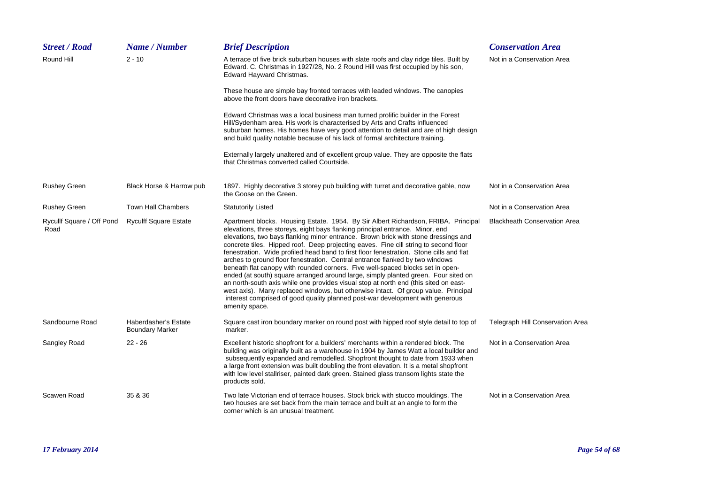| <b>Street / Road</b>              | Name / Number                                  | <b>Brief Description</b>                                                                                                                                                                                                                                                                                                                                                                                                                                                                                                                                                                                                                                                                                                                                                                                                                                                                                                                                                              | <b>Conservation Area</b>            |
|-----------------------------------|------------------------------------------------|---------------------------------------------------------------------------------------------------------------------------------------------------------------------------------------------------------------------------------------------------------------------------------------------------------------------------------------------------------------------------------------------------------------------------------------------------------------------------------------------------------------------------------------------------------------------------------------------------------------------------------------------------------------------------------------------------------------------------------------------------------------------------------------------------------------------------------------------------------------------------------------------------------------------------------------------------------------------------------------|-------------------------------------|
| Round Hill                        | $2 - 10$                                       | A terrace of five brick suburban houses with slate roofs and clay ridge tiles. Built by<br>Edward. C. Christmas in 1927/28, No. 2 Round Hill was first occupied by his son,<br>Edward Hayward Christmas.                                                                                                                                                                                                                                                                                                                                                                                                                                                                                                                                                                                                                                                                                                                                                                              | Not in a Conservation Area          |
|                                   |                                                | These house are simple bay fronted terraces with leaded windows. The canopies<br>above the front doors have decorative iron brackets.                                                                                                                                                                                                                                                                                                                                                                                                                                                                                                                                                                                                                                                                                                                                                                                                                                                 |                                     |
|                                   |                                                | Edward Christmas was a local business man turned prolific builder in the Forest<br>Hill/Sydenham area. His work is characterised by Arts and Crafts influenced<br>suburban homes. His homes have very good attention to detail and are of high design<br>and build quality notable because of his lack of formal architecture training.                                                                                                                                                                                                                                                                                                                                                                                                                                                                                                                                                                                                                                               |                                     |
|                                   |                                                | Externally largely unaltered and of excellent group value. They are opposite the flats<br>that Christmas converted called Courtside.                                                                                                                                                                                                                                                                                                                                                                                                                                                                                                                                                                                                                                                                                                                                                                                                                                                  |                                     |
| <b>Rushey Green</b>               | Black Horse & Harrow pub                       | 1897. Highly decorative 3 storey pub building with turret and decorative gable, now<br>the Goose on the Green.                                                                                                                                                                                                                                                                                                                                                                                                                                                                                                                                                                                                                                                                                                                                                                                                                                                                        | Not in a Conservation Area          |
| <b>Rushey Green</b>               | Town Hall Chambers                             | <b>Statutorily Listed</b>                                                                                                                                                                                                                                                                                                                                                                                                                                                                                                                                                                                                                                                                                                                                                                                                                                                                                                                                                             | Not in a Conservation Area          |
| Rycullf Square / Off Pond<br>Road | <b>Ryculff Square Estate</b>                   | Apartment blocks. Housing Estate. 1954. By Sir Albert Richardson, FRIBA. Principal<br>elevations, three storeys, eight bays flanking principal entrance. Minor, end<br>elevations, two bays flanking minor entrance. Brown brick with stone dressings and<br>concrete tiles. Hipped roof. Deep projecting eaves. Fine cill string to second floor<br>fenestration. Wide profiled head band to first floor fenestration. Stone cills and flat<br>arches to ground floor fenestration. Central entrance flanked by two windows<br>beneath flat canopy with rounded corners. Five well-spaced blocks set in open-<br>ended (at south) square arranged around large, simply planted green. Four sited on<br>an north-south axis while one provides visual stop at north end (this sited on east-<br>west axis). Many replaced windows, but otherwise intact. Of group value. Principal<br>interest comprised of good quality planned post-war development with generous<br>amenity space. | <b>Blackheath Conservation Area</b> |
| Sandbourne Road                   | Haberdasher's Estate<br><b>Boundary Marker</b> | Square cast iron boundary marker on round post with hipped roof style detail to top of<br>marker.                                                                                                                                                                                                                                                                                                                                                                                                                                                                                                                                                                                                                                                                                                                                                                                                                                                                                     | Telegraph Hill Conservation Area    |
| Sangley Road                      | $22 - 26$                                      | Excellent historic shopfront for a builders' merchants within a rendered block. The<br>building was originally built as a warehouse in 1904 by James Watt a local builder and<br>subsequently expanded and remodelled. Shopfront thought to date from 1933 when<br>a large front extension was built doubling the front elevation. It is a metal shopfront<br>with low level stallriser, painted dark green. Stained glass transom lights state the<br>products sold.                                                                                                                                                                                                                                                                                                                                                                                                                                                                                                                 | Not in a Conservation Area          |
| Scawen Road                       | 35 & 36                                        | Two late Victorian end of terrace houses. Stock brick with stucco mouldings. The<br>two houses are set back from the main terrace and built at an angle to form the<br>corner which is an unusual treatment.                                                                                                                                                                                                                                                                                                                                                                                                                                                                                                                                                                                                                                                                                                                                                                          | Not in a Conservation Area          |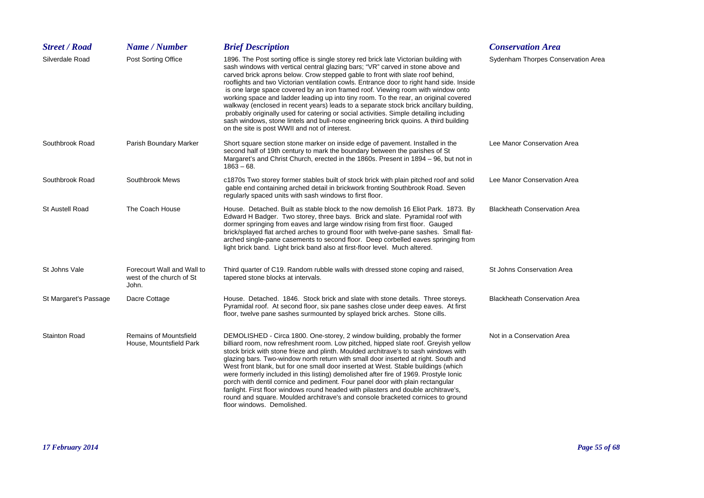| <b>Street / Road</b>   | Name / Number                                                   | <b>Brief Description</b>                                                                                                                                                                                                                                                                                                                                                                                                                                                                                                                                                                                                                                                                                                                                                                                                                                        | <b>Conservation Area</b>            |
|------------------------|-----------------------------------------------------------------|-----------------------------------------------------------------------------------------------------------------------------------------------------------------------------------------------------------------------------------------------------------------------------------------------------------------------------------------------------------------------------------------------------------------------------------------------------------------------------------------------------------------------------------------------------------------------------------------------------------------------------------------------------------------------------------------------------------------------------------------------------------------------------------------------------------------------------------------------------------------|-------------------------------------|
| Silverdale Road        | Post Sorting Office                                             | 1896. The Post sorting office is single storey red brick late Victorian building with<br>sash windows with vertical central glazing bars; "VR" carved in stone above and<br>carved brick aprons below. Crow stepped gable to front with slate roof behind,<br>rooflights and two Victorian ventilation cowls. Entrance door to right hand side. Inside<br>is one large space covered by an iron framed roof. Viewing room with window onto<br>working space and ladder leading up into tiny room. To the rear, an original covered<br>walkway (enclosed in recent years) leads to a separate stock brick ancillary building,<br>probably originally used for catering or social activities. Simple detailing including<br>sash windows, stone lintels and bull-nose engineering brick quoins. A third building<br>on the site is post WWII and not of interest. | Sydenham Thorpes Conservation Area  |
| Southbrook Road        | Parish Boundary Marker                                          | Short square section stone marker on inside edge of pavement. Installed in the<br>second half of 19th century to mark the boundary between the parishes of St<br>Margaret's and Christ Church, erected in the 1860s. Present in 1894 - 96, but not in<br>$1863 - 68.$                                                                                                                                                                                                                                                                                                                                                                                                                                                                                                                                                                                           | Lee Manor Conservation Area         |
| Southbrook Road        | Southbrook Mews                                                 | c1870s Two storey former stables built of stock brick with plain pitched roof and solid<br>gable end containing arched detail in brickwork fronting Southbrook Road. Seven<br>regularly spaced units with sash windows to first floor.                                                                                                                                                                                                                                                                                                                                                                                                                                                                                                                                                                                                                          | Lee Manor Conservation Area         |
| <b>St Austell Road</b> | The Coach House                                                 | House. Detached. Built as stable block to the now demolish 16 Eliot Park. 1873. By<br>Edward H Badger. Two storey, three bays. Brick and slate. Pyramidal roof with<br>dormer springing from eaves and large window rising from first floor. Gauged<br>brick/splayed flat arched arches to ground floor with twelve-pane sashes. Small flat-<br>arched single-pane casements to second floor. Deep corbelled eaves springing from<br>light brick band. Light brick band also at first-floor level. Much altered.                                                                                                                                                                                                                                                                                                                                                | <b>Blackheath Conservation Area</b> |
| St Johns Vale          | Forecourt Wall and Wall to<br>west of the church of St<br>John. | Third quarter of C19. Random rubble walls with dressed stone coping and raised,<br>tapered stone blocks at intervals.                                                                                                                                                                                                                                                                                                                                                                                                                                                                                                                                                                                                                                                                                                                                           | St Johns Conservation Area          |
| St Margaret's Passage  | Dacre Cottage                                                   | House. Detached. 1846. Stock brick and slate with stone details. Three storeys.<br>Pyramidal roof. At second floor, six pane sashes close under deep eaves. At first<br>floor, twelve pane sashes surmounted by splayed brick arches. Stone cills.                                                                                                                                                                                                                                                                                                                                                                                                                                                                                                                                                                                                              | <b>Blackheath Conservation Area</b> |
| <b>Stainton Road</b>   | <b>Remains of Mountsfield</b><br>House, Mountsfield Park        | DEMOLISHED - Circa 1800. One-storey, 2 window building, probably the former<br>billiard room, now refreshment room. Low pitched, hipped slate roof. Greyish yellow<br>stock brick with stone frieze and plinth. Moulded architrave's to sash windows with<br>glazing bars. Two-window north return with small door inserted at right. South and<br>West front blank, but for one small door inserted at West. Stable buildings (which<br>were formerly included in this listing) demolished after fire of 1969. Prostyle Ionic<br>porch with dentil cornice and pediment. Four panel door with plain rectangular<br>fanlight. First floor windows round headed with pilasters and double architrave's,<br>round and square. Moulded architrave's and console bracketed cornices to ground<br>floor windows. Demolished.                                         | Not in a Conservation Area          |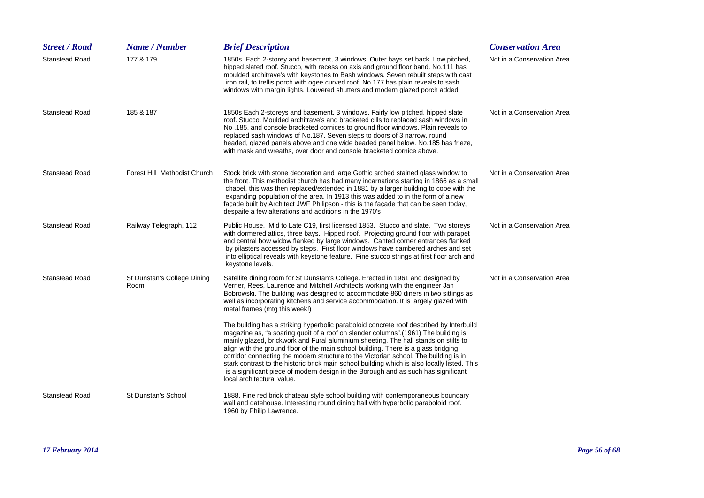| <b>Street / Road</b>  | Name / Number                       | <b>Brief Description</b>                                                                                                                                                                                                                                                                                                                                                                                                                                                                                                                                                                                                                                               | <b>Conservation Area</b>   |
|-----------------------|-------------------------------------|------------------------------------------------------------------------------------------------------------------------------------------------------------------------------------------------------------------------------------------------------------------------------------------------------------------------------------------------------------------------------------------------------------------------------------------------------------------------------------------------------------------------------------------------------------------------------------------------------------------------------------------------------------------------|----------------------------|
| <b>Stanstead Road</b> | 177 & 179                           | 1850s. Each 2-storey and basement, 3 windows. Outer bays set back. Low pitched,<br>hipped slated roof. Stucco, with recess on axis and ground floor band. No.111 has<br>moulded architrave's with keystones to Bash windows. Seven rebuilt steps with cast<br>iron rail, to trellis porch with ogee curved roof. No.177 has plain reveals to sash<br>windows with margin lights. Louvered shutters and modern glazed porch added.                                                                                                                                                                                                                                      | Not in a Conservation Area |
| <b>Stanstead Road</b> | 185 & 187                           | 1850s Each 2-storeys and basement, 3 windows. Fairly low pitched, hipped slate<br>roof. Stucco. Moulded architrave's and bracketed cills to replaced sash windows in<br>No .185, and console bracketed cornices to ground floor windows. Plain reveals to<br>replaced sash windows of No.187. Seven steps to doors of 3 narrow, round<br>headed, glazed panels above and one wide beaded panel below. No.185 has frieze,<br>with mask and wreaths, over door and console bracketed cornice above.                                                                                                                                                                      | Not in a Conservation Area |
| <b>Stanstead Road</b> | Forest Hill Methodist Church        | Stock brick with stone decoration and large Gothic arched stained glass window to<br>the front. This methodist church has had many incarnations starting in 1866 as a small<br>chapel, this was then replaced/extended in 1881 by a larger building to cope with the<br>expanding population of the area. In 1913 this was added to in the form of a new<br>façade built by Architect JWF Philipson - this is the façade that can be seen today,<br>despaite a few alterations and additions in the 1970's                                                                                                                                                             | Not in a Conservation Area |
| <b>Stanstead Road</b> | Railway Telegraph, 112              | Public House. Mid to Late C19, first licensed 1853. Stucco and slate. Two storeys<br>with dormered attics, three bays. Hipped roof. Projecting ground floor with parapet<br>and central bow widow flanked by large windows. Canted corner entrances flanked<br>by pilasters accessed by steps. First floor windows have cambered arches and set<br>into elliptical reveals with keystone feature. Fine stucco strings at first floor arch and<br>keystone levels.                                                                                                                                                                                                      | Not in a Conservation Area |
| <b>Stanstead Road</b> | St Dunstan's College Dining<br>Room | Satellite dining room for St Dunstan's College. Erected in 1961 and designed by<br>Verner, Rees, Laurence and Mitchell Architects working with the engineer Jan<br>Bobrowski. The building was designed to accommodate 860 diners in two sittings as<br>well as incorporating kitchens and service accommodation. It is largely glazed with<br>metal frames (mtg this week!)                                                                                                                                                                                                                                                                                           | Not in a Conservation Area |
|                       |                                     | The building has a striking hyperbolic paraboloid concrete roof described by Interbuild<br>magazine as, "a soaring quoit of a roof on slender columns".(1961) The building is<br>mainly glazed, brickwork and Fural aluminium sheeting. The hall stands on stilts to<br>align with the ground floor of the main school building. There is a glass bridging<br>corridor connecting the modern structure to the Victorian school. The building is in<br>stark contrast to the historic brick main school building which is also locally listed. This<br>is a significant piece of modern design in the Borough and as such has significant<br>local architectural value. |                            |
| <b>Stanstead Road</b> | St Dunstan's School                 | 1888. Fine red brick chateau style school building with contemporaneous boundary<br>wall and gatehouse. Interesting round dining hall with hyperbolic paraboloid roof.<br>1960 by Philip Lawrence.                                                                                                                                                                                                                                                                                                                                                                                                                                                                     |                            |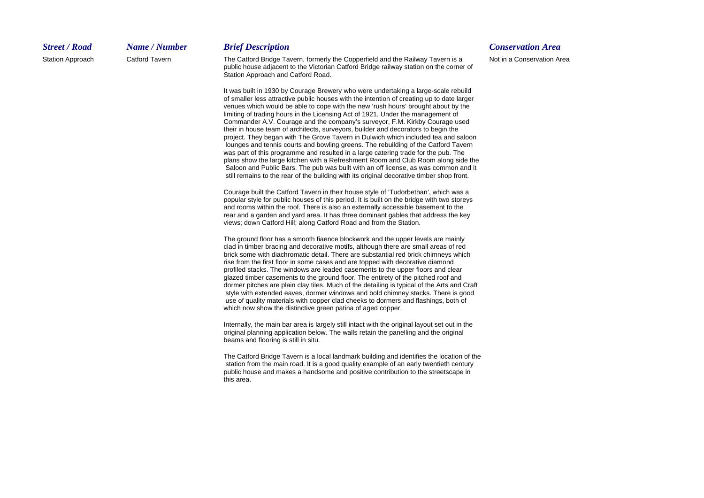## *Street / Road*

Station Approach Catford Tavern The Catford Bridge Tavern, formerly the Copperfield and the Railway Tavern is a Not in a Conservation Area public house adjacent to the Victorian Catford Bridge railway station on the corner of Station Approach and Catford Road.

> It was built in 1930 by Courage Brewery who were undertaking a large-scale rebuild of smaller less attractive public houses with the intention of creating up to date larger venues which would be able to cope with the new 'rush hours' brought about by the limiting of trading hours in the Licensing Act of 1921. Under the management of Commander A.V. Courage and the company's surveyor, F.M. Kirkby Courage used their in house team of architects, surveyors, builder and decorators to begin the project. They began with The Grove Tavern in Dulwich which included tea and saloon lounges and tennis courts and bowling greens. The rebuilding of the Catford Tavern was part of this programme and resulted in a large catering trade for the pub. The plans show the large kitchen with a Refreshment Room and Club Room along side the Saloon and Public Bars. The pub was built with an off license, as was common and it still remains to the rear of the building with its original decorative timber shop front.

Courage built the Catford Tavern in their house style of 'Tudorbethan', which was a popular style for public houses of this period. It is built on the bridge with two storeys and rooms within the roof. There is also an externally accessible basement to the rear and a garden and yard area. It has three dominant gables that address the key views; down Catford Hill; along Catford Road and from the Station.

The ground floor has a smooth fiaence blockwork and the upper levels are mainly clad in timber bracing and decorative motifs, although there are small areas of red brick some with diachromatic detail. There are substantial red brick chimneys which rise from the first floor in some cases and are topped with decorative diamond profiled stacks. The windows are leaded casements to the upper floors and clear glazed timber casements to the ground floor. The entirety of the pitched roof and dormer pitches are plain clay tiles. Much of the detailing is typical of the Arts and Craft style with extended eaves, dormer windows and bold chimney stacks. There is good use of quality materials with copper clad cheeks to dormers and flashings, both of which now show the distinctive green patina of aged copper.

Internally, the main bar area is largely still intact with the original layout set out in the original planning application below. The walls retain the panelling and the original beams and flooring is still in situ.

The Catford Bridge Tavern is a local landmark building and identifies the location of the station from the main road. It is a good quality example of an early twentieth century public house and makes a handsome and positive contribution to the streetscape in this area.

# *Name / Number Brief Description Conservation Area*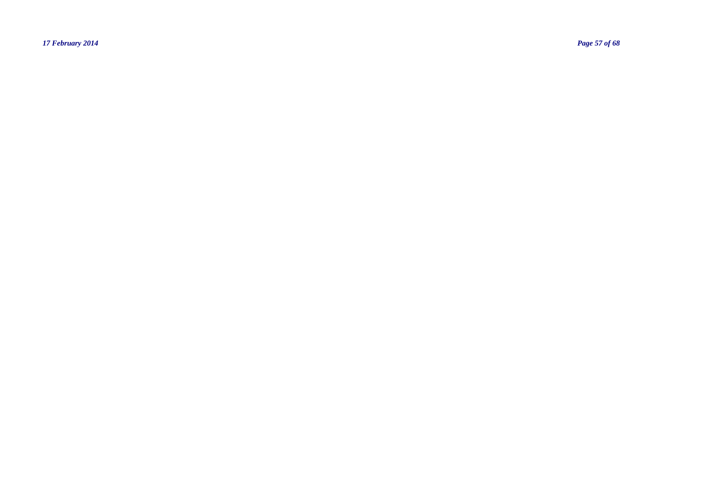*17 February 2014 Page 57 of 68*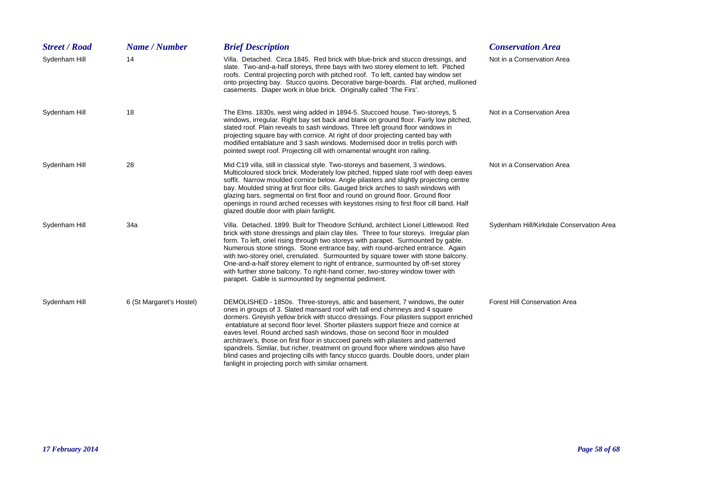| <b>Street / Road</b> | Name / Number            | <b>Brief Description</b>                                                                                                                                                                                                                                                                                                                                                                                                                                                                                                                                                                                                                                                                                                                        | <b>Conservation Area</b>                 |
|----------------------|--------------------------|-------------------------------------------------------------------------------------------------------------------------------------------------------------------------------------------------------------------------------------------------------------------------------------------------------------------------------------------------------------------------------------------------------------------------------------------------------------------------------------------------------------------------------------------------------------------------------------------------------------------------------------------------------------------------------------------------------------------------------------------------|------------------------------------------|
| Sydenham Hill        | 14                       | Villa. Detached. Circa 1845. Red brick with blue-brick and stucco dressings, and<br>slate. Two-and-a-half storeys, three bays with two storey element to left. Pitched<br>roofs. Central projecting porch with pitched roof. To left, canted bay window set<br>onto projecting bay. Stucco quoins. Decorative barge-boards. Flat arched, mullioned<br>casements. Diaper work in blue brick. Originally called 'The Firs'.                                                                                                                                                                                                                                                                                                                       | Not in a Conservation Area               |
| Sydenham Hill        | 18                       | The Elms. 1830s, west wing added in 1894-5. Stuccoed house. Two-storeys, 5<br>windows, irregular. Right bay set back and blank on ground floor. Fairly low pitched,<br>slated roof. Plain reveals to sash windows. Three left ground floor windows in<br>projecting square bay with cornice. At right of door projecting canted bay with<br>modified entablature and 3 sash windows. Modernised door in trellis porch with<br>pointed swept roof. Projecting cill with ornamental wrought iron railing.                                                                                                                                                                                                                                         | Not in a Conservation Area               |
| Sydenham Hill        | 28                       | Mid C19 villa, still in classical style. Two-storeys and basement, 3 windows.<br>Multicoloured stock brick. Moderately low pitched, hipped slate roof with deep eaves<br>soffit. Narrow moulded cornice below. Angle pilasters and slightly projecting centre<br>bay. Moulded string at first floor cills. Gauged brick arches to sash windows with<br>glazing bars, segmental on first floor and round on ground floor. Ground floor<br>openings in round arched recesses with keystones rising to first floor cill band. Half<br>glazed double door with plain fanlight.                                                                                                                                                                      | Not in a Conservation Area               |
| Sydenham Hill        | 34a                      | Villa. Detached. 1899. Built for Theodore Schlund, architect Lionel Littlewood. Red<br>brick with stone dressings and plain clay tiles. Three to four storeys. Irregular plan<br>form. To left, oriel rising through two storeys with parapet. Surmounted by gable.<br>Numerous stone strings. Stone entrance bay, with round-arched entrance. Again<br>with two-storey oriel, crenulated. Surmounted by square tower with stone balcony.<br>One-and-a-half storey element to right of entrance, surmounted by off-set storey<br>with further stone balcony. To right-hand corner, two-storey window tower with<br>parapet. Gable is surmounted by segmental pediment.                                                                          | Sydenham Hill/Kirkdale Conservation Area |
| Sydenham Hill        | 6 (St Margaret's Hostel) | DEMOLISHED - 1850s. Three-storeys, attic and basement, 7 windows, the outer<br>ones in groups of 3. Slated mansard roof with tall end chimneys and 4 square<br>dormers. Greyish yellow brick with stucco dressings. Four pilasters support enriched<br>entablature at second floor level. Shorter pilasters support frieze and cornice at<br>eaves level. Round arched sash windows, those on second floor in moulded<br>architrave's, those on first floor in stuccoed panels with pilasters and patterned<br>spandrels. Similar, but richer, treatment on ground floor where windows also have<br>blind cases and projecting cills with fancy stucco guards. Double doors, under plain<br>fanlight in projecting porch with similar ornament. | <b>Forest Hill Conservation Area</b>     |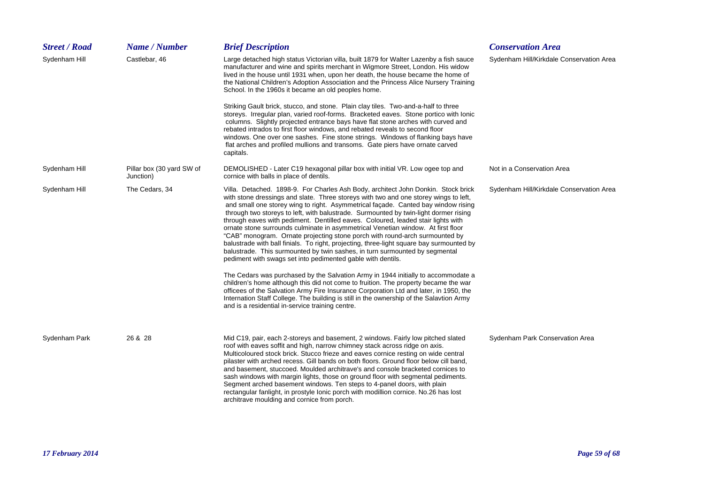| <b>Street / Road</b> | Name / Number                          | <b>Brief Description</b>                                                                                                                                                                                                                                                                                                                                                                                                                                                                                                                                                                                                                                                                                                                                                                                                                                | <b>Conservation Area</b>                 |
|----------------------|----------------------------------------|---------------------------------------------------------------------------------------------------------------------------------------------------------------------------------------------------------------------------------------------------------------------------------------------------------------------------------------------------------------------------------------------------------------------------------------------------------------------------------------------------------------------------------------------------------------------------------------------------------------------------------------------------------------------------------------------------------------------------------------------------------------------------------------------------------------------------------------------------------|------------------------------------------|
| Sydenham Hill        | Castlebar, 46                          | Large detached high status Victorian villa, built 1879 for Walter Lazenby a fish sauce<br>manufacturer and wine and spirits merchant in Wigmore Street, London. His widow<br>lived in the house until 1931 when, upon her death, the house became the home of<br>the National Children's Adoption Association and the Princess Alice Nursery Training<br>School. In the 1960s it became an old peoples home.                                                                                                                                                                                                                                                                                                                                                                                                                                            | Sydenham Hill/Kirkdale Conservation Area |
|                      |                                        | Striking Gault brick, stucco, and stone. Plain clay tiles. Two-and-a-half to three<br>storeys. Irregular plan, varied roof-forms. Bracketed eaves. Stone portico with lonic<br>columns. Slightly projected entrance bays have flat stone arches with curved and<br>rebated intrados to first floor windows, and rebated reveals to second floor<br>windows. One over one sashes. Fine stone strings. Windows of flanking bays have<br>flat arches and profiled mullions and transoms. Gate piers have ornate carved<br>capitals.                                                                                                                                                                                                                                                                                                                        |                                          |
| Sydenham Hill        | Pillar box (30 yard SW of<br>Junction) | DEMOLISHED - Later C19 hexagonal pillar box with initial VR. Low ogee top and<br>cornice with balls in place of dentils.                                                                                                                                                                                                                                                                                                                                                                                                                                                                                                                                                                                                                                                                                                                                | Not in a Conservation Area               |
| Sydenham Hill        | The Cedars, 34                         | Villa. Detached. 1898-9. For Charles Ash Body, architect John Donkin. Stock brick<br>with stone dressings and slate. Three storeys with two and one storey wings to left,<br>and small one storey wing to right. Asymmetrical facade. Canted bay window rising<br>through two storeys to left, with balustrade. Surmounted by twin-light dormer rising<br>through eaves with pediment. Dentilled eaves. Coloured, leaded stair lights with<br>ornate stone surrounds culminate in asymmetrical Venetian window. At first floor<br>"CAB" monogram. Ornate projecting stone porch with round-arch surmounted by<br>balustrade with ball finials. To right, projecting, three-light square bay surmounted by<br>balustrade. This surmounted by twin sashes, in turn surmounted by segmental<br>pediment with swags set into pedimented gable with dentils. | Sydenham Hill/Kirkdale Conservation Area |
|                      |                                        | The Cedars was purchased by the Salvation Army in 1944 initially to accommodate a<br>children's home although this did not come to fruition. The property became the war<br>officees of the Salvation Army Fire Insurance Corporation Ltd and later, in 1950, the<br>Internation Staff College. The building is still in the ownership of the Salavtion Army<br>and is a residential in-service training centre.                                                                                                                                                                                                                                                                                                                                                                                                                                        |                                          |
| Sydenham Park        | 26 & 28                                | Mid C19, pair, each 2-storeys and basement, 2 windows. Fairly low pitched slated<br>roof with eaves soffit and high, narrow chimney stack across ridge on axis.<br>Multicoloured stock brick. Stucco frieze and eaves cornice resting on wide central<br>pilaster with arched recess. Gill bands on both floors. Ground floor below cill band,<br>and basement, stuccoed. Moulded architrave's and console bracketed cornices to<br>sash windows with margin lights, those on ground floor with segmental pediments.<br>Segment arched basement windows. Ten steps to 4-panel doors, with plain<br>rectangular fanlight, in prostyle Ionic porch with modillion cornice. No.26 has lost<br>architrave moulding and cornice from porch.                                                                                                                  | Sydenham Park Conservation Area          |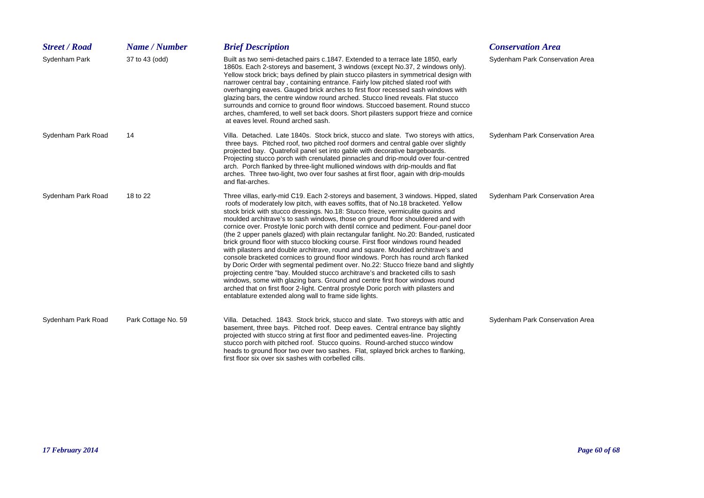| <b>Street / Road</b> | Name / Number       | <b>Brief Description</b>                                                                                                                                                                                                                                                                                                                                                                                                                                                                                                                                                                                                                                                                                                                                                                                                                                                                                                                                                                                                                                                                                                                                                                                 | <b>Conservation Area</b>        |
|----------------------|---------------------|----------------------------------------------------------------------------------------------------------------------------------------------------------------------------------------------------------------------------------------------------------------------------------------------------------------------------------------------------------------------------------------------------------------------------------------------------------------------------------------------------------------------------------------------------------------------------------------------------------------------------------------------------------------------------------------------------------------------------------------------------------------------------------------------------------------------------------------------------------------------------------------------------------------------------------------------------------------------------------------------------------------------------------------------------------------------------------------------------------------------------------------------------------------------------------------------------------|---------------------------------|
| Sydenham Park        | 37 to 43 (odd)      | Built as two semi-detached pairs c.1847. Extended to a terrace late 1850, early<br>1860s. Each 2-storeys and basement, 3 windows (except No.37, 2 windows only).<br>Yellow stock brick; bays defined by plain stucco pilasters in symmetrical design with<br>narrower central bay, containing entrance. Fairly low pitched slated roof with<br>overhanging eaves. Gauged brick arches to first floor recessed sash windows with<br>glazing bars, the centre window round arched. Stucco lined reveals. Flat stucco<br>surrounds and cornice to ground floor windows. Stuccoed basement. Round stucco<br>arches, chamfered, to well set back doors. Short pilasters support frieze and cornice<br>at eaves level. Round arched sash.                                                                                                                                                                                                                                                                                                                                                                                                                                                                      | Sydenham Park Conservation Area |
| Sydenham Park Road   | 14                  | Villa. Detached. Late 1840s. Stock brick, stucco and slate. Two storeys with attics,<br>three bays. Pitched roof, two pitched roof dormers and central gable over slightly<br>projected bay. Quatrefoil panel set into gable with decorative bargeboards.<br>Projecting stucco porch with crenulated pinnacles and drip-mould over four-centred<br>arch. Porch flanked by three-light mullioned windows with drip-moulds and flat<br>arches. Three two-light, two over four sashes at first floor, again with drip-moulds<br>and flat-arches.                                                                                                                                                                                                                                                                                                                                                                                                                                                                                                                                                                                                                                                            | Sydenham Park Conservation Area |
| Sydenham Park Road   | 18 to 22            | Three villas, early-mid C19. Each 2-storeys and basement, 3 windows. Hipped, slated<br>roofs of moderately low pitch, with eaves soffits, that of No.18 bracketed. Yellow<br>stock brick with stucco dressings. No.18: Stucco frieze, vermiculite quoins and<br>moulded architrave's to sash windows, those on ground floor shouldered and with<br>cornice over. Prostyle Ionic porch with dentil cornice and pediment. Four-panel door<br>(the 2 upper panels glazed) with plain rectangular fanlight. No. 20: Banded, rusticated<br>brick ground floor with stucco blocking course. First floor windows round headed<br>with pilasters and double architrave, round and square. Moulded architrave's and<br>console bracketed cornices to ground floor windows. Porch has round arch flanked<br>by Doric Order with segmental pediment over. No.22: Stucco frieze band and slightly<br>projecting centre "bay. Moulded stucco architrave's and bracketed cills to sash<br>windows, some with glazing bars. Ground and centre first floor windows round<br>arched that on first floor 2-light. Central prostyle Doric porch with pilasters and<br>entablature extended along wall to frame side lights. | Sydenham Park Conservation Area |
| Sydenham Park Road   | Park Cottage No. 59 | Villa. Detached. 1843. Stock brick, stucco and slate. Two storeys with attic and<br>basement, three bays. Pitched roof. Deep eaves. Central entrance bay slightly<br>projected with stucco string at first floor and pedimented eaves-line. Projecting<br>stucco porch with pitched roof. Stucco quoins. Round-arched stucco window<br>heads to ground floor two over two sashes. Flat, splayed brick arches to flanking,<br>first floor six over six sashes with corbelled cills.                                                                                                                                                                                                                                                                                                                                                                                                                                                                                                                                                                                                                                                                                                                       | Sydenham Park Conservation Area |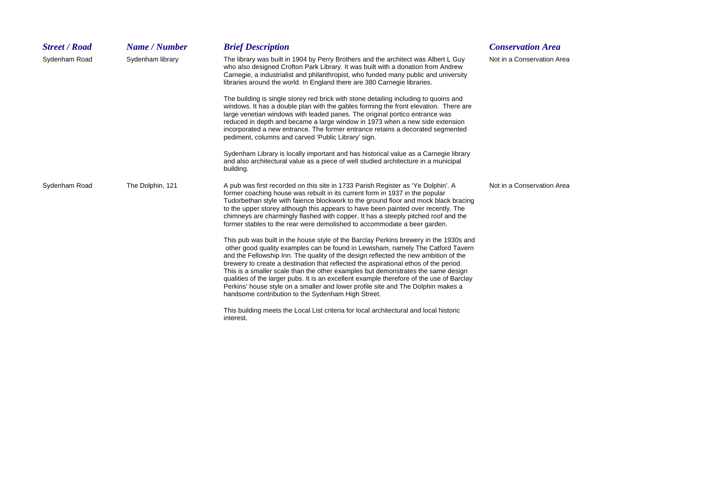| <b>Street / Road</b> | Name / Number    | <b>Brief Description</b>                                                                                                                                                                                                                                                                                                                                                                                                                                                                                                                                                                                                                                                          | <b>Conservation Area</b>   |  |
|----------------------|------------------|-----------------------------------------------------------------------------------------------------------------------------------------------------------------------------------------------------------------------------------------------------------------------------------------------------------------------------------------------------------------------------------------------------------------------------------------------------------------------------------------------------------------------------------------------------------------------------------------------------------------------------------------------------------------------------------|----------------------------|--|
| Sydenham Road        | Sydenham library | The library was built in 1904 by Perry Brothers and the architect was Albert L Guy<br>who also designed Crofton Park Library. It was built with a donation from Andrew<br>Carnegie, a industrialist and philanthropist, who funded many public and university<br>libraries around the world. In England there are 380 Carnegie libraries.                                                                                                                                                                                                                                                                                                                                         | Not in a Conservation Area |  |
|                      |                  | The building is single storey red brick with stone detailing including to quoins and<br>windows. It has a double plan with the gables forming the front elevation. There are<br>large venetian windows with leaded panes. The original portico entrance was<br>reduced in depth and became a large window in 1973 when a new side extension<br>incorporated a new entrance. The former entrance retains a decorated segmented<br>pediment, columns and carved 'Public Library' sign.                                                                                                                                                                                              |                            |  |
|                      |                  | Sydenham Library is locally important and has historical value as a Carnegie library<br>and also architectural value as a piece of well studied architecture in a municipal<br>building.                                                                                                                                                                                                                                                                                                                                                                                                                                                                                          |                            |  |
| Sydenham Road        | The Dolphin, 121 | A pub was first recorded on this site in 1733 Parish Register as 'Ye Dolphin'. A<br>former coaching house was rebuilt in its current form in 1937 in the popular<br>Tudorbethan style with faience blockwork to the ground floor and mock black bracing<br>to the upper storey although this appears to have been painted over recently. The<br>chimneys are charmingly flashed with copper. It has a steeply pitched roof and the<br>former stables to the rear were demolished to accommodate a beer garden.                                                                                                                                                                    | Not in a Conservation Area |  |
|                      |                  | This pub was built in the house style of the Barclay Perkins brewery in the 1930s and<br>other good quality examples can be found in Lewisham, namely The Catford Tavern<br>and the Fellowship Inn. The quality of the design reflected the new ambition of the<br>brewery to create a destination that reflected the aspirational ethos of the period.<br>This is a smaller scale than the other examples but demonstrates the same design<br>qualities of the larger pubs. It is an excellent example therefore of the use of Barclay<br>Perkins' house style on a smaller and lower profile site and The Dolphin makes a<br>handsome contribution to the Sydenham High Street. |                            |  |
|                      |                  | This building meets the Local List criteria for local architectural and local historic<br>interest.                                                                                                                                                                                                                                                                                                                                                                                                                                                                                                                                                                               |                            |  |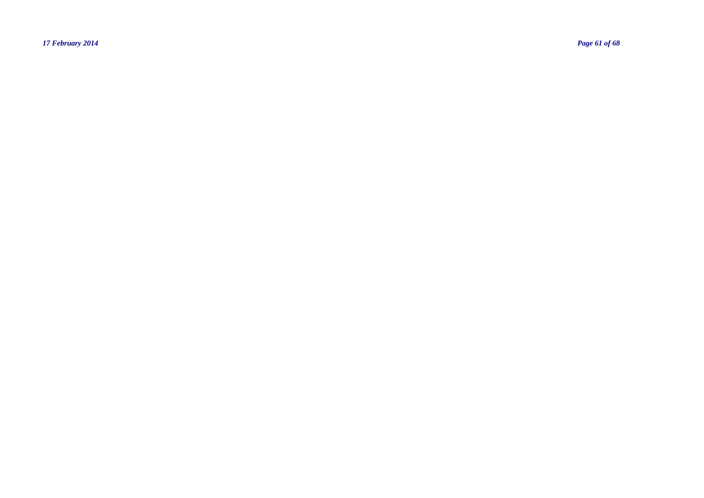*17 February 2014 Page 61 of 68*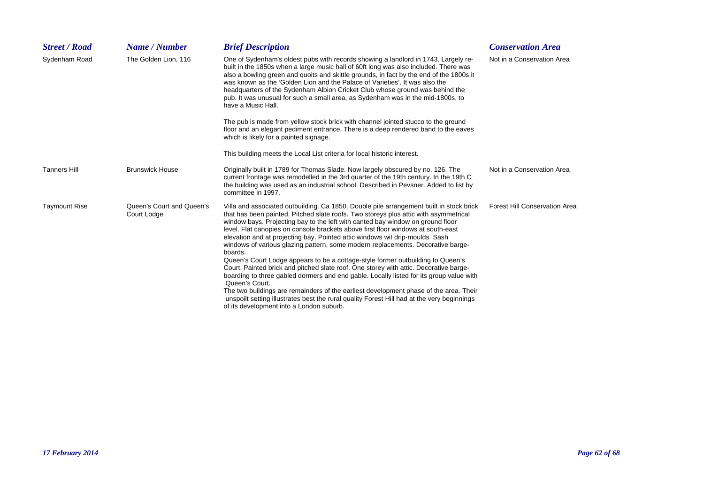| <b>Street / Road</b> | Name / Number                            | <b>Brief Description</b>                                                                                                                                                                                                                                                                                                                                                                                                                                                                                                                                                                                                                                                                                                                                                                                                                                                                                                                                                                                                                                        | <b>Conservation Area</b>             |
|----------------------|------------------------------------------|-----------------------------------------------------------------------------------------------------------------------------------------------------------------------------------------------------------------------------------------------------------------------------------------------------------------------------------------------------------------------------------------------------------------------------------------------------------------------------------------------------------------------------------------------------------------------------------------------------------------------------------------------------------------------------------------------------------------------------------------------------------------------------------------------------------------------------------------------------------------------------------------------------------------------------------------------------------------------------------------------------------------------------------------------------------------|--------------------------------------|
| Sydenham Road        | The Golden Lion, 116                     | One of Sydenham's oldest pubs with records showing a landlord in 1743. Largely re-<br>built in the 1850s when a large music hall of 60ft long was also included. There was<br>also a bowling green and quoits and skittle grounds, in fact by the end of the 1800s it<br>was known as the 'Golden Lion and the Palace of Varieties'. It was also the<br>headquarters of the Sydenham Albion Cricket Club whose ground was behind the<br>pub. It was unusual for such a small area, as Sydenham was in the mid-1800s, to<br>have a Music Hall.                                                                                                                                                                                                                                                                                                                                                                                                                                                                                                                   | Not in a Conservation Area           |
|                      |                                          | The pub is made from yellow stock brick with channel jointed stucco to the ground<br>floor and an elegant pediment entrance. There is a deep rendered band to the eaves<br>which is likely for a painted signage.                                                                                                                                                                                                                                                                                                                                                                                                                                                                                                                                                                                                                                                                                                                                                                                                                                               |                                      |
|                      |                                          | This building meets the Local List criteria for local historic interest.                                                                                                                                                                                                                                                                                                                                                                                                                                                                                                                                                                                                                                                                                                                                                                                                                                                                                                                                                                                        |                                      |
| <b>Tanners Hill</b>  | <b>Brunswick House</b>                   | Originally built in 1789 for Thomas Slade. Now largely obscured by no. 126. The<br>current frontage was remodelled in the 3rd quarter of the 19th century. In the 19th C<br>the building was used as an industrial school. Described in Pevsner. Added to list by<br>committee in 1997.                                                                                                                                                                                                                                                                                                                                                                                                                                                                                                                                                                                                                                                                                                                                                                         | Not in a Conservation Area           |
| <b>Taymount Rise</b> | Queen's Court and Queen's<br>Court Lodge | Villa and associated outbuilding. Ca 1850. Double pile arrangement built in stock brick<br>that has been painted. Pitched slate roofs. Two storeys plus attic with asymmetrical<br>window bays. Projecting bay to the left with canted bay window on ground floor<br>level. Flat canopies on console brackets above first floor windows at south-east<br>elevation and at projecting bay. Pointed attic windows wit drip-moulds. Sash<br>windows of various glazing pattern, some modern replacements. Decorative barge-<br>boards.<br>Queen's Court Lodge appears to be a cottage-style former outbuilding to Queen's<br>Court. Painted brick and pitched slate roof. One storey with attic. Decorative barge-<br>boarding to three gabled dormers and end gable. Locally listed for its group value with<br>Queen's Court.<br>The two buildings are remainders of the earliest development phase of the area. Their<br>unspoilt setting illustrates best the rural quality Forest Hill had at the very beginnings<br>of its development into a London suburb. | <b>Forest Hill Conservation Area</b> |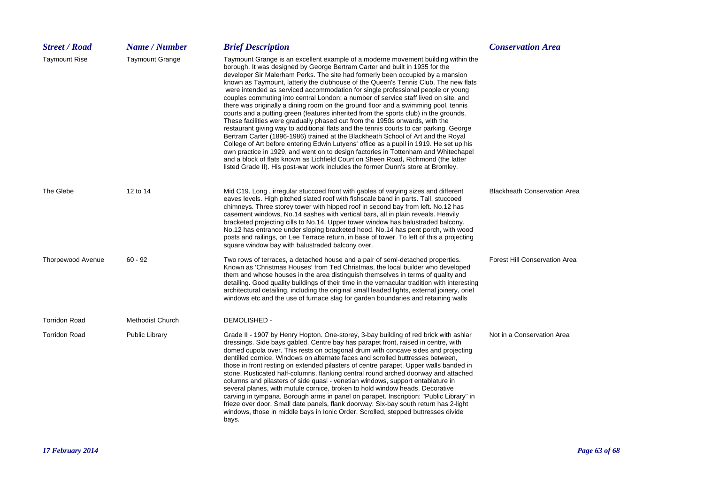| <b>Street / Road</b>     | Name / Number           | <b>Brief Description</b>                                                                                                                                                                                                                                                                                                                                                                                                                                                                                                                                                                                                                                                                                                                                                                                                                                                                                                                                                                                                                                                                                                                                                                                                                                                                                                | <b>Conservation Area</b>             |
|--------------------------|-------------------------|-------------------------------------------------------------------------------------------------------------------------------------------------------------------------------------------------------------------------------------------------------------------------------------------------------------------------------------------------------------------------------------------------------------------------------------------------------------------------------------------------------------------------------------------------------------------------------------------------------------------------------------------------------------------------------------------------------------------------------------------------------------------------------------------------------------------------------------------------------------------------------------------------------------------------------------------------------------------------------------------------------------------------------------------------------------------------------------------------------------------------------------------------------------------------------------------------------------------------------------------------------------------------------------------------------------------------|--------------------------------------|
| <b>Taymount Rise</b>     | <b>Taymount Grange</b>  | Taymount Grange is an excellent example of a moderne movement building within the<br>borough. It was designed by George Bertram Carter and built in 1935 for the<br>developer Sir Malerham Perks. The site had formerly been occupied by a mansion<br>known as Taymount, latterly the clubhouse of the Queen's Tennis Club. The new flats<br>were intended as serviced accommodation for single professional people or young<br>couples commuting into central London; a number of service staff lived on site, and<br>there was originally a dining room on the ground floor and a swimming pool, tennis<br>courts and a putting green (features inherited from the sports club) in the grounds.<br>These facilities were gradually phased out from the 1950s onwards, with the<br>restaurant giving way to additional flats and the tennis courts to car parking. George<br>Bertram Carter (1896-1986) trained at the Blackheath School of Art and the Royal<br>College of Art before entering Edwin Lutyens' office as a pupil in 1919. He set up his<br>own practice in 1929, and went on to design factories in Tottenham and Whitechapel<br>and a block of flats known as Lichfield Court on Sheen Road, Richmond (the latter<br>listed Grade II). His post-war work includes the former Dunn's store at Bromley. |                                      |
| The Glebe                | 12 to 14                | Mid C19. Long, irregular stuccoed front with gables of varying sizes and different<br>eaves levels. High pitched slated roof with fishscale band in parts. Tall, stuccoed<br>chimneys. Three storey tower with hipped roof in second bay from left. No.12 has<br>casement windows, No.14 sashes with vertical bars, all in plain reveals. Heavily<br>bracketed projecting cills to No.14. Upper tower window has balustraded balcony.<br>No.12 has entrance under sloping bracketed hood. No.14 has pent porch, with wood<br>posts and railings, on Lee Terrace return, in base of tower. To left of this a projecting<br>square window bay with balustraded balcony over.                                                                                                                                                                                                                                                                                                                                                                                                                                                                                                                                                                                                                                              | <b>Blackheath Conservation Area</b>  |
| <b>Thorpewood Avenue</b> | $60 - 92$               | Two rows of terraces, a detached house and a pair of semi-detached properties.<br>Known as 'Christmas Houses' from Ted Christmas, the local builder who developed<br>them and whose houses in the area distinguish themselves in terms of quality and<br>detailing. Good quality buildings of their time in the vernacular tradition with interesting<br>architectural detailing, including the original small leaded lights, external joinery, oriel<br>windows etc and the use of furnace slag for garden boundaries and retaining walls                                                                                                                                                                                                                                                                                                                                                                                                                                                                                                                                                                                                                                                                                                                                                                              | <b>Forest Hill Conservation Area</b> |
| <b>Torridon Road</b>     | <b>Methodist Church</b> | DEMOLISHED -                                                                                                                                                                                                                                                                                                                                                                                                                                                                                                                                                                                                                                                                                                                                                                                                                                                                                                                                                                                                                                                                                                                                                                                                                                                                                                            |                                      |
| <b>Torridon Road</b>     | Public Library          | Grade II - 1907 by Henry Hopton. One-storey, 3-bay building of red brick with ashlar<br>dressings. Side bays gabled. Centre bay has parapet front, raised in centre, with<br>domed cupola over. This rests on octagonal drum with concave sides and projecting<br>dentilled cornice. Windows on alternate faces and scrolled buttresses between,<br>those in front resting on extended pilasters of centre parapet. Upper walls banded in<br>stone, Rusticated half-columns, flanking central round arched doorway and attached<br>columns and pilasters of side quasi - venetian windows, support entablature in<br>several planes, with mutule cornice, broken to hold window heads. Decorative<br>carving in tympana. Borough arms in panel on parapet. Inscription: "Public Library" in<br>frieze over door. Small date panels, flank doorway. Six-bay south return has 2-light<br>windows, those in middle bays in Ionic Order. Scrolled, stepped buttresses divide<br>bays.                                                                                                                                                                                                                                                                                                                                       | Not in a Conservation Area           |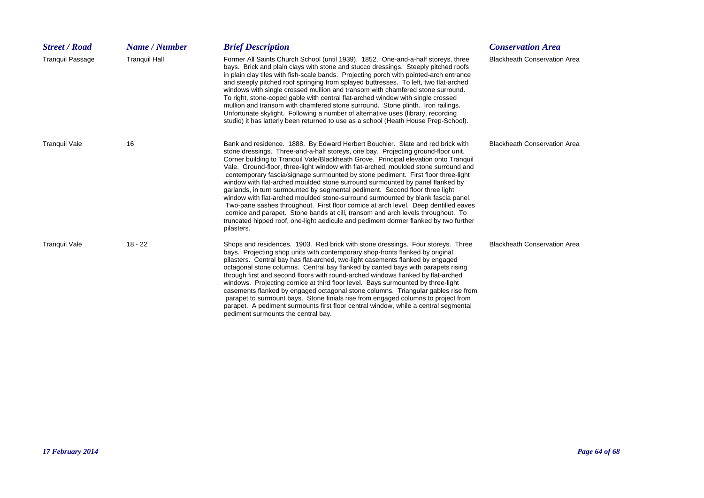| <b>Street / Road</b>    | Name / Number        | <b>Brief Description</b>                                                                                                                                                                                                                                                                                                                                                                                                                                                                                                                                                                                                                                                                                                                                                                                                                                                                                                                                                      | <b>Conservation Area</b>            |
|-------------------------|----------------------|-------------------------------------------------------------------------------------------------------------------------------------------------------------------------------------------------------------------------------------------------------------------------------------------------------------------------------------------------------------------------------------------------------------------------------------------------------------------------------------------------------------------------------------------------------------------------------------------------------------------------------------------------------------------------------------------------------------------------------------------------------------------------------------------------------------------------------------------------------------------------------------------------------------------------------------------------------------------------------|-------------------------------------|
| <b>Tranguil Passage</b> | <b>Tranquil Hall</b> | Former All Saints Church School (until 1939). 1852. One-and-a-half storeys, three<br>bays. Brick and plain clays with stone and stucco dressings. Steeply pitched roofs<br>in plain clay tiles with fish-scale bands. Projecting porch with pointed-arch entrance<br>and steeply pitched roof springing from splayed buttresses. To left, two flat-arched<br>windows with single crossed mullion and transom with chamfered stone surround.<br>To right, stone-coped gable with central flat-arched window with single crossed<br>mullion and transom with chamfered stone surround. Stone plinth. Iron railings.<br>Unfortunate skylight. Following a number of alternative uses (library, recording<br>studio) it has latterly been returned to use as a school (Heath House Prep-School).                                                                                                                                                                                  | <b>Blackheath Conservation Area</b> |
| <b>Tranquil Vale</b>    | 16                   | Bank and residence. 1888. By Edward Herbert Bouchier. Slate and red brick with<br>stone dressings. Three-and-a-half storeys, one bay. Projecting ground-floor unit.<br>Corner building to Tranquil Vale/Blackheath Grove. Principal elevation onto Tranquil<br>Vale. Ground-floor, three-light window with flat-arched, moulded stone surround and<br>contemporary fascia/signage surmounted by stone pediment. First floor three-light<br>window with flat-arched moulded stone surround surmounted by panel flanked by<br>garlands, in turn surmounted by segmental pediment. Second floor three light<br>window with flat-arched moulded stone-surround surmounted by blank fascia panel.<br>Two-pane sashes throughout. First floor cornice at arch level. Deep dentilled eaves<br>cornice and parapet. Stone bands at cill, transom and arch levels throughout. To<br>truncated hipped roof, one-light aedicule and pediment dormer flanked by two further<br>pilasters. | <b>Blackheath Conservation Area</b> |
| <b>Tranquil Vale</b>    | $18 - 22$            | Shops and residences. 1903. Red brick with stone dressings. Four storeys. Three<br>bays. Projecting shop units with contemporary shop-fronts flanked by original<br>pilasters. Central bay has flat-arched, two-light casements flanked by engaged<br>octagonal stone columns. Central bay flanked by canted bays with parapets rising<br>through first and second floors with round-arched windows flanked by flat-arched<br>windows. Projecting cornice at third floor level. Bays surmounted by three-light<br>casements flanked by engaged octagonal stone columns. Triangular gables rise from<br>parapet to surmount bays. Stone finials rise from engaged columns to project from<br>parapet. A pediment surmounts first floor central window, while a central segmental<br>pediment surmounts the central bay.                                                                                                                                                        | <b>Blackheath Conservation Area</b> |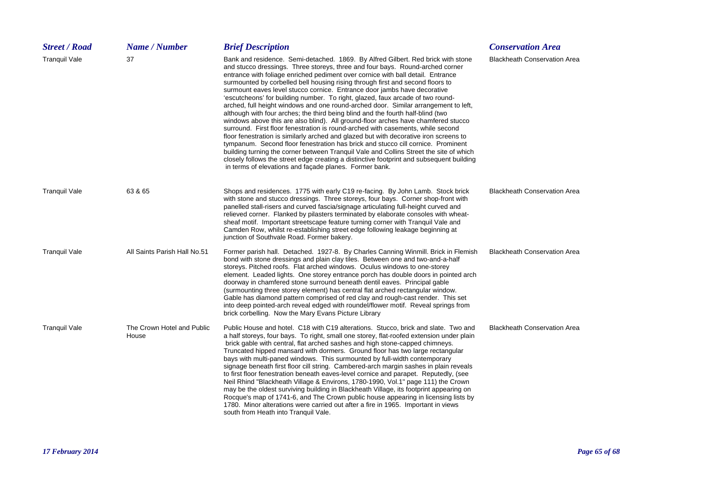| <b>Street / Road</b> | Name / Number                       | <b>Brief Description</b>                                                                                                                                                                                                                                                                                                                                                                                                                                                                                                                                                                                                                                                                                                                                                                                                                                                                                                                                                                                                                                                                                                                                                                                                                                                            | <b>Conservation Area</b>            |
|----------------------|-------------------------------------|-------------------------------------------------------------------------------------------------------------------------------------------------------------------------------------------------------------------------------------------------------------------------------------------------------------------------------------------------------------------------------------------------------------------------------------------------------------------------------------------------------------------------------------------------------------------------------------------------------------------------------------------------------------------------------------------------------------------------------------------------------------------------------------------------------------------------------------------------------------------------------------------------------------------------------------------------------------------------------------------------------------------------------------------------------------------------------------------------------------------------------------------------------------------------------------------------------------------------------------------------------------------------------------|-------------------------------------|
| <b>Tranquil Vale</b> | 37                                  | Bank and residence. Semi-detached. 1869. By Alfred Gilbert. Red brick with stone<br>and stucco dressings. Three storeys, three and four bays. Round-arched corner<br>entrance with foliage enriched pediment over cornice with ball detail. Entrance<br>surmounted by corbelled bell housing rising through first and second floors to<br>surmount eaves level stucco cornice. Entrance door jambs have decorative<br>'escutcheons' for building number. To right, glazed, faux arcade of two round-<br>arched, full height windows and one round-arched door. Similar arrangement to left,<br>although with four arches; the third being blind and the fourth half-blind (two<br>windows above this are also blind). All ground-floor arches have chamfered stucco<br>surround. First floor fenestration is round-arched with casements, while second<br>floor fenestration is similarly arched and glazed but with decorative iron screens to<br>tympanum. Second floor fenestration has brick and stucco cill cornice. Prominent<br>building turning the corner between Tranquil Vale and Collins Street the site of which<br>closely follows the street edge creating a distinctive footprint and subsequent building<br>in terms of elevations and façade planes. Former bank. | <b>Blackheath Conservation Area</b> |
| <b>Tranguil Vale</b> | 63 & 65                             | Shops and residences. 1775 with early C19 re-facing. By John Lamb. Stock brick<br>with stone and stucco dressings. Three storeys, four bays. Corner shop-front with<br>panelled stall-risers and curved fascia/signage articulating full-height curved and<br>relieved corner. Flanked by pilasters terminated by elaborate consoles with wheat-<br>sheaf motif. Important streetscape feature turning corner with Tranquil Vale and<br>Camden Row, whilst re-establishing street edge following leakage beginning at<br>junction of Southvale Road. Former bakery.                                                                                                                                                                                                                                                                                                                                                                                                                                                                                                                                                                                                                                                                                                                 | <b>Blackheath Conservation Area</b> |
| <b>Tranquil Vale</b> | All Saints Parish Hall No.51        | Former parish hall. Detached. 1927-8. By Charles Canning Winmill. Brick in Flemish<br>bond with stone dressings and plain clay tiles. Between one and two-and-a-half<br>storeys. Pitched roofs. Flat arched windows. Oculus windows to one-storey<br>element. Leaded lights. One storey entrance porch has double doors in pointed arch<br>doorway in chamfered stone surround beneath dentil eaves. Principal gable<br>(surmounting three storey element) has central flat arched rectangular window.<br>Gable has diamond pattern comprised of red clay and rough-cast render. This set<br>into deep pointed-arch reveal edged with roundel/flower motif. Reveal springs from<br>brick corbelling. Now the Mary Evans Picture Library                                                                                                                                                                                                                                                                                                                                                                                                                                                                                                                                             | <b>Blackheath Conservation Area</b> |
| <b>Tranquil Vale</b> | The Crown Hotel and Public<br>House | Public House and hotel. C18 with C19 alterations. Stucco, brick and slate. Two and<br>a half storeys, four bays. To right, small one storey, flat-roofed extension under plain<br>brick gable with central, flat arched sashes and high stone-capped chimneys.<br>Truncated hipped mansard with dormers. Ground floor has two large rectangular<br>bays with multi-paned windows. This surmounted by full-width contemporary<br>signage beneath first floor cill string. Cambered-arch margin sashes in plain reveals<br>to first floor fenestration beneath eaves-level cornice and parapet. Reputedly, (see<br>Neil Rhind "Blackheath Village & Environs, 1780-1990, Vol.1" page 111) the Crown<br>may be the oldest surviving building in Blackheath Village, its footprint appearing on<br>Rocque's map of 1741-6, and The Crown public house appearing in licensing lists by<br>1780. Minor alterations were carried out after a fire in 1965. Important in views<br>south from Heath into Tranguil Vale.                                                                                                                                                                                                                                                                      | <b>Blackheath Conservation Area</b> |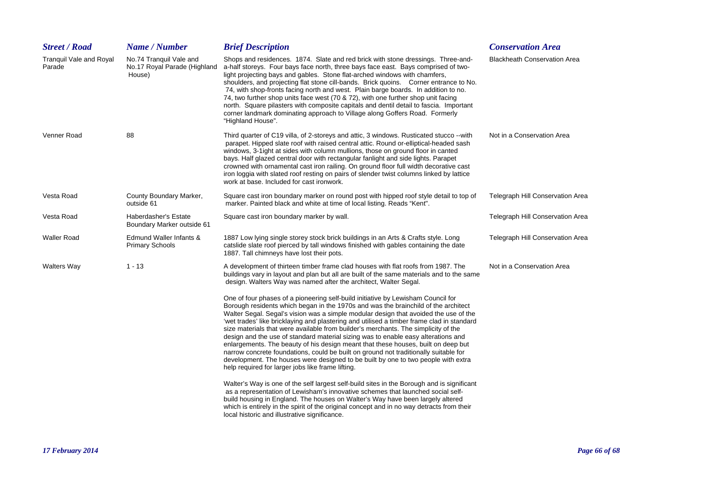| <b>Street / Road</b>                     | Name / Number                                                     | <b>Brief Description</b>                                                                                                                                                                                                                                                                                                                                                                                                                                                                                                                                                                                                                                                                                                                                                                                                                                      | <b>Conservation Area</b>            |
|------------------------------------------|-------------------------------------------------------------------|---------------------------------------------------------------------------------------------------------------------------------------------------------------------------------------------------------------------------------------------------------------------------------------------------------------------------------------------------------------------------------------------------------------------------------------------------------------------------------------------------------------------------------------------------------------------------------------------------------------------------------------------------------------------------------------------------------------------------------------------------------------------------------------------------------------------------------------------------------------|-------------------------------------|
| <b>Tranquil Vale and Royal</b><br>Parade | No.74 Tranquil Vale and<br>No.17 Royal Parade (Highland<br>House) | Shops and residences. 1874. Slate and red brick with stone dressings. Three-and-<br>a-half storeys. Four bays face north, three bays face east. Bays comprised of two-<br>light projecting bays and gables. Stone flat-arched windows with chamfers,<br>shoulders, and projecting flat stone cill-bands. Brick quoins. Corner entrance to No.<br>74, with shop-fronts facing north and west. Plain barge boards. In addition to no.<br>74, two further shop units face west (70 & 72), with one further shop unit facing<br>north. Square pilasters with composite capitals and dentil detail to fascia. Important<br>corner landmark dominating approach to Village along Goffers Road. Formerly<br>"Highland House".                                                                                                                                        | <b>Blackheath Conservation Area</b> |
| Venner Road                              | 88                                                                | Third quarter of C19 villa, of 2-storeys and attic, 3 windows. Rusticated stucco --with<br>parapet. Hipped slate roof with raised central attic. Round or-elliptical-headed sash<br>windows, 3-1ight at sides with column mullions, those on ground floor in canted<br>bays. Half glazed central door with rectangular fanlight and side lights. Parapet<br>crowned with ornamental cast iron railing. On ground floor full width decorative cast<br>iron loggia with slated roof resting on pairs of slender twist columns linked by lattice<br>work at base. Included for cast ironwork.                                                                                                                                                                                                                                                                    | Not in a Conservation Area          |
| Vesta Road                               | County Boundary Marker,<br>outside 61                             | Square cast iron boundary marker on round post with hipped roof style detail to top of<br>marker. Painted black and white at time of local listing. Reads "Kent".                                                                                                                                                                                                                                                                                                                                                                                                                                                                                                                                                                                                                                                                                             | Telegraph Hill Conservation Area    |
| Vesta Road                               | Haberdasher's Estate<br>Boundary Marker outside 61                | Square cast iron boundary marker by wall.                                                                                                                                                                                                                                                                                                                                                                                                                                                                                                                                                                                                                                                                                                                                                                                                                     | Telegraph Hill Conservation Area    |
| <b>Waller Road</b>                       | Edmund Waller Infants &<br><b>Primary Schools</b>                 | 1887 Low lying single storey stock brick buildings in an Arts & Crafts style. Long<br>catslide slate roof pierced by tall windows finished with gables containing the date<br>1887. Tall chimneys have lost their pots.                                                                                                                                                                                                                                                                                                                                                                                                                                                                                                                                                                                                                                       | Telegraph Hill Conservation Area    |
| <b>Walters Way</b>                       | $1 - 13$                                                          | A development of thirteen timber frame clad houses with flat roofs from 1987. The<br>buildings vary in layout and plan but all are built of the same materials and to the same<br>design. Walters Way was named after the architect, Walter Segal.                                                                                                                                                                                                                                                                                                                                                                                                                                                                                                                                                                                                            | Not in a Conservation Area          |
|                                          |                                                                   | One of four phases of a pioneering self-build initiative by Lewisham Council for<br>Borough residents which began in the 1970s and was the brainchild of the architect<br>Walter Segal. Segal's vision was a simple modular design that avoided the use of the<br>'wet trades' like bricklaying and plastering and utilised a timber frame clad in standard<br>size materials that were available from builder's merchants. The simplicity of the<br>design and the use of standard material sizing was to enable easy alterations and<br>enlargements. The beauty of his design meant that these houses, built on deep but<br>narrow concrete foundations, could be built on ground not traditionally suitable for<br>development. The houses were designed to be built by one to two people with extra<br>help required for larger jobs like frame lifting. |                                     |
|                                          |                                                                   | Walter's Way is one of the self largest self-build sites in the Borough and is significant<br>as a representation of Lewisham's innovative schemes that launched social self-<br>build housing in England. The houses on Walter's Way have been largely altered<br>which is entirely in the spirit of the original concept and in no way detracts from their<br>local historic and illustrative significance.                                                                                                                                                                                                                                                                                                                                                                                                                                                 |                                     |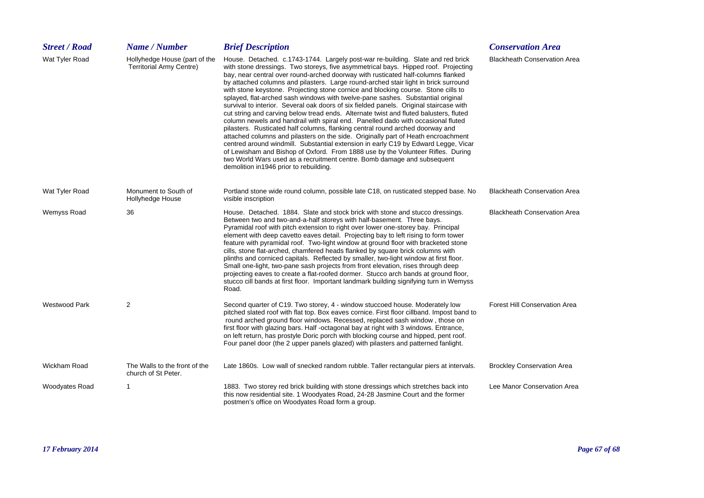| <b>Street / Road</b> | Name / Number                                                    | <b>Brief Description</b>                                                                                                                                                                                                                                                                                                                                                                                                                                                                                                                                                                                                                                                                                                                                                                                                                                                                                                                                                                                                                                                                                                                                                                                                                                             | <b>Conservation Area</b>             |
|----------------------|------------------------------------------------------------------|----------------------------------------------------------------------------------------------------------------------------------------------------------------------------------------------------------------------------------------------------------------------------------------------------------------------------------------------------------------------------------------------------------------------------------------------------------------------------------------------------------------------------------------------------------------------------------------------------------------------------------------------------------------------------------------------------------------------------------------------------------------------------------------------------------------------------------------------------------------------------------------------------------------------------------------------------------------------------------------------------------------------------------------------------------------------------------------------------------------------------------------------------------------------------------------------------------------------------------------------------------------------|--------------------------------------|
| Wat Tyler Road       | Hollyhedge House (part of the<br><b>Territorial Army Centre)</b> | House. Detached. c.1743-1744. Largely post-war re-building. Slate and red brick<br>with stone dressings. Two storeys, five asymmetrical bays. Hipped roof. Projecting<br>bay, near central over round-arched doorway with rusticated half-columns flanked<br>by attached columns and pilasters. Large round-arched stair light in brick surround<br>with stone keystone. Projecting stone cornice and blocking course. Stone cills to<br>splayed, flat-arched sash windows with twelve-pane sashes. Substantial original<br>survival to interior. Several oak doors of six fielded panels. Original staircase with<br>cut string and carving below tread ends. Alternate twist and fluted balusters, fluted<br>column newels and handrail with spiral end. Panelled dado with occasional fluted<br>pilasters. Rusticated half columns, flanking central round arched doorway and<br>attached columns and pilasters on the side. Originally part of Heath encroachment<br>centred around windmill. Substantial extension in early C19 by Edward Legge, Vicar<br>of Lewisham and Bishop of Oxford. From 1888 use by the Volunteer Rifles. During<br>two World Wars used as a recruitment centre. Bomb damage and subsequent<br>demolition in 1946 prior to rebuilding. | <b>Blackheath Conservation Area</b>  |
| Wat Tyler Road       | Monument to South of<br><b>Hollyhedge House</b>                  | Portland stone wide round column, possible late C18, on rusticated stepped base. No<br>visible inscription                                                                                                                                                                                                                                                                                                                                                                                                                                                                                                                                                                                                                                                                                                                                                                                                                                                                                                                                                                                                                                                                                                                                                           | <b>Blackheath Conservation Area</b>  |
| Wemyss Road          | 36                                                               | House. Detached. 1884. Slate and stock brick with stone and stucco dressings.<br>Between two and two-and-a-half storeys with half-basement. Three bays.<br>Pyramidal roof with pitch extension to right over lower one-storey bay. Principal<br>element with deep cavetto eaves detail. Projecting bay to left rising to form tower<br>feature with pyramidal roof. Two-light window at ground floor with bracketed stone<br>cills, stone flat-arched, chamfered heads flanked by square brick columns with<br>plinths and corniced capitals. Reflected by smaller, two-light window at first floor.<br>Small one-light, two-pane sash projects from front elevation, rises through deep<br>projecting eaves to create a flat-roofed dormer. Stucco arch bands at ground floor,<br>stucco cill bands at first floor. Important landmark building signifying turn in Wemyss<br>Road.                                                                                                                                                                                                                                                                                                                                                                                  | <b>Blackheath Conservation Area</b>  |
| <b>Westwood Park</b> | $\overline{2}$                                                   | Second quarter of C19. Two storey, 4 - window stuccoed house. Moderately low<br>pitched slated roof with flat top. Box eaves cornice. First floor cillband. Impost band to<br>round arched ground floor windows. Recessed, replaced sash window, those on<br>first floor with glazing bars. Half -octagonal bay at right with 3 windows. Entrance,<br>on left return, has prostyle Doric porch with blocking course and hipped, pent roof.<br>Four panel door (the 2 upper panels glazed) with pilasters and patterned fanlight.                                                                                                                                                                                                                                                                                                                                                                                                                                                                                                                                                                                                                                                                                                                                     | <b>Forest Hill Conservation Area</b> |
| Wickham Road         | The Walls to the front of the<br>church of St Peter.             | Late 1860s. Low wall of snecked random rubble. Taller rectangular piers at intervals.                                                                                                                                                                                                                                                                                                                                                                                                                                                                                                                                                                                                                                                                                                                                                                                                                                                                                                                                                                                                                                                                                                                                                                                | <b>Brockley Conservation Area</b>    |
| Woodyates Road       | 1                                                                | 1883. Two storey red brick building with stone dressings which stretches back into<br>this now residential site. 1 Woodyates Road, 24-28 Jasmine Court and the former<br>postmen's office on Woodyates Road form a group.                                                                                                                                                                                                                                                                                                                                                                                                                                                                                                                                                                                                                                                                                                                                                                                                                                                                                                                                                                                                                                            | Lee Manor Conservation Area          |